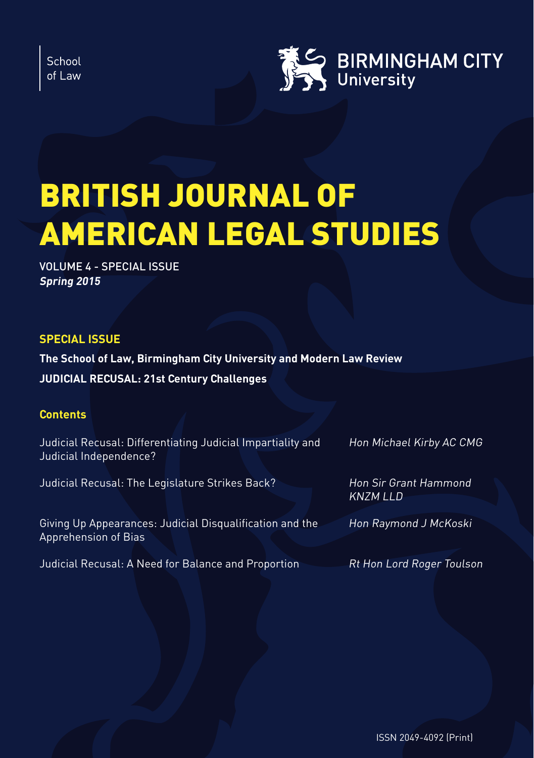School of Law



# BRITISH JOURNAL OF AMERICAN LEGAL STUDIES

VOLUME 4 - SPECIAL ISSUE **Spring 2015**

# **SPECIAL ISSUE**

**The School of Law, Birmingham City University and Modern Law Review JUDICIAL RECUSAL: 21st Century Challenges**

# **Contents**

[Judicial Recusal: Differentiating Judicial Impartiality and](#page-4-0)  Judicial Independence? [Judicial Recusal: The Legislature Strikes Back?](#page-22-0)  [Giving Up Appearances: Judicial Disqualification and the](#page-38-0)  Apprehension of Bias Hon Michael Kirby AC CMG Hon Sir Grant Hammond KNZM LLD Hon Raymond J McKoski

[Judicial Recusal: A Need for Balance and Proportion](#page-74-0)

Rt Hon Lord Roger Toulson

ISSN 2049-4092 (Print)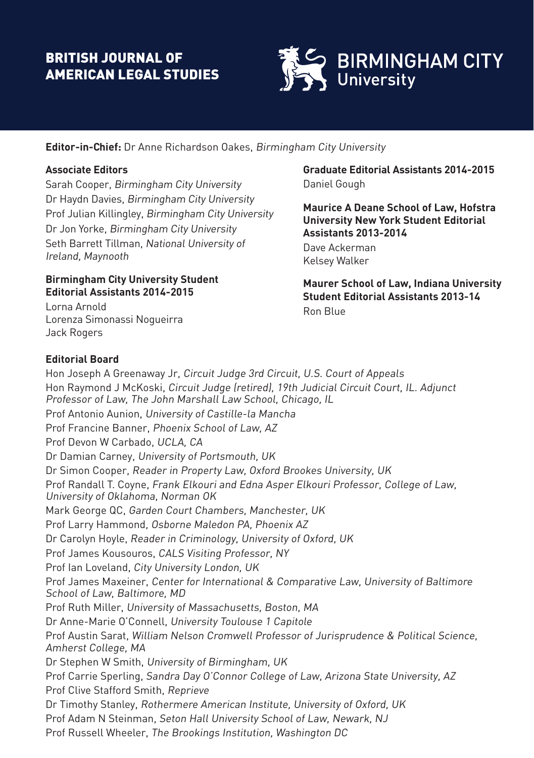# BRITISH JOURNAL OF AMERICAN LEGAL STUDIES



**Editor-in-Chief:** Dr Anne Richardson Oakes, Birmingham City University

#### **Associate Editors**

Sarah Cooper, Birmingham City University Dr Haydn Davies, Birmingham City University Prof Julian Killingley, Birmingham City University Dr Jon Yorke, Birmingham City University Seth Barrett Tillman, National University of Ireland, Maynooth

# **Birmingham City University Student Editorial Assistants 2014-2015**

Lorna Arnold Lorenza Simonassi Nogueirra Jack Rogers

**Graduate Editorial Assistants 2014-2015** Daniel Gough

**Maurice A Deane School of Law, Hofstra University New York Student Editorial Assistants 2013-2014**

Dave Ackerman Kelsey Walker

**Maurer School of Law, Indiana University Student Editorial Assistants 2013-14** Ron Blue

# **Editorial Board**

Hon Joseph A Greenaway Jr, Circuit Judge 3rd Circuit, U.S. Court of Appeals Hon Raymond J McKoski, Circuit Judge (retired), 19th Judicial Circuit Court, IL. Adjunct Professor of Law, The John Marshall Law School, Chicago, IL Prof Antonio Aunion, University of Castille-la Mancha Prof Francine Banner, Phoenix School of Law, AZ Prof Devon W Carbado, UCLA, CA Dr Damian Carney, University of Portsmouth, UK Dr Simon Cooper, Reader in Property Law, Oxford Brookes University, UK Prof Randall T. Coyne, Frank Elkouri and Edna Asper Elkouri Professor, College of Law, University of Oklahoma, Norman OK Mark George QC, Garden Court Chambers, Manchester, UK Prof Larry Hammond, Osborne Maledon PA, Phoenix AZ Dr Carolyn Hoyle, Reader in Criminology, University of Oxford, UK Prof James Kousouros, CALS Visiting Professor, NY Prof Ian Loveland, City University London, UK Prof James Maxeiner, Center for International & Comparative Law, University of Baltimore School of Law, Baltimore, MD Prof Ruth Miller, University of Massachusetts, Boston, MA Dr Anne-Marie O'Connell, University Toulouse 1 Capitole Prof Austin Sarat, William Nelson Cromwell Professor of Jurisprudence & Political Science, Amherst College, MA Dr Stephen W Smith, University of Birmingham, UK Prof Carrie Sperling, Sandra Day O'Connor College of Law, Arizona State University, AZ Prof Clive Stafford Smith, Reprieve Dr Timothy Stanley, Rothermere American Institute, University of Oxford, UK Prof Adam N Steinman, Seton Hall University School of Law, Newark, NJ Prof Russell Wheeler, The Brookings Institution, Washington DC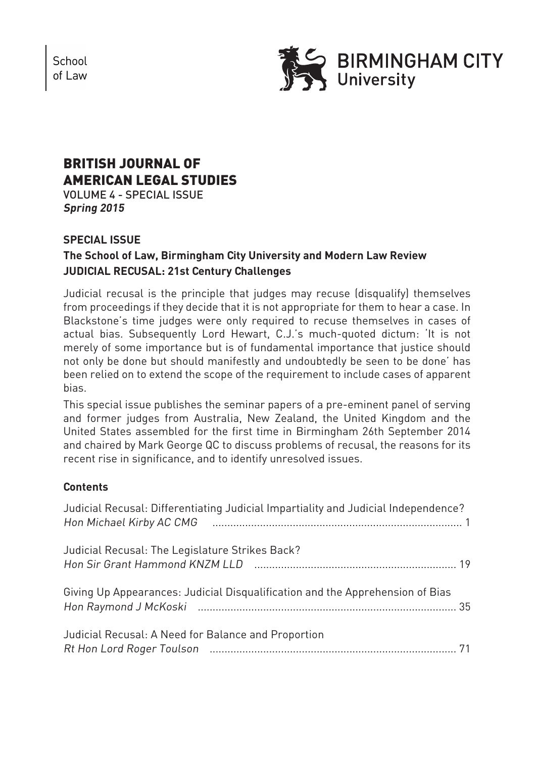School of Law



# BRITISH JOURNAL OF AMERICAN LEGAL STUDIES

VOLUME 4 - SPECIAL ISSUE **Spring 2015**

# **SPECIAL ISSUE**

# **The School of Law, Birmingham City University and Modern Law Review JUDICIAL RECUSAL: 21st Century Challenges**

Judicial recusal is the principle that judges may recuse (disqualify) themselves from proceedings if they decide that it is not appropriate for them to hear a case. In Blackstone's time judges were only required to recuse themselves in cases of actual bias. Subsequently Lord Hewart, C.J.'s much-quoted dictum: 'It is not merely of some importance but is of fundamental importance that justice should not only be done but should manifestly and undoubtedly be seen to be done' has been relied on to extend the scope of the requirement to include cases of apparent bias.

This special issue publishes the seminar papers of a pre-eminent panel of serving and former judges from Australia, New Zealand, the United Kingdom and the United States assembled for the first time in Birmingham 26th September 2014 and chaired by Mark George QC to discuss problems of recusal, the reasons for its recent rise in significance, and to identify unresolved issues.

# **Contents**

| Judicial Recusal: Differentiating Judicial Impartiality and Judicial Independence?                                                                                    |  |
|-----------------------------------------------------------------------------------------------------------------------------------------------------------------------|--|
| Judicial Recusal: The Legislature Strikes Back?                                                                                                                       |  |
| Giving Up Appearances: Judicial Disqualification and the Apprehension of Bias                                                                                         |  |
| Judicial Recusal: A Need for Balance and Proportion<br>Rt Hon Lord Roger Toulson (1999) (1999) 1996) (1999) Rt Hon Lord Roger Toulson (1999) (1999) (1999) (1999) (19 |  |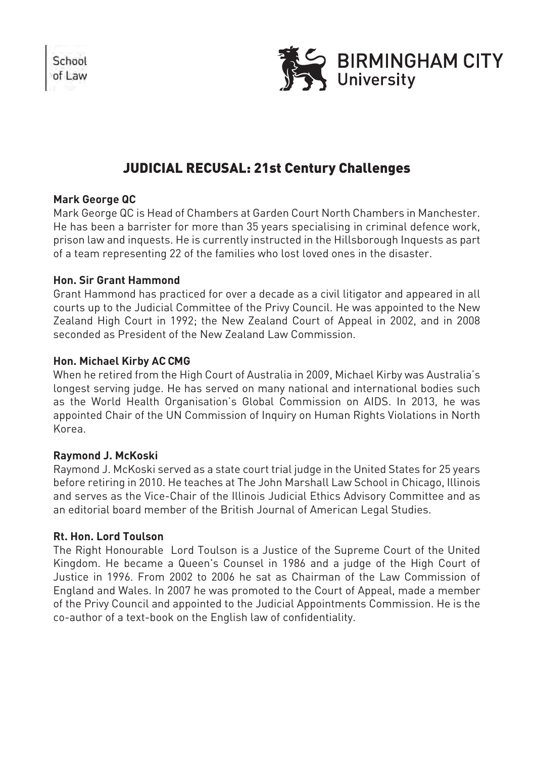

# JUDICIAL RECUSAL: 21st Century Challenges

# **Mark George QC**

Mark George QC is Head of Chambers at Garden Court North Chambers in Manchester. He has been a barrister for more than 35 years specialising in criminal defence work, prison law and inquests. He is currently instructed in the Hillsborough Inquests as part of a team representing 22 of the families who lost loved ones in the disaster.

# **Hon. Sir Grant Hammond**

Grant Hammond has practiced for over a decade as a civil litigator and appeared in all courts up to the Judicial Committee of the Privy Council. He was appointed to the New Zealand High Court in 1992; the New Zealand Court of Appeal in 2002, and in 2008 seconded as President of the New Zealand Law Commission.

# **Hon. Michael Kirby AC CMG**

When he retired from the High Court of Australia in 2009, Michael Kirby was Australia's longest serving judge. He has served on many national and international bodies such as the World Health Organisation's Global Commission on AIDS. In 2013, he was appointed Chair of the UN Commission of Inquiry on Human Rights Violations in North Korea.

# **Raymond J. McKoski**

Raymond J. McKoski served as a state court trial judge in the United States for 25 years before retiring in 2010. He teaches at The John Marshall Law School in Chicago, Illinois and serves as the Vice-Chair of the Illinois Judicial Ethics Advisory Committee and as an editorial board member of the British Journal of American Legal Studies.

# **Rt. Hon. Lord Toulson**

The Right Honourable Lord Toulson is a Justice of the Supreme Court of the United Kingdom. He became a Queen's Counsel in 1986 and a judge of the High Court of Justice in 1996. From 2002 to 2006 he sat as Chairman of the Law Commission of England and Wales. In 2007 he was promoted to the Court of Appeal, made a member of the Privy Council and appointed to the Judicial Appointments Commission. He is the co-author of a text-book on the English law of confidentiality.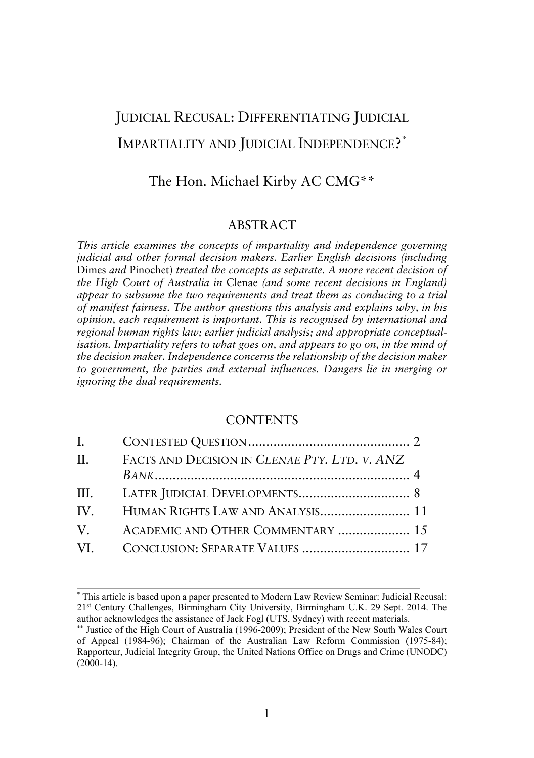# <span id="page-4-0"></span>JUDICIAL RECUSAL: DIFFERENTIATING JUDICIAL IMPARTIALITY AND JUDICIAL INDEPENDENCE?<sup>\*</sup>

# The Hon. Michael Kirby AC CMG\*\*

#### ABSTRACT

*This article examines the concepts of impartiality and independence governing judicial and other formal decision makers. Earlier English decisions (including*  Dimes *and* Pinochet) *treated the concepts as separate. A more recent decision of the High Court of Australia in* Clenae *(and some recent decisions in England) appear to subsume the two requirements and treat them as conducing to a trial of manifest fairness. The author questions this analysis and explains why, in his opinion, each requirement is important. This is recognised by international and regional human rights law; earlier judicial analysis; and appropriate conceptualisation. Impartiality refers to what goes on, and appears to go on, in the mind of the decision maker. Independence concerns the relationship of the decision maker to government, the parties and external influences. Dangers lie in merging or ignoring the dual requirements.* 

# **CONTENTS**

| $\mathbf{I}$ . |                                               |  |
|----------------|-----------------------------------------------|--|
| II.            | FACTS AND DECISION IN CLENAE PTY. LTD. V. ANZ |  |
|                |                                               |  |
| III.           |                                               |  |
| IV.            | HUMAN RIGHTS LAW AND ANALYSIS 11              |  |
| V.             | ACADEMIC AND OTHER COMMENTARY  15             |  |
| VI.            |                                               |  |

<sup>\*</sup> This article is based upon a paper presented to Modern Law Review Seminar: Judicial Recusal: 21st Century Challenges, Birmingham City University, Birmingham U.K. 29 Sept. 2014. The author acknowledges the assistance of Jack Fogl (UTS, Sydney) with recent materials. \*\* Justice of the High Court of Australia (1996-2009); President of the New South Wales Court

of Appeal (1984-96); Chairman of the Australian Law Reform Commission (1975-84); Rapporteur, Judicial Integrity Group, the United Nations Office on Drugs and Crime (UNODC)  $(2000-14)$ .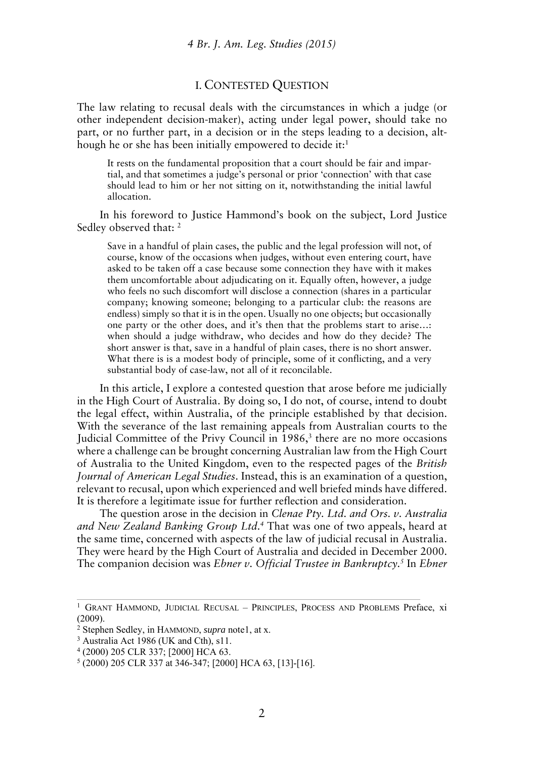#### I. CONTESTED QUESTION

The law relating to recusal deals with the circumstances in which a judge (or other independent decision-maker), acting under legal power, should take no part, or no further part, in a decision or in the steps leading to a decision, although he or she has been initially empowered to decide it:<sup>1</sup>

It rests on the fundamental proposition that a court should be fair and impartial, and that sometimes a judge's personal or prior 'connection' with that case should lead to him or her not sitting on it, notwithstanding the initial lawful allocation.

In his foreword to Justice Hammond's book on the subject, Lord Justice Sedley observed that: <sup>2</sup>

Save in a handful of plain cases, the public and the legal profession will not, of course, know of the occasions when judges, without even entering court, have asked to be taken off a case because some connection they have with it makes them uncomfortable about adjudicating on it. Equally often, however, a judge who feels no such discomfort will disclose a connection (shares in a particular company; knowing someone; belonging to a particular club: the reasons are endless) simply so that it is in the open. Usually no one objects; but occasionally one party or the other does, and it's then that the problems start to arise…: when should a judge withdraw, who decides and how do they decide? The short answer is that, save in a handful of plain cases, there is no short answer. What there is is a modest body of principle, some of it conflicting, and a very substantial body of case-law, not all of it reconcilable.

In this article, I explore a contested question that arose before me judicially in the High Court of Australia. By doing so, I do not, of course, intend to doubt the legal effect, within Australia, of the principle established by that decision. With the severance of the last remaining appeals from Australian courts to the Judicial Committee of the Privy Council in 1986,<sup>3</sup> there are no more occasions where a challenge can be brought concerning Australian law from the High Court of Australia to the United Kingdom, even to the respected pages of the *British Journal of American Legal Studies*. Instead, this is an examination of a question, relevant to recusal, upon which experienced and well briefed minds have differed. It is therefore a legitimate issue for further reflection and consideration.

The question arose in the decision in *Clenae Pty. Ltd. and Ors. v. Australia and New Zealand Banking Group Ltd.4* That was one of two appeals, heard at the same time, concerned with aspects of the law of judicial recusal in Australia. They were heard by the High Court of Australia and decided in December 2000. The companion decision was *Ebner v. Official Trustee in Bankruptcy.5* In *Ebner*

<sup>&</sup>lt;sup>1</sup> GRANT HAMMOND, JUDICIAL RECUSAL – PRINCIPLES, PROCESS AND PROBLEMS Preface, xi (2009).

<sup>2</sup> Stephen Sedley, in HAMMOND, *supra* note1, at x. 3 Australia Act 1986 (UK and Cth), s11. 4 (2000) 205 CLR 337; [2000] HCA 63.

<sup>5 (2000) 205</sup> CLR 337 at 346-347; [2000] HCA 63, [13]-[16].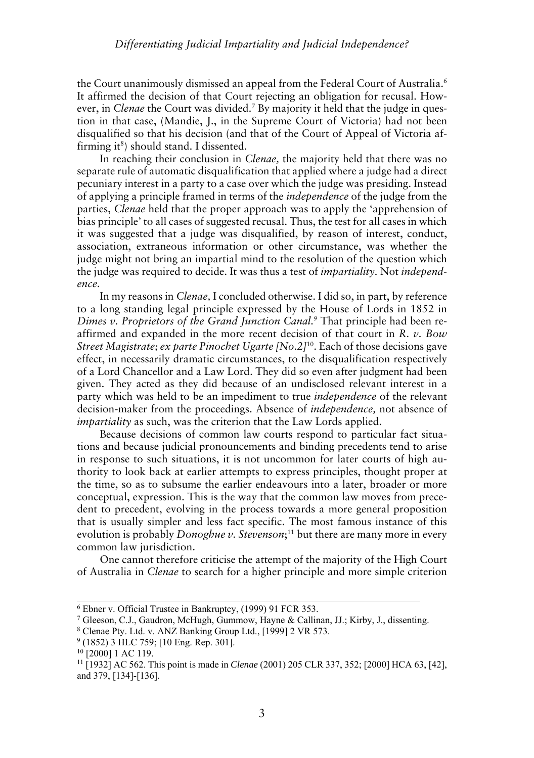#### *Differentiating Judicial Impartiality and Judicial Independence?*

the Court unanimously dismissed an appeal from the Federal Court of Australia.6 It affirmed the decision of that Court rejecting an obligation for recusal. However, in *Clenae* the Court was divided.<sup>7</sup> By majority it held that the judge in question in that case, (Mandie, J., in the Supreme Court of Victoria) had not been disqualified so that his decision (and that of the Court of Appeal of Victoria affirming it<sup>8</sup>) should stand. I dissented.

In reaching their conclusion in *Clenae,* the majority held that there was no separate rule of automatic disqualification that applied where a judge had a direct pecuniary interest in a party to a case over which the judge was presiding. Instead of applying a principle framed in terms of the *independence* of the judge from the parties, *Clenae* held that the proper approach was to apply the 'apprehension of bias principle' to all cases of suggested recusal. Thus, the test for all cases in which it was suggested that a judge was disqualified, by reason of interest, conduct, association, extraneous information or other circumstance, was whether the judge might not bring an impartial mind to the resolution of the question which the judge was required to decide. It was thus a test of *impartiality.* Not *independence.* 

In my reasons in *Clenae,* I concluded otherwise. I did so, in part, by reference to a long standing legal principle expressed by the House of Lords in 1852 in *Dimes v. Proprietors of the Grand Junction Canal.9* That principle had been reaffirmed and expanded in the more recent decision of that court in *R. v. Bow Street Magistrate; ex parte Pinochet Ugarte [No.2]*10. Each of those decisions gave effect, in necessarily dramatic circumstances, to the disqualification respectively of a Lord Chancellor and a Law Lord. They did so even after judgment had been given. They acted as they did because of an undisclosed relevant interest in a party which was held to be an impediment to true *independence* of the relevant decision-maker from the proceedings. Absence of *independence,* not absence of *impartiality* as such, was the criterion that the Law Lords applied.

Because decisions of common law courts respond to particular fact situations and because judicial pronouncements and binding precedents tend to arise in response to such situations, it is not uncommon for later courts of high authority to look back at earlier attempts to express principles, thought proper at the time, so as to subsume the earlier endeavours into a later, broader or more conceptual, expression. This is the way that the common law moves from precedent to precedent, evolving in the process towards a more general proposition that is usually simpler and less fact specific. The most famous instance of this evolution is probably *Donoghue v. Stevenson*; 11 but there are many more in every common law jurisdiction.

One cannot therefore criticise the attempt of the majority of the High Court of Australia in *Clenae* to search for a higher principle and more simple criterion

<sup>&</sup>lt;sup>6</sup> Ebner v. Official Trustee in Bankruptcy, (1999) 91 FCR 353.<br><sup>7</sup> Gleeson, C.J., Gaudron, McHugh, Gummow, Hayne & Callinan, JJ.; Kirby, J., dissenting.<br><sup>8</sup> Clenae Pty. Ltd. v. ANZ Banking Group Ltd., [1999] 2 VR 573.<br><sup>9</sup>

 $10$  [2000] 1 AC 119.

<sup>11 [1932]</sup> AC 562. This point is made in *Clenae* (2001) 205 CLR 337, 352; [2000] HCA 63, [42], and 379, [134]-[136].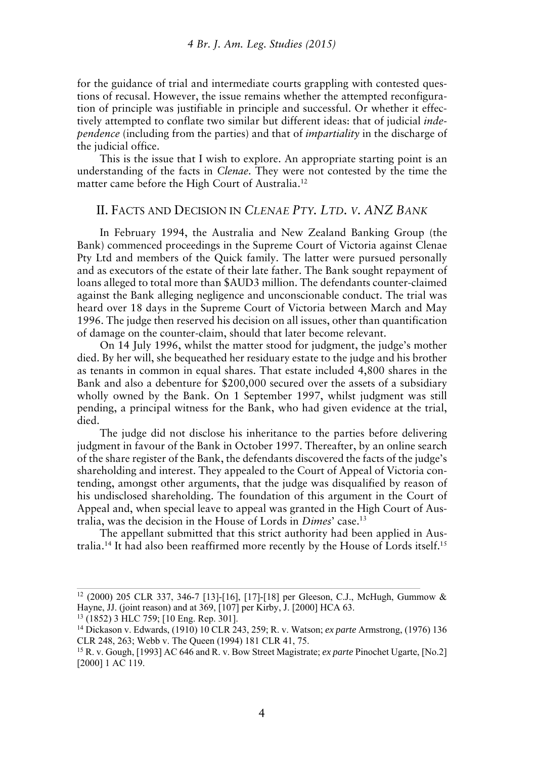for the guidance of trial and intermediate courts grappling with contested questions of recusal. However, the issue remains whether the attempted reconfiguration of principle was justifiable in principle and successful. Or whether it effectively attempted to conflate two similar but different ideas: that of judicial *independence* (including from the parties) and that of *impartiality* in the discharge of the judicial office.

This is the issue that I wish to explore. An appropriate starting point is an understanding of the facts in *Clenae.* They were not contested by the time the matter came before the High Court of Australia.<sup>12</sup>

#### II. FACTS AND DECISION IN *CLENAE PTY. LTD. V. ANZ BANK*

In February 1994, the Australia and New Zealand Banking Group (the Bank) commenced proceedings in the Supreme Court of Victoria against Clenae Pty Ltd and members of the Quick family. The latter were pursued personally and as executors of the estate of their late father. The Bank sought repayment of loans alleged to total more than \$AUD3 million. The defendants counter-claimed against the Bank alleging negligence and unconscionable conduct. The trial was heard over 18 days in the Supreme Court of Victoria between March and May 1996. The judge then reserved his decision on all issues, other than quantification of damage on the counter-claim, should that later become relevant.

On 14 July 1996, whilst the matter stood for judgment, the judge's mother died. By her will, she bequeathed her residuary estate to the judge and his brother as tenants in common in equal shares. That estate included 4,800 shares in the Bank and also a debenture for \$200,000 secured over the assets of a subsidiary wholly owned by the Bank. On 1 September 1997, whilst judgment was still pending, a principal witness for the Bank, who had given evidence at the trial, died.

The judge did not disclose his inheritance to the parties before delivering judgment in favour of the Bank in October 1997. Thereafter, by an online search of the share register of the Bank, the defendants discovered the facts of the judge's shareholding and interest. They appealed to the Court of Appeal of Victoria contending, amongst other arguments, that the judge was disqualified by reason of his undisclosed shareholding. The foundation of this argument in the Court of Appeal and, when special leave to appeal was granted in the High Court of Australia, was the decision in the House of Lords in *Dimes*' case.13

The appellant submitted that this strict authority had been applied in Australia.14 It had also been reaffirmed more recently by the House of Lords itself.15

<sup>12 (2000) 205</sup> CLR 337, 346-7 [13]-[16], [17]-[18] per Gleeson, C.J., McHugh, Gummow & Hayne, JJ. (joint reason) and at 369, [107] per Kirby, J. [2000] HCA 63. <sup>13</sup> (1852) 3 HLC 759; [10 Eng. Rep. 301].

<sup>14</sup> Dickason v. Edwards, (1910) 10 CLR 243, 259; R. v. Watson; *ex parte* Armstrong, (1976) 136 CLR 248, 263; Webb v. The Queen (1994) 181 CLR 41, 75. 15 R. v. Gough, [1993] AC 646 and R. v. Bow Street Magistrate; *ex parte* Pinochet Ugarte, [No.2]

<sup>[2000] 1</sup> AC 119.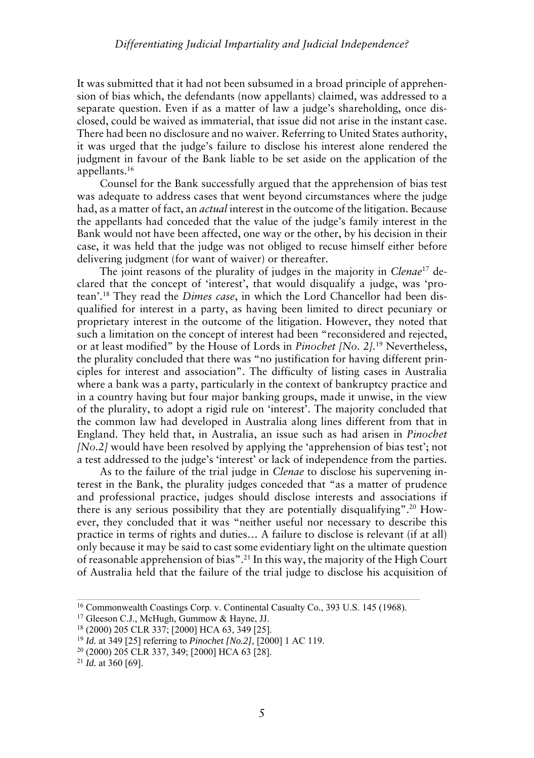#### *Differentiating Judicial Impartiality and Judicial Independence?*

It was submitted that it had not been subsumed in a broad principle of apprehension of bias which, the defendants (now appellants) claimed, was addressed to a separate question. Even if as a matter of law a judge's shareholding, once disclosed, could be waived as immaterial, that issue did not arise in the instant case. There had been no disclosure and no waiver. Referring to United States authority, it was urged that the judge's failure to disclose his interest alone rendered the judgment in favour of the Bank liable to be set aside on the application of the appellants.16

Counsel for the Bank successfully argued that the apprehension of bias test was adequate to address cases that went beyond circumstances where the judge had, as a matter of fact, an *actual* interest in the outcome of the litigation. Because the appellants had conceded that the value of the judge's family interest in the Bank would not have been affected, one way or the other, by his decision in their case, it was held that the judge was not obliged to recuse himself either before delivering judgment (for want of waiver) or thereafter.

The joint reasons of the plurality of judges in the majority in *Clenae*17 declared that the concept of 'interest', that would disqualify a judge, was 'protean'.18 They read the *Dimes case*, in which the Lord Chancellor had been disqualified for interest in a party, as having been limited to direct pecuniary or proprietary interest in the outcome of the litigation. However, they noted that such a limitation on the concept of interest had been "reconsidered and rejected, or at least modified" by the House of Lords in *Pinochet [No. 2].*19 Nevertheless, the plurality concluded that there was "no justification for having different principles for interest and association". The difficulty of listing cases in Australia where a bank was a party, particularly in the context of bankruptcy practice and in a country having but four major banking groups, made it unwise, in the view of the plurality, to adopt a rigid rule on 'interest'. The majority concluded that the common law had developed in Australia along lines different from that in England. They held that, in Australia, an issue such as had arisen in *Pinochet [No.2]* would have been resolved by applying the 'apprehension of bias test'; not a test addressed to the judge's 'interest' or lack of independence from the parties.

As to the failure of the trial judge in *Clenae* to disclose his supervening interest in the Bank, the plurality judges conceded that "as a matter of prudence and professional practice, judges should disclose interests and associations if there is any serious possibility that they are potentially disqualifying".<sup>20</sup> However, they concluded that it was "neither useful nor necessary to describe this practice in terms of rights and duties… A failure to disclose is relevant (if at all) only because it may be said to cast some evidentiary light on the ultimate question of reasonable apprehension of bias".21 In this way, the majority of the High Court of Australia held that the failure of the trial judge to disclose his acquisition of

<sup>&</sup>lt;sup>16</sup> Commonwealth Coastings Corp. v. Continental Casualty Co., 393 U.S. 145 (1968).<br><sup>17</sup> Gleeson C.J., McHugh, Gummow & Hayne, JJ.

<sup>&</sup>lt;sup>18</sup> (2000) 205 CLR 337; [2000] HCA 63, 349 [25].<br><sup>19</sup> *Id.* at 349 [25] referring to *Pinochet [No.2]*, [2000] 1 AC 119.

<sup>&</sup>lt;sup>20</sup> (2000) 205 CLR 337, 349; [2000] HCA 63 [28].

<sup>21</sup> *Id.* at 360 [69].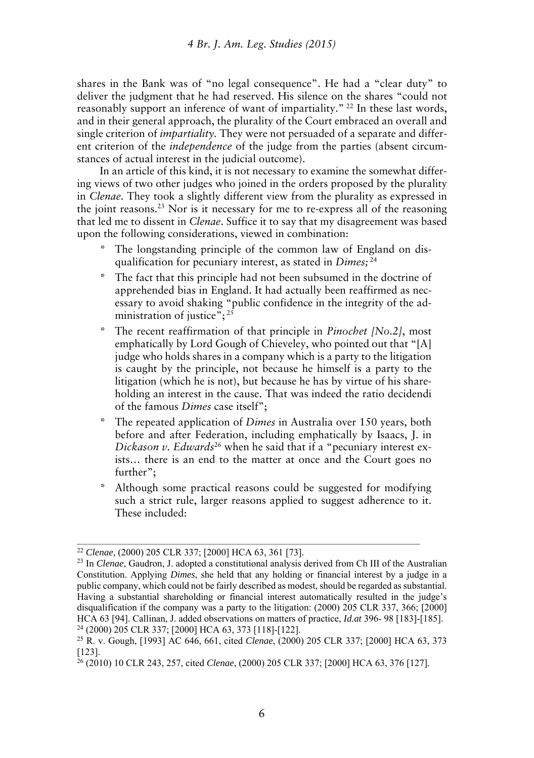shares in the Bank was of "no legal consequence". He had a "clear duty" to deliver the judgment that he had reserved. His silence on the shares "could not reasonably support an inference of want of impartiality." 22 In these last words, and in their general approach, the plurality of the Court embraced an overall and single criterion of *impartiality.* They were not persuaded of a separate and different criterion of the *independence* of the judge from the parties (absent circumstances of actual interest in the judicial outcome).

In an article of this kind, it is not necessary to examine the somewhat differing views of two other judges who joined in the orders proposed by the plurality in *Clenae.* They took a slightly different view from the plurality as expressed in the joint reasons.<sup>23</sup> Nor is it necessary for me to re-express all of the reasoning that led me to dissent in *Clenae*. Suffice it to say that my disagreement was based upon the following considerations, viewed in combination:

- \* The longstanding principle of the common law of England on disqualification for pecuniary interest, as stated in *Dimes;*<sup>24</sup>
- \* The fact that this principle had not been subsumed in the doctrine of apprehended bias in England. It had actually been reaffirmed as necessary to avoid shaking "public confidence in the integrity of the administration of justice":  $25$
- \* The recent reaffirmation of that principle in *Pinochet [No.2]*, most emphatically by Lord Gough of Chieveley, who pointed out that "[A] judge who holds shares in a company which is a party to the litigation is caught by the principle, not because he himself is a party to the litigation (which he is not), but because he has by virtue of his shareholding an interest in the cause. That was indeed the ratio decidendi of the famous *Dimes* case itself";
- \* The repeated application of *Dimes* in Australia over 150 years, both before and after Federation, including emphatically by Isaacs, J. in *Dickason v. Edwards*<sup>26</sup> when he said that if a "pecuniary interest exists… there is an end to the matter at once and the Court goes no further";
- \* Although some practical reasons could be suggested for modifying such a strict rule, larger reasons applied to suggest adherence to it. These included:

<sup>22</sup> *Clenae*, (2000) 205 CLR 337; [2000] HCA 63, 361 [73]. 23 In *Clenae*, Gaudron, J. adopted a constitutional analysis derived from Ch III of the Australian Constitution. Applying *Dimes*, she held that any holding or financial interest by a judge in a public company, which could not be fairly described as modest, should be regarded as substantial. Having a substantial shareholding or financial interest automatically resulted in the judge's disqualification if the company was a party to the litigation: (2000) 205 CLR 337, 366; [2000] HCA 63 [94]. Callinan, J. added observations on matters of practice, *Id.at* 396- 98 [183]-[185]. 24 (2000) 205 CLR 337; [2000] HCA 63, 373 [118]-[122].

<sup>25</sup> R. v. Gough, [1993] AC 646, 661, cited *Clenae*, (2000) 205 CLR 337; [2000] HCA 63, 373 [123].

<sup>26 (2010) 10</sup> CLR 243, 257, cited *Clenae*, (2000) 205 CLR 337; [2000] HCA 63, 376 [127].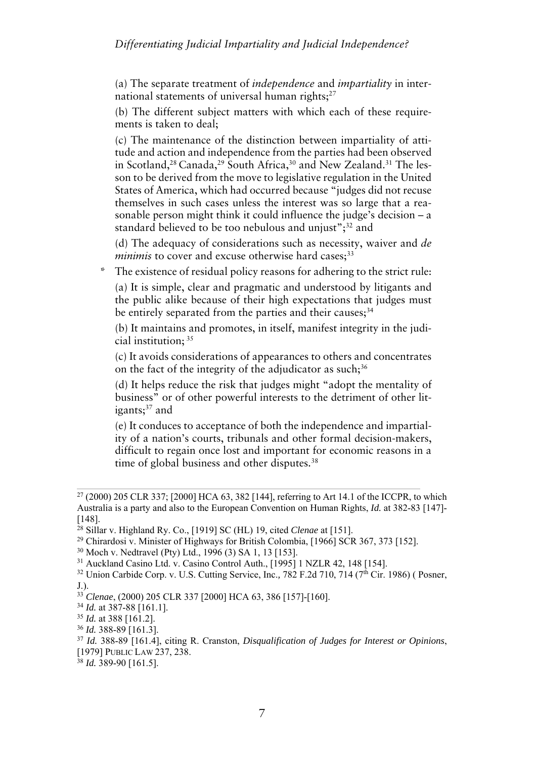(a) The separate treatment of *independence* and *impartiality* in international statements of universal human rights;<sup>27</sup>

(b) The different subject matters with which each of these requirements is taken to deal;

(c) The maintenance of the distinction between impartiality of attitude and action and independence from the parties had been observed in Scotland,<sup>28</sup> Canada,<sup>29</sup> South Africa,<sup>30</sup> and New Zealand.<sup>31</sup> The lesson to be derived from the move to legislative regulation in the United States of America, which had occurred because "judges did not recuse themselves in such cases unless the interest was so large that a reasonable person might think it could influence the judge's decision  $- a$ standard believed to be too nebulous and unjust";<sup>32</sup> and

(d) The adequacy of considerations such as necessity, waiver and *de minimis* to cover and excuse otherwise hard cases;<sup>33</sup>

The existence of residual policy reasons for adhering to the strict rule: (a) It is simple, clear and pragmatic and understood by litigants and the public alike because of their high expectations that judges must be entirely separated from the parties and their causes;<sup>34</sup>

(b) It maintains and promotes, in itself, manifest integrity in the judicial institution; 35

(c) It avoids considerations of appearances to others and concentrates on the fact of the integrity of the adjudicator as such:<sup>36</sup>

(d) It helps reduce the risk that judges might "adopt the mentality of business" or of other powerful interests to the detriment of other litigants;<sup>37</sup> and

(e) It conduces to acceptance of both the independence and impartiality of a nation's courts, tribunals and other formal decision-makers, difficult to regain once lost and important for economic reasons in a time of global business and other disputes.<sup>38</sup>

<sup>&</sup>lt;sup>27</sup> (2000) 205 CLR 337; [2000] HCA 63, 382 [144], referring to Art 14.1 of the ICCPR, to which Australia is a party and also to the European Convention on Human Rights, *Id.* at 382-83 [147]-

<sup>[148].&</sup>lt;br><sup>28</sup> Sillar v. Highland Ry. Co., [1919] SC (HL) 19, cited *Clenae* at [151].

<sup>&</sup>lt;sup>29</sup> Chirardosi v. Minister of Highways for British Colombia, [1966] SCR 367, 373 [152].<br><sup>30</sup> Moch v. Nedtravel (Pty) Ltd., 1996 (3) SA 1, 13 [153].<br><sup>31</sup> Auckland Casino Ltd. v. Casino Control Auth., [1995] 1 NZLR 42, 148

J.).<br><sup>33</sup> Clenae, (2000) 205 CLR 337 [2000] HCA 63, 386 [157]-[160].

<sup>&</sup>lt;sup>34</sup> *Id.* at 387-88 [161.1].<br><sup>35</sup> *Id.* at 388 [161.2].<br><sup>36</sup> *Id.* 388-89 [161.3].<br><sup>37</sup> *Id.* 388-89 [161.4], citing R. Cranston, *Disqualification of Judges for Interest or Opinions*, [1979] PUBLIC LAW 237, 238. 38 *Id.* 389-90 [161.5].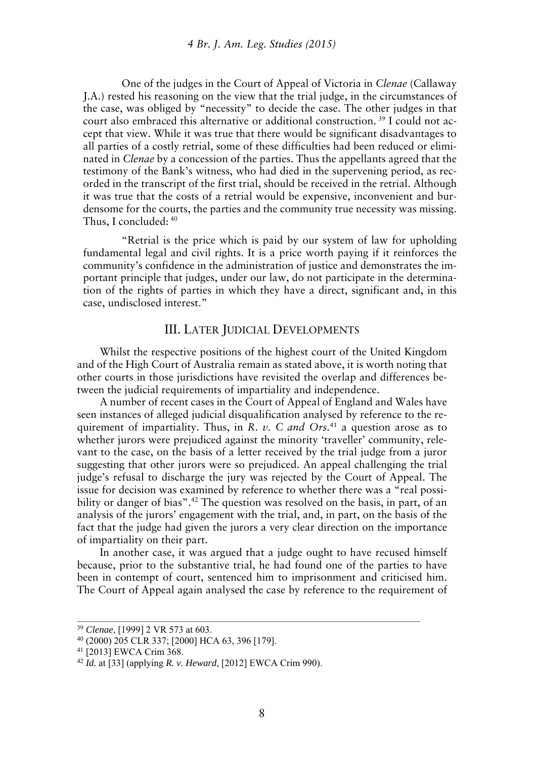One of the judges in the Court of Appeal of Victoria in *Clenae* (Callaway J.A.) rested his reasoning on the view that the trial judge, in the circumstances of the case, was obliged by "necessity" to decide the case. The other judges in that court also embraced this alternative or additional construction. 39 I could not accept that view. While it was true that there would be significant disadvantages to all parties of a costly retrial, some of these difficulties had been reduced or eliminated in *Clenae* by a concession of the parties. Thus the appellants agreed that the testimony of the Bank's witness, who had died in the supervening period, as recorded in the transcript of the first trial, should be received in the retrial. Although it was true that the costs of a retrial would be expensive, inconvenient and burdensome for the courts, the parties and the community true necessity was missing. Thus, I concluded: 40

"Retrial is the price which is paid by our system of law for upholding fundamental legal and civil rights. It is a price worth paying if it reinforces the community's confidence in the administration of justice and demonstrates the important principle that judges, under our law, do not participate in the determination of the rights of parties in which they have a direct, significant and, in this case, undisclosed interest."

#### III. LATER JUDICIAL DEVELOPMENTS

Whilst the respective positions of the highest court of the United Kingdom and of the High Court of Australia remain as stated above, it is worth noting that other courts in those jurisdictions have revisited the overlap and differences between the judicial requirements of impartiality and independence.

A number of recent cases in the Court of Appeal of England and Wales have seen instances of alleged judicial disqualification analysed by reference to the requirement of impartiality. Thus, in *R. v. C and Ors.*41 a question arose as to whether jurors were prejudiced against the minority 'traveller' community, relevant to the case, on the basis of a letter received by the trial judge from a juror suggesting that other jurors were so prejudiced. An appeal challenging the trial judge's refusal to discharge the jury was rejected by the Court of Appeal. The issue for decision was examined by reference to whether there was a "real possibility or danger of bias".<sup>42</sup> The question was resolved on the basis, in part, of an analysis of the jurors' engagement with the trial, and, in part, on the basis of the fact that the judge had given the jurors a very clear direction on the importance of impartiality on their part.

In another case, it was argued that a judge ought to have recused himself because, prior to the substantive trial, he had found one of the parties to have been in contempt of court, sentenced him to imprisonment and criticised him. The Court of Appeal again analysed the case by reference to the requirement of

<sup>39</sup> *Clenae*, [1999] 2 VR 573 at 603. 40 (2000) 205 CLR 337; [2000] HCA 63, 396 [179].

<sup>41 [2013]</sup> EWCA Crim 368.

<sup>42</sup> *Id.* at [33] (applying *R. v. Heward*, [2012] EWCA Crim 990).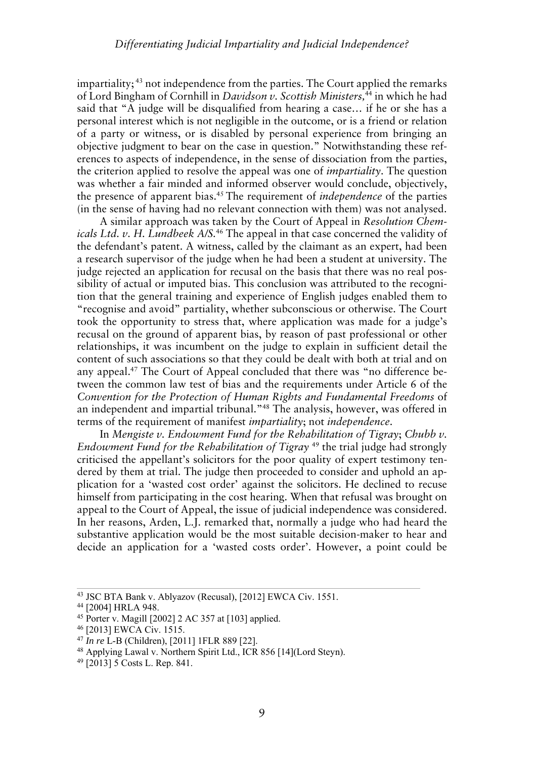impartiality; 43 not independence from the parties. The Court applied the remarks of Lord Bingham of Cornhill in *Davidson v. Scottish Ministers,*<sup>44</sup> in which he had said that "A judge will be disqualified from hearing a case… if he or she has a personal interest which is not negligible in the outcome, or is a friend or relation of a party or witness, or is disabled by personal experience from bringing an objective judgment to bear on the case in question." Notwithstanding these references to aspects of independence, in the sense of dissociation from the parties, the criterion applied to resolve the appeal was one of *impartiality*. The question was whether a fair minded and informed observer would conclude, objectively, the presence of apparent bias.45 The requirement of *independence* of the parties (in the sense of having had no relevant connection with them) was not analysed.

A similar approach was taken by the Court of Appeal in *Resolution Chemicals Ltd. v. H. Lundbeek A/S.*<sup>46</sup> The appeal in that case concerned the validity of the defendant's patent. A witness, called by the claimant as an expert, had been a research supervisor of the judge when he had been a student at university. The judge rejected an application for recusal on the basis that there was no real possibility of actual or imputed bias. This conclusion was attributed to the recognition that the general training and experience of English judges enabled them to "recognise and avoid" partiality, whether subconscious or otherwise. The Court took the opportunity to stress that, where application was made for a judge's recusal on the ground of apparent bias, by reason of past professional or other relationships, it was incumbent on the judge to explain in sufficient detail the content of such associations so that they could be dealt with both at trial and on any appeal.47 The Court of Appeal concluded that there was "no difference between the common law test of bias and the requirements under Article 6 of the *Convention for the Protection of Human Rights and Fundamental Freedoms* of an independent and impartial tribunal."48 The analysis, however, was offered in terms of the requirement of manifest *impartiality*; not *independence*.

In *Mengiste v. Endowment Fund for the Rehabilitation of Tigray*; *Chubb v. Endowment Fund for the Rehabilitation of Tigray* 49 the trial judge had strongly criticised the appellant's solicitors for the poor quality of expert testimony tendered by them at trial. The judge then proceeded to consider and uphold an application for a 'wasted cost order' against the solicitors. He declined to recuse himself from participating in the cost hearing. When that refusal was brought on appeal to the Court of Appeal, the issue of judicial independence was considered. In her reasons, Arden, L.J. remarked that, normally a judge who had heard the substantive application would be the most suitable decision-maker to hear and decide an application for a 'wasted costs order'. However, a point could be

<sup>43</sup> JSC BTA Bank v. Ablyazov (Recusal), [2012] EWCA Civ. 1551. 44 [2004] HRLA 948.

<sup>&</sup>lt;sup>45</sup> Porter v. Magill [2002] 2 AC 357 at [103] applied.<br><sup>46</sup> [2013] EWCA Civ. 1515.<br><sup>47</sup> *In re* L-B (Children), [2011] 1FLR 889 [22].

<sup>&</sup>lt;sup>48</sup> Applying Lawal v. Northern Spirit Ltd., ICR 856 [14](Lord Steyn). <sup>49</sup> [2013] 5 Costs L. Rep. 841.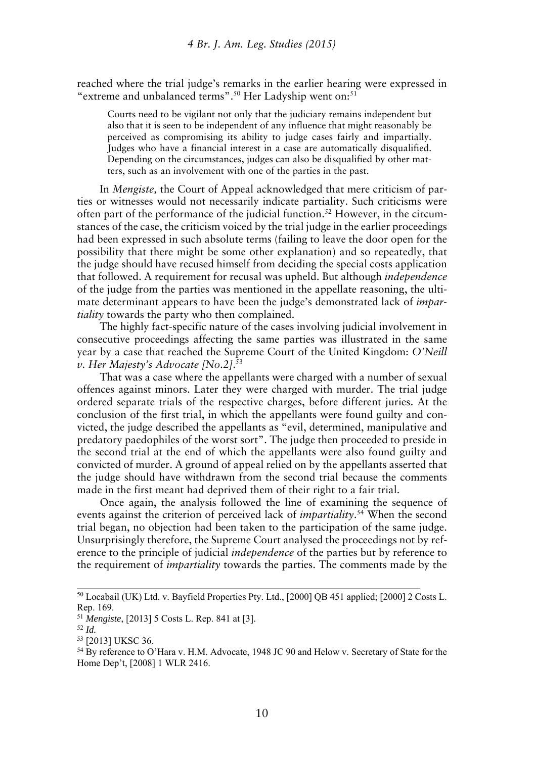reached where the trial judge's remarks in the earlier hearing were expressed in "extreme and unbalanced terms".<sup>50</sup> Her Ladyship went on:<sup>51</sup>

Courts need to be vigilant not only that the judiciary remains independent but also that it is seen to be independent of any influence that might reasonably be perceived as compromising its ability to judge cases fairly and impartially. Judges who have a financial interest in a case are automatically disqualified. Depending on the circumstances, judges can also be disqualified by other matters, such as an involvement with one of the parties in the past.

In *Mengiste,* the Court of Appeal acknowledged that mere criticism of parties or witnesses would not necessarily indicate partiality. Such criticisms were often part of the performance of the judicial function.52 However, in the circumstances of the case, the criticism voiced by the trial judge in the earlier proceedings had been expressed in such absolute terms (failing to leave the door open for the possibility that there might be some other explanation) and so repeatedly, that the judge should have recused himself from deciding the special costs application that followed. A requirement for recusal was upheld. But although *independence* of the judge from the parties was mentioned in the appellate reasoning, the ultimate determinant appears to have been the judge's demonstrated lack of *impartiality* towards the party who then complained.

The highly fact-specific nature of the cases involving judicial involvement in consecutive proceedings affecting the same parties was illustrated in the same year by a case that reached the Supreme Court of the United Kingdom: *O'Neill v. Her Majesty's Advocate [No.2]*. 53

That was a case where the appellants were charged with a number of sexual offences against minors. Later they were charged with murder. The trial judge ordered separate trials of the respective charges, before different juries. At the conclusion of the first trial, in which the appellants were found guilty and convicted, the judge described the appellants as "evil, determined, manipulative and predatory paedophiles of the worst sort". The judge then proceeded to preside in the second trial at the end of which the appellants were also found guilty and convicted of murder. A ground of appeal relied on by the appellants asserted that the judge should have withdrawn from the second trial because the comments made in the first meant had deprived them of their right to a fair trial.

Once again, the analysis followed the line of examining the sequence of events against the criterion of perceived lack of *impartiality*. 54 When the second trial began, no objection had been taken to the participation of the same judge. Unsurprisingly therefore, the Supreme Court analysed the proceedings not by reference to the principle of judicial *independence* of the parties but by reference to the requirement of *impartiality* towards the parties. The comments made by the

<sup>50</sup> Locabail (UK) Ltd. v. Bayfield Properties Pty. Ltd., [2000] QB 451 applied; [2000] 2 Costs L. Rep. 169.

<sup>51</sup> *Mengiste*, [2013] 5 Costs L. Rep. 841 at [3]. 52 *Id.*

<sup>53 [2013]</sup> UKSC 36.

<sup>&</sup>lt;sup>54</sup> By reference to O'Hara v. H.M. Advocate, 1948 JC 90 and Helow v. Secretary of State for the Home Dep't, [2008] 1 WLR 2416.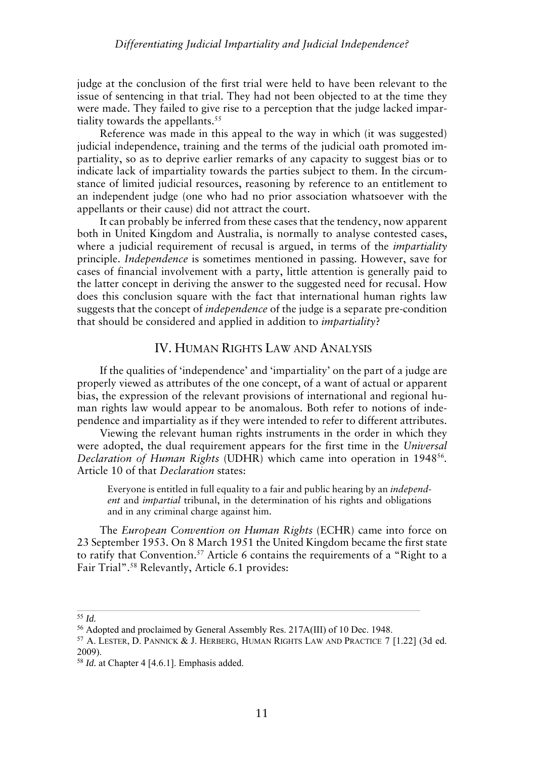judge at the conclusion of the first trial were held to have been relevant to the issue of sentencing in that trial. They had not been objected to at the time they were made. They failed to give rise to a perception that the judge lacked impartiality towards the appellants.<sup>55</sup>

Reference was made in this appeal to the way in which (it was suggested) judicial independence, training and the terms of the judicial oath promoted impartiality, so as to deprive earlier remarks of any capacity to suggest bias or to indicate lack of impartiality towards the parties subject to them. In the circumstance of limited judicial resources, reasoning by reference to an entitlement to an independent judge (one who had no prior association whatsoever with the appellants or their cause) did not attract the court.

It can probably be inferred from these cases that the tendency, now apparent both in United Kingdom and Australia, is normally to analyse contested cases, where a judicial requirement of recusal is argued, in terms of the *impartiality* principle. *Independence* is sometimes mentioned in passing. However, save for cases of financial involvement with a party, little attention is generally paid to the latter concept in deriving the answer to the suggested need for recusal. How does this conclusion square with the fact that international human rights law suggests that the concept of *independence* of the judge is a separate pre-condition that should be considered and applied in addition to *impartiality*?

#### IV. HUMAN RIGHTS LAW AND ANALYSIS

If the qualities of 'independence' and 'impartiality' on the part of a judge are properly viewed as attributes of the one concept, of a want of actual or apparent bias, the expression of the relevant provisions of international and regional human rights law would appear to be anomalous. Both refer to notions of independence and impartiality as if they were intended to refer to different attributes.

Viewing the relevant human rights instruments in the order in which they were adopted, the dual requirement appears for the first time in the *Universal Declaration of Human Rights (UDHR)* which came into operation in 1948<sup>56</sup>. Article 10 of that *Declaration* states:

Everyone is entitled in full equality to a fair and public hearing by an *independent* and *impartial* tribunal, in the determination of his rights and obligations and in any criminal charge against him.

The *European Convention on Human Rights* (ECHR) came into force on 23 September 1953. On 8 March 1951 the United Kingdom became the first state to ratify that Convention.<sup>57</sup> Article 6 contains the requirements of a "Right to a Fair Trial".58 Relevantly, Article 6.1 provides:

<sup>&</sup>lt;sup>55</sup> *Id.* example 2.5 *Id.* S<sup>56</sup> Adopted and proclaimed by General Assembly Res. 217A(III) of 10 Dec. 1948.

<sup>&</sup>lt;sup>57</sup> A. LESTER, D. PANNICK & J. HERBERG, HUMAN RIGHTS LAW AND PRACTICE 7 [1.22] (3d ed. 2009).

<sup>58</sup> *Id.* at Chapter 4 [4.6.1]. Emphasis added.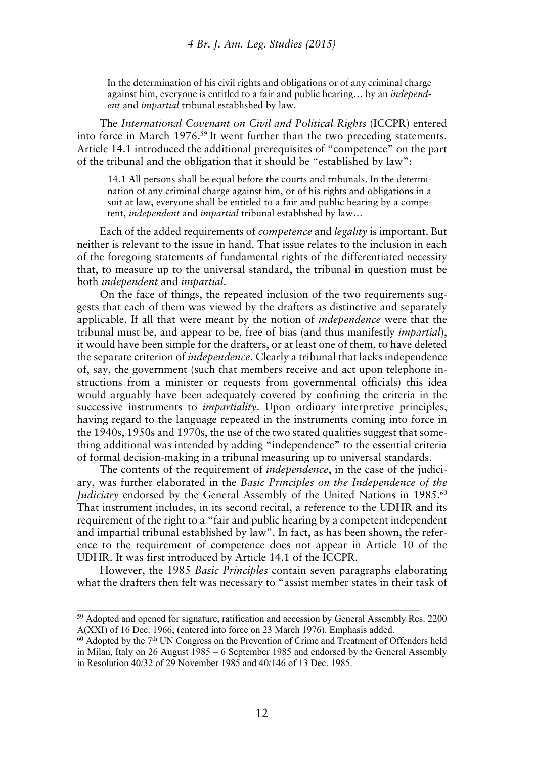In the determination of his civil rights and obligations or of any criminal charge against him, everyone is entitled to a fair and public hearing… by an *independent* and *impartial* tribunal established by law.

The *International Covenant on Civil and Political Rights* (ICCPR) entered into force in March 1976.59 It went further than the two preceding statements. Article 14.1 introduced the additional prerequisites of "competence" on the part of the tribunal and the obligation that it should be "established by law":

14.1 All persons shall be equal before the courts and tribunals. In the determination of any criminal charge against him, or of his rights and obligations in a suit at law, everyone shall be entitled to a fair and public hearing by a competent, *independent* and *impartial* tribunal established by law…

Each of the added requirements of *competence* and *legality* is important. But neither is relevant to the issue in hand. That issue relates to the inclusion in each of the foregoing statements of fundamental rights of the differentiated necessity that, to measure up to the universal standard, the tribunal in question must be both *independent* and *impartial*.

On the face of things, the repeated inclusion of the two requirements suggests that each of them was viewed by the drafters as distinctive and separately applicable. If all that were meant by the notion of *independence* were that the tribunal must be, and appear to be, free of bias (and thus manifestly *impartial*), it would have been simple for the drafters, or at least one of them, to have deleted the separate criterion of *independence*. Clearly a tribunal that lacks independence of, say, the government (such that members receive and act upon telephone instructions from a minister or requests from governmental officials) this idea would arguably have been adequately covered by confining the criteria in the successive instruments to *impartiality*. Upon ordinary interpretive principles, having regard to the language repeated in the instruments coming into force in the 1940s, 1950s and 1970s, the use of the two stated qualities suggest that something additional was intended by adding "independence" to the essential criteria of formal decision-making in a tribunal measuring up to universal standards.

The contents of the requirement of *independence*, in the case of the judiciary, was further elaborated in the *Basic Principles on the Independence of the Judiciary* endorsed by the General Assembly of the United Nations in 1985.<sup>60</sup> That instrument includes, in its second recital, a reference to the UDHR and its requirement of the right to a "fair and public hearing by a competent independent and impartial tribunal established by law". In fact, as has been shown, the reference to the requirement of competence does not appear in Article 10 of the UDHR. It was first introduced by Article 14.1 of the ICCPR.

However, the 1985 *Basic Principles* contain seven paragraphs elaborating what the drafters then felt was necessary to "assist member states in their task of

<sup>&</sup>lt;sup>59</sup> Adopted and opened for signature, ratification and accession by General Assembly Res. 2200 A(XXI) of 16 Dec. 1966; (entered into force on 23 March 1976). Emphasis added.<br><sup>60</sup> Adopted by the 7<sup>th</sup> UN Congress on the Prevention of Crime and Treatment of Offenders held

in Milan, Italy on 26 August 1985 – 6 September 1985 and endorsed by the General Assembly in Resolution 40/32 of 29 November 1985 and 40/146 of 13 Dec. 1985.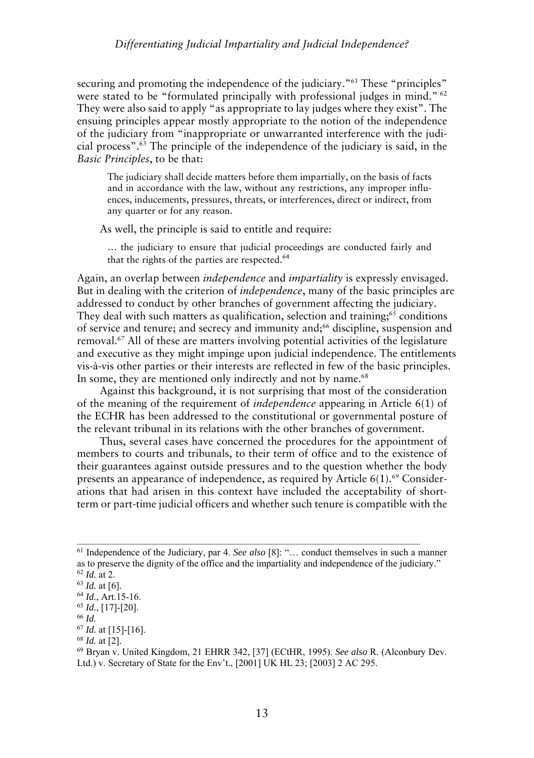#### *Differentiating Judicial Impartiality and Judicial Independence?*

securing and promoting the independence of the judiciary."<sup>61</sup> These "principles" were stated to be "formulated principally with professional judges in mind." <sup>62</sup> They were also said to apply "as appropriate to lay judges where they exist". The ensuing principles appear mostly appropriate to the notion of the independence of the judiciary from "inappropriate or unwarranted interference with the judicial process".63 The principle of the independence of the judiciary is said, in the *Basic Principles*, to be that:

The judiciary shall decide matters before them impartially, on the basis of facts and in accordance with the law, without any restrictions, any improper influences, inducements, pressures, threats, or interferences, direct or indirect, from any quarter or for any reason.

As well, the principle is said to entitle and require:

… the judiciary to ensure that judicial proceedings are conducted fairly and that the rights of the parties are respected.<sup>64</sup>

Again, an overlap between *independence* and *impartiality* is expressly envisaged. But in dealing with the criterion of *independence*, many of the basic principles are addressed to conduct by other branches of government affecting the judiciary. They deal with such matters as qualification, selection and training; $65$  conditions of service and tenure; and secrecy and immunity and;66 discipline, suspension and removal.67 All of these are matters involving potential activities of the legislature and executive as they might impinge upon judicial independence. The entitlements vis-à-vis other parties or their interests are reflected in few of the basic principles. In some, they are mentioned only indirectly and not by name.<sup>68</sup>

Against this background, it is not surprising that most of the consideration of the meaning of the requirement of *independence* appearing in Article 6(1) of the ECHR has been addressed to the constitutional or governmental posture of the relevant tribunal in its relations with the other branches of government.

Thus, several cases have concerned the procedures for the appointment of members to courts and tribunals, to their term of office and to the existence of their guarantees against outside pressures and to the question whether the body presents an appearance of independence, as required by Article 6(1).69 Considerations that had arisen in this context have included the acceptability of shortterm or part-time judicial officers and whether such tenure is compatible with the

<sup>61</sup> Independence of the Judiciary, par 4. *See also* [8]: "… conduct themselves in such a manner as to preserve the dignity of the office and the impartiality and independence of the judiciary."<br>
<sup>62</sup> *Id.* at 2.<br>
<sup>63</sup> *Id.* at [6].<br>
<sup>64</sup> *Id.*, Art.15-16.<br>
<sup>65</sup> *Id.*, [17]-[20].<br>
<sup>66</sup> *Id.* <sup>67</sup> *Id.* at [15]-[16].

<sup>&</sup>lt;sup>68</sup> *Id.* at [2]. *COMBRET At at [2]*. *COMBRET At at a EHRR 342, [37]* (ECtHR, 1995). *See also* R. (Alconbury Dev. Ltd.) v. Secretary of State for the Env't., [2001] UK HL 23; [2003] 2 AC 295.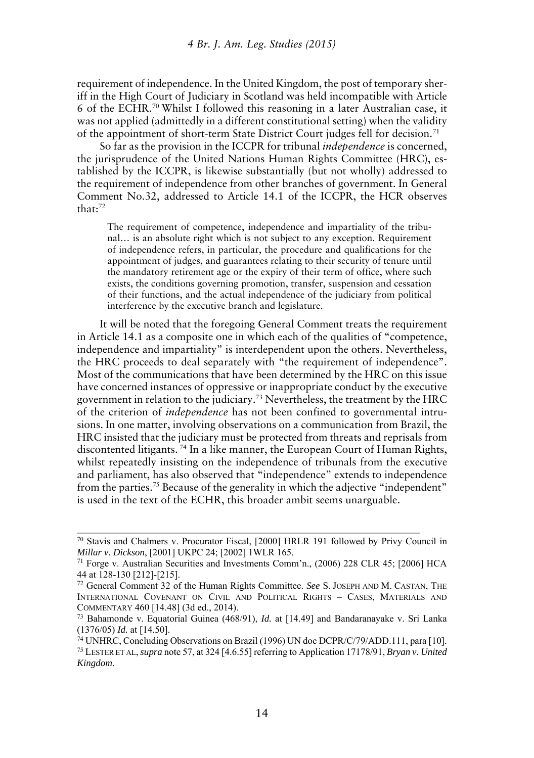requirement of independence. In the United Kingdom, the post of temporary sheriff in the High Court of Judiciary in Scotland was held incompatible with Article 6 of the ECHR.70 Whilst I followed this reasoning in a later Australian case, it was not applied (admittedly in a different constitutional setting) when the validity of the appointment of short-term State District Court judges fell for decision.71

So far as the provision in the ICCPR for tribunal *independence* is concerned, the jurisprudence of the United Nations Human Rights Committee (HRC), established by the ICCPR, is likewise substantially (but not wholly) addressed to the requirement of independence from other branches of government. In General Comment No.32, addressed to Article 14.1 of the ICCPR, the HCR observes  $that:$ <sup>72</sup>

The requirement of competence, independence and impartiality of the tribunal… is an absolute right which is not subject to any exception. Requirement of independence refers, in particular, the procedure and qualifications for the appointment of judges, and guarantees relating to their security of tenure until the mandatory retirement age or the expiry of their term of office, where such exists, the conditions governing promotion, transfer, suspension and cessation of their functions, and the actual independence of the judiciary from political interference by the executive branch and legislature.

It will be noted that the foregoing General Comment treats the requirement in Article 14.1 as a composite one in which each of the qualities of "competence, independence and impartiality" is interdependent upon the others. Nevertheless, the HRC proceeds to deal separately with "the requirement of independence". Most of the communications that have been determined by the HRC on this issue have concerned instances of oppressive or inappropriate conduct by the executive government in relation to the judiciary.73 Nevertheless, the treatment by the HRC of the criterion of *independence* has not been confined to governmental intrusions. In one matter, involving observations on a communication from Brazil, the HRC insisted that the judiciary must be protected from threats and reprisals from discontented litigants. 74 In a like manner, the European Court of Human Rights, whilst repeatedly insisting on the independence of tribunals from the executive and parliament, has also observed that "independence" extends to independence from the parties.75 Because of the generality in which the adjective "independent" is used in the text of the ECHR, this broader ambit seems unarguable.

<sup>70</sup> Stavis and Chalmers v. Procurator Fiscal, [2000] HRLR 191 followed by Privy Council in *Millar v. Dickson*, [2001] UKPC 24; [2002] 1WLR 165.<br><sup>71</sup> Forge v. Australian Securities and Investments Comm'n., (2006) 228 CLR 45; [2006] HCA

<sup>44</sup> at 128-130 [212]-[215].

<sup>72</sup> General Comment 32 of the Human Rights Committee. *See* S. JOSEPH AND M. CASTAN, THE INTERNATIONAL COVENANT ON CIVIL AND POLITICAL RIGHTS – CASES, MATERIALS AND COMMENTARY 460 [14.48] (3d ed., 2014).

<sup>&</sup>lt;sup>73</sup> Bahamonde v. Equatorial Guinea (468/91), *Id.* at [14.49] and Bandaranayake v. Sri Lanka (1376/05) *Id.* at [14.50].

<sup>&</sup>lt;sup>74</sup> UNHRC, Concluding Observations on Brazil (1996) UN doc DCPR/C/79/ADD.111, para [10].<br><sup>75</sup> LESTER ET AL, *supra* note 57, at 324 [4.6.55] referring to Application 17178/91, *Bryan v. United* 

*Kingdom*.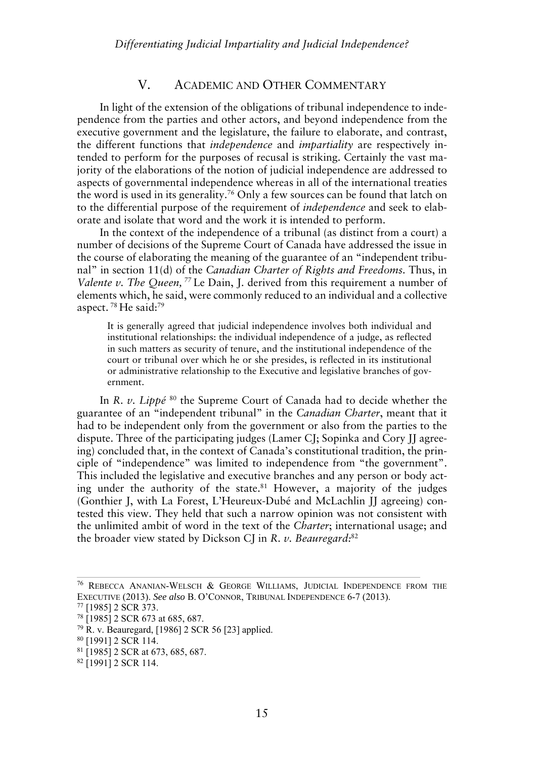#### V. ACADEMIC AND OTHER COMMENTARY

In light of the extension of the obligations of tribunal independence to independence from the parties and other actors, and beyond independence from the executive government and the legislature, the failure to elaborate, and contrast, the different functions that *independence* and *impartiality* are respectively intended to perform for the purposes of recusal is striking. Certainly the vast majority of the elaborations of the notion of judicial independence are addressed to aspects of governmental independence whereas in all of the international treaties the word is used in its generality.76 Only a few sources can be found that latch on to the differential purpose of the requirement of *independence* and seek to elaborate and isolate that word and the work it is intended to perform.

In the context of the independence of a tribunal (as distinct from a court) a number of decisions of the Supreme Court of Canada have addressed the issue in the course of elaborating the meaning of the guarantee of an "independent tribunal" in section 11(d) of the *Canadian Charter of Rights and Freedoms.* Thus, in *Valente v. The Queen,* <sup>77</sup> Le Dain, J. derived from this requirement a number of elements which, he said, were commonly reduced to an individual and a collective aspect. <sup>78</sup> He said:79

It is generally agreed that judicial independence involves both individual and institutional relationships: the individual independence of a judge, as reflected in such matters as security of tenure, and the institutional independence of the court or tribunal over which he or she presides, is reflected in its institutional or administrative relationship to the Executive and legislative branches of government.

In *R. v. Lippé* <sup>80</sup> the Supreme Court of Canada had to decide whether the guarantee of an "independent tribunal" in the *Canadian Charter*, meant that it had to be independent only from the government or also from the parties to the dispute. Three of the participating judges (Lamer CJ; Sopinka and Cory JJ agreeing) concluded that, in the context of Canada's constitutional tradition, the principle of "independence" was limited to independence from "the government". This included the legislative and executive branches and any person or body acting under the authority of the state.<sup>81</sup> However, a majority of the judges (Gonthier J, with La Forest, L'Heureux-Dubé and McLachlin JJ agreeing) contested this view. They held that such a narrow opinion was not consistent with the unlimited ambit of word in the text of the *Charter*; international usage; and the broader view stated by Dickson CJ in *R. v. Beauregard:*<sup>82</sup>

<sup>76</sup> REBECCA ANANIAN-WELSCH & GEORGE WILLIAMS, JUDICIAL INDEPENDENCE FROM THE EXECUTIVE (2013). *See also* B. O'CONNOR, TRIBUNAL INDEPENDENCE 6-7 (2013). 77 [1985] 2 SCR 373.

<sup>78 [1985] 2</sup> SCR 673 at 685, 687.

<sup>79</sup> R. v. Beauregard, [1986] 2 SCR 56 [23] applied.

<sup>80 [1991] 2</sup> SCR 114.

<sup>81 [1985] 2</sup> SCR at 673, 685, 687.

 $82$  [1991] 2 SCR 114.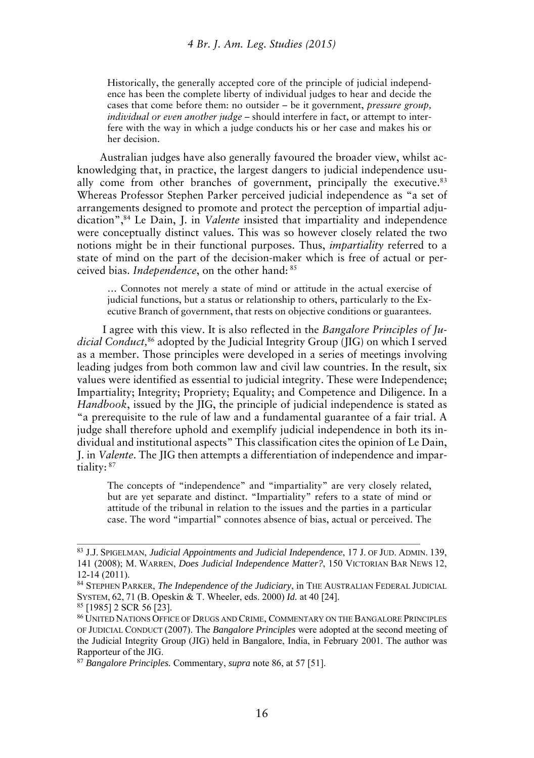Historically, the generally accepted core of the principle of judicial independence has been the complete liberty of individual judges to hear and decide the cases that come before them: no outsider – be it government, *pressure group, individual or even another judge* – should interfere in fact, or attempt to interfere with the way in which a judge conducts his or her case and makes his or her decision.

Australian judges have also generally favoured the broader view, whilst acknowledging that, in practice, the largest dangers to judicial independence usually come from other branches of government, principally the executive.<sup>83</sup> Whereas Professor Stephen Parker perceived judicial independence as "a set of arrangements designed to promote and protect the perception of impartial adjudication",84 Le Dain, J. in *Valente* insisted that impartiality and independence were conceptually distinct values. This was so however closely related the two notions might be in their functional purposes. Thus, *impartiality* referred to a state of mind on the part of the decision-maker which is free of actual or perceived bias. *Independence*, on the other hand: 85

… Connotes not merely a state of mind or attitude in the actual exercise of judicial functions, but a status or relationship to others, particularly to the Executive Branch of government, that rests on objective conditions or guarantees.

 I agree with this view. It is also reflected in the *Bangalore Principles of Judicial Conduct,*86 adopted by the Judicial Integrity Group (JIG) on which I served as a member. Those principles were developed in a series of meetings involving leading judges from both common law and civil law countries. In the result, six values were identified as essential to judicial integrity. These were Independence; Impartiality; Integrity; Propriety; Equality; and Competence and Diligence. In a *Handbook*, issued by the JIG, the principle of judicial independence is stated as "a prerequisite to the rule of law and a fundamental guarantee of a fair trial. A judge shall therefore uphold and exemplify judicial independence in both its individual and institutional aspects" This classification cites the opinion of Le Dain, J. in *Valente*. The JIG then attempts a differentiation of independence and impartiality: 87

The concepts of "independence" and "impartiality" are very closely related, but are yet separate and distinct. "Impartiality" refers to a state of mind or attitude of the tribunal in relation to the issues and the parties in a particular case. The word "impartial" connotes absence of bias, actual or perceived. The

<sup>83</sup> J.J. SPIGELMAN, *Judicial Appointments and Judicial Independence*, 17 J. OF JUD. ADMIN. 139, 141 (2008); M. WARREN, *Does Judicial Independence Matter?*, 150 VICTORIAN BAR NEWS 12, 12-14 (2011).

<sup>84</sup> STEPHEN PARKER, *The Independence of the Judiciary*, in THE AUSTRALIAN FEDERAL JUDICIAL SYSTEM, 62, <sup>71</sup> (B. Opeskin & T. Wheeler, eds. 2000) *Id.* at 40 [24]. 85 [1985] 2 SCR 56 [23].

<sup>86</sup> UNITED NATIONS OFFICE OF DRUGS AND CRIME, COMMENTARY ON THE BANGALORE PRINCIPLES OF JUDICIAL CONDUCT (2007). The *Bangalore Principles* were adopted at the second meeting of the Judicial Integrity Group (JIG) held in Bangalore, India, in February 2001. The author was Rapporteur of the JIG.

<sup>87</sup> *Bangalore Principles.* Commentary, *supra* note 86, at 57 [51].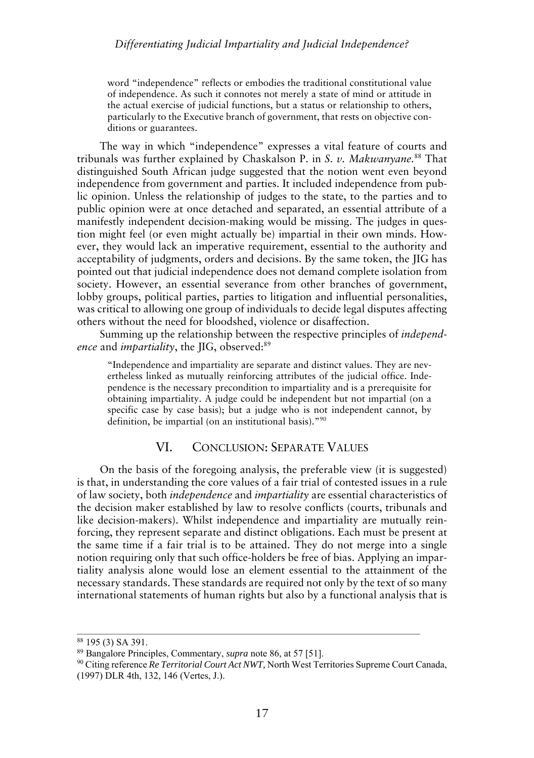#### *Differentiating Judicial Impartiality and Judicial Independence?*

word "independence" reflects or embodies the traditional constitutional value of independence. As such it connotes not merely a state of mind or attitude in the actual exercise of judicial functions, but a status or relationship to others, particularly to the Executive branch of government, that rests on objective conditions or guarantees.

The way in which "independence" expresses a vital feature of courts and tribunals was further explained by Chaskalson P. in *S. v. Makwanyane.*<sup>88</sup> That distinguished South African judge suggested that the notion went even beyond independence from government and parties. It included independence from public opinion. Unless the relationship of judges to the state, to the parties and to public opinion were at once detached and separated, an essential attribute of a manifestly independent decision-making would be missing. The judges in question might feel (or even might actually be) impartial in their own minds. However, they would lack an imperative requirement, essential to the authority and acceptability of judgments, orders and decisions. By the same token, the JIG has pointed out that judicial independence does not demand complete isolation from society. However, an essential severance from other branches of government, lobby groups, political parties, parties to litigation and influential personalities, was critical to allowing one group of individuals to decide legal disputes affecting others without the need for bloodshed, violence or disaffection.

Summing up the relationship between the respective principles of *independence* and *impartiality*, the JIG, observed:<sup>89</sup>

"Independence and impartiality are separate and distinct values. They are nevertheless linked as mutually reinforcing attributes of the judicial office. Independence is the necessary precondition to impartiality and is a prerequisite for obtaining impartiality. A judge could be independent but not impartial (on a specific case by case basis); but a judge who is not independent cannot, by definition, be impartial (on an institutional basis)."90

#### VI. CONCLUSION: SEPARATE VALUES

On the basis of the foregoing analysis, the preferable view (it is suggested) is that, in understanding the core values of a fair trial of contested issues in a rule of law society, both *independence* and *impartiality* are essential characteristics of the decision maker established by law to resolve conflicts (courts, tribunals and like decision-makers). Whilst independence and impartiality are mutually reinforcing, they represent separate and distinct obligations. Each must be present at the same time if a fair trial is to be attained. They do not merge into a single notion requiring only that such office-holders be free of bias. Applying an impartiality analysis alone would lose an element essential to the attainment of the necessary standards. These standards are required not only by the text of so many international statements of human rights but also by a functional analysis that is

 $88$  195 (3) SA 391.<br> $89$  Bangalore Principles, Commentary, *supra* note 86, at 57 [51].

<sup>&</sup>lt;sup>90</sup> Citing reference *Re Territorial Court Act NWT*, North West Territories Supreme Court Canada, (1997) DLR 4th, 132, 146 (Vertes, J.).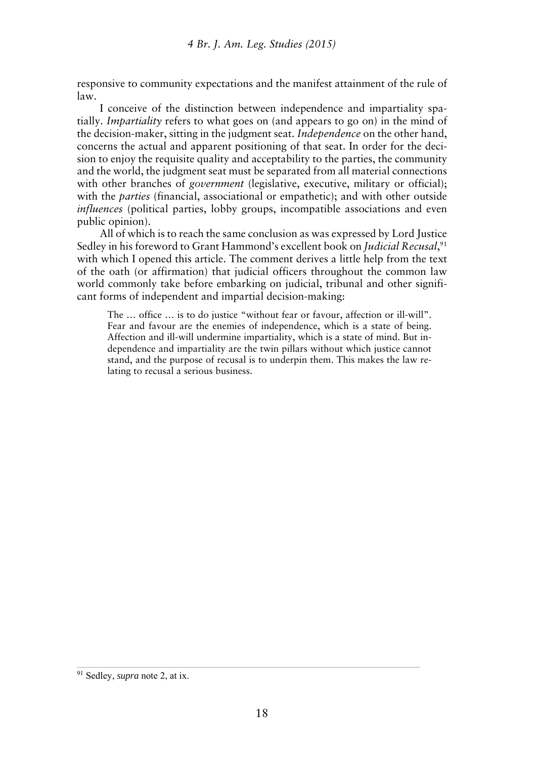responsive to community expectations and the manifest attainment of the rule of law.

I conceive of the distinction between independence and impartiality spatially. *Impartiality* refers to what goes on (and appears to go on) in the mind of the decision-maker, sitting in the judgment seat. *Independence* on the other hand, concerns the actual and apparent positioning of that seat. In order for the decision to enjoy the requisite quality and acceptability to the parties, the community and the world, the judgment seat must be separated from all material connections with other branches of *government* (legislative, executive, military or official); with the *parties* (financial, associational or empathetic); and with other outside *influences* (political parties, lobby groups, incompatible associations and even public opinion).

All of which is to reach the same conclusion as was expressed by Lord Justice Sedley in his foreword to Grant Hammond's excellent book on *Judicial Recusal*, 91 with which I opened this article. The comment derives a little help from the text of the oath (or affirmation) that judicial officers throughout the common law world commonly take before embarking on judicial, tribunal and other significant forms of independent and impartial decision-making:

The … office … is to do justice "without fear or favour, affection or ill-will". Fear and favour are the enemies of independence, which is a state of being. Affection and ill-will undermine impartiality, which is a state of mind. But independence and impartiality are the twin pillars without which justice cannot stand, and the purpose of recusal is to underpin them. This makes the law relating to recusal a serious business.

<sup>91</sup> Sedley, *supra* note 2, at ix.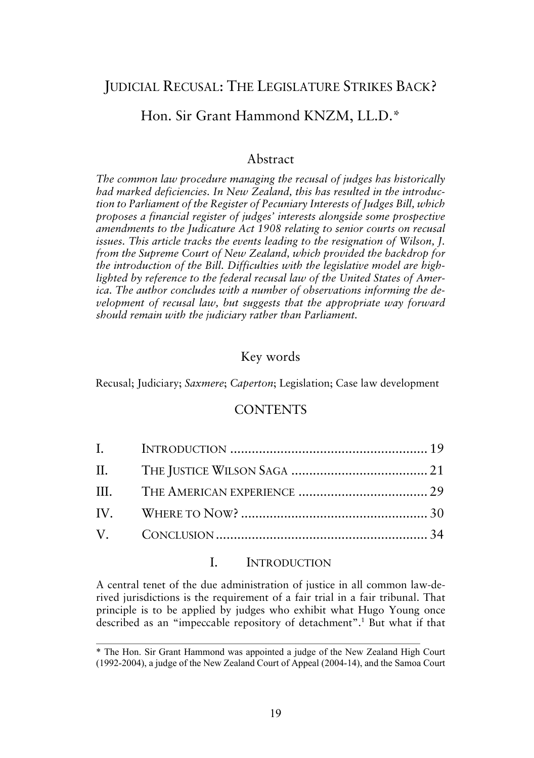# <span id="page-22-0"></span>JUDICIAL RECUSAL: THE LEGISLATURE STRIKES BACK?

# Hon. Sir Grant Hammond KNZM, LL.D.\*

#### Abstract

*The common law procedure managing the recusal of judges has historically had marked deficiencies. In New Zealand, this has resulted in the introduction to Parliament of the Register of Pecuniary Interests of Judges Bill, which proposes a financial register of judges' interests alongside some prospective amendments to the Judicature Act 1908 relating to senior courts on recusal issues. This article tracks the events leading to the resignation of Wilson, J. from the Supreme Court of New Zealand, which provided the backdrop for the introduction of the Bill. Difficulties with the legislative model are highlighted by reference to the federal recusal law of the United States of America. The author concludes with a number of observations informing the development of recusal law, but suggests that the appropriate way forward should remain with the judiciary rather than Parliament.* 

# Key words

Recusal; Judiciary; *Saxmere*; *Caperton*; Legislation; Case law development

# **CONTENTS**

#### I. INTRODUCTION

A central tenet of the due administration of justice in all common law-derived jurisdictions is the requirement of a fair trial in a fair tribunal. That principle is to be applied by judges who exhibit what Hugo Young once described as an "impeccable repository of detachment".1 But what if that

<sup>\*</sup> The Hon. Sir Grant Hammond was appointed a judge of the New Zealand High Court (1992-2004), a judge of the New Zealand Court of Appeal (2004-14), and the Samoa Court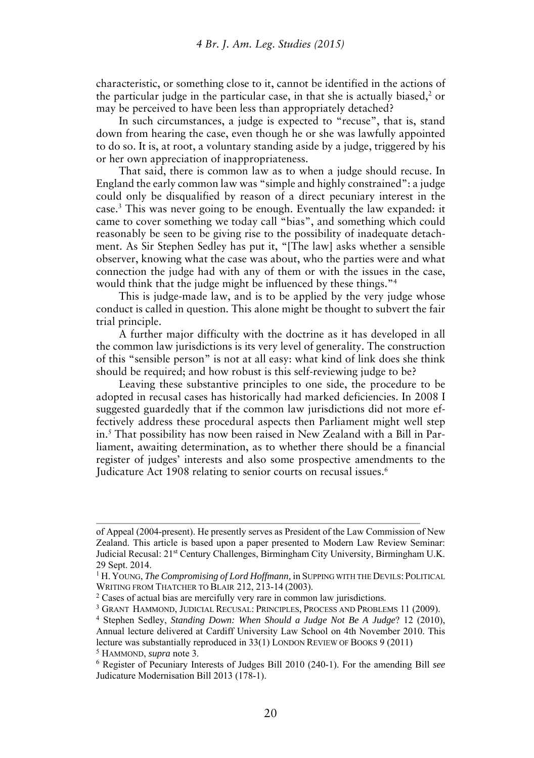characteristic, or something close to it, cannot be identified in the actions of the particular judge in the particular case, in that she is actually biased, $2$  or may be perceived to have been less than appropriately detached?

In such circumstances, a judge is expected to "recuse", that is, stand down from hearing the case, even though he or she was lawfully appointed to do so. It is, at root, a voluntary standing aside by a judge, triggered by his or her own appreciation of inappropriateness.

That said, there is common law as to when a judge should recuse. In England the early common law was "simple and highly constrained": a judge could only be disqualified by reason of a direct pecuniary interest in the case.<sup>3</sup> This was never going to be enough. Eventually the law expanded: it came to cover something we today call "bias", and something which could reasonably be seen to be giving rise to the possibility of inadequate detachment. As Sir Stephen Sedley has put it, "[The law] asks whether a sensible observer, knowing what the case was about, who the parties were and what connection the judge had with any of them or with the issues in the case, would think that the judge might be influenced by these things."4

This is judge-made law, and is to be applied by the very judge whose conduct is called in question. This alone might be thought to subvert the fair trial principle.

A further major difficulty with the doctrine as it has developed in all the common law jurisdictions is its very level of generality. The construction of this "sensible person" is not at all easy: what kind of link does she think should be required; and how robust is this self-reviewing judge to be?

Leaving these substantive principles to one side, the procedure to be adopted in recusal cases has historically had marked deficiencies. In 2008 I suggested guardedly that if the common law jurisdictions did not more effectively address these procedural aspects then Parliament might well step in.5 That possibility has now been raised in New Zealand with a Bill in Parliament, awaiting determination, as to whether there should be a financial register of judges' interests and also some prospective amendments to the Judicature Act 1908 relating to senior courts on recusal issues.<sup>6</sup>

of Appeal (2004-present). He presently serves as President of the Law Commission of New Zealand. This article is based upon a paper presented to Modern Law Review Seminar: Judicial Recusal: 21st Century Challenges, Birmingham City University, Birmingham U.K. 29 Sept. 2014.

<sup>&</sup>lt;sup>1</sup> H. YOUNG, *The Compromising of Lord Hoffmann*, in SUPPING WITH THE DEVILS: POLITICAL WRITING FROM THATCHER TO BLAIR 212, 213-14 (2003).<br>
<sup>2</sup> Cases of actual bias are mercifully very rare in common law jurisdictions.<br>
<sup>3</sup> GRANT HAMMOND, JUDICIAL RECUSAL: PRINCIPLES, PROCESS AND PROBLEMS 11 (2009).<br>
<sup>4</sup> Step

Annual lecture delivered at Cardiff University Law School on 4th November 2010. This lecture was substantially reproduced in 33(1) LONDON REVIEW OF BOOKS 9 (2011)<br><sup>5</sup> HAMMOND, *supra* note 3.<br><sup>6</sup> Register of Pecuniary Interests of Judges Bill 2010 (240-1). For the amending Bill *see* 

Judicature Modernisation Bill 2013 (178-1).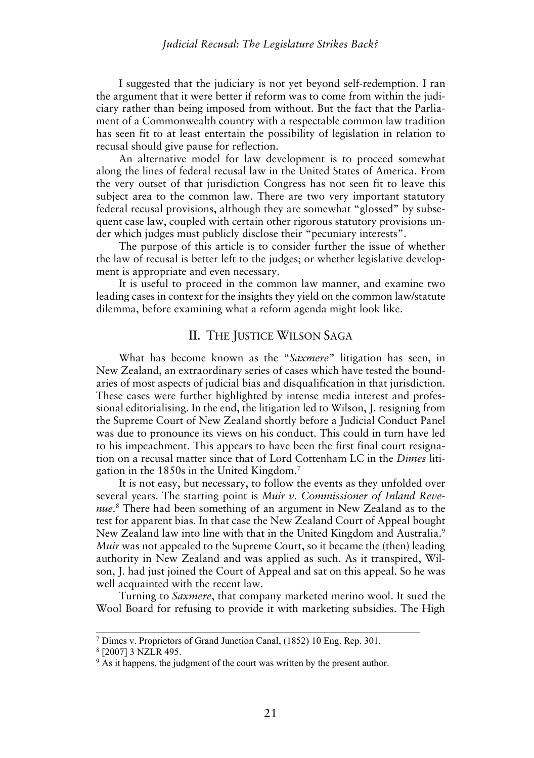I suggested that the judiciary is not yet beyond self-redemption. I ran the argument that it were better if reform was to come from within the judiciary rather than being imposed from without. But the fact that the Parliament of a Commonwealth country with a respectable common law tradition has seen fit to at least entertain the possibility of legislation in relation to recusal should give pause for reflection.

An alternative model for law development is to proceed somewhat along the lines of federal recusal law in the United States of America. From the very outset of that jurisdiction Congress has not seen fit to leave this subject area to the common law. There are two very important statutory federal recusal provisions, although they are somewhat "glossed" by subsequent case law, coupled with certain other rigorous statutory provisions under which judges must publicly disclose their "pecuniary interests".

The purpose of this article is to consider further the issue of whether the law of recusal is better left to the judges; or whether legislative development is appropriate and even necessary.

It is useful to proceed in the common law manner, and examine two leading cases in context for the insights they yield on the common law/statute dilemma, before examining what a reform agenda might look like.

#### II. THE JUSTICE WILSON SAGA

What has become known as the "*Saxmere*" litigation has seen, in New Zealand, an extraordinary series of cases which have tested the boundaries of most aspects of judicial bias and disqualification in that jurisdiction. These cases were further highlighted by intense media interest and professional editorialising. In the end, the litigation led to Wilson, J. resigning from the Supreme Court of New Zealand shortly before a Judicial Conduct Panel was due to pronounce its views on his conduct. This could in turn have led to his impeachment. This appears to have been the first final court resignation on a recusal matter since that of Lord Cottenham LC in the *Dimes* litigation in the 1850s in the United Kingdom.7

It is not easy, but necessary, to follow the events as they unfolded over several years. The starting point is *Muir v. Commissioner of Inland Revenue.*<sup>8</sup> There had been something of an argument in New Zealand as to the test for apparent bias. In that case the New Zealand Court of Appeal bought New Zealand law into line with that in the United Kingdom and Australia.<sup>9</sup> *Muir* was not appealed to the Supreme Court, so it became the (then) leading authority in New Zealand and was applied as such. As it transpired, Wilson, J. had just joined the Court of Appeal and sat on this appeal. So he was well acquainted with the recent law.

Turning to *Saxmere*, that company marketed merino wool. It sued the Wool Board for refusing to provide it with marketing subsidies. The High

<sup>&</sup>lt;sup>7</sup> Dimes v. Proprietors of Grand Junction Canal, (1852) 10 Eng. Rep. 301.  $8$  [2007] 3 NZLR 495.

<sup>&</sup>lt;sup>9</sup> As it happens, the judgment of the court was written by the present author.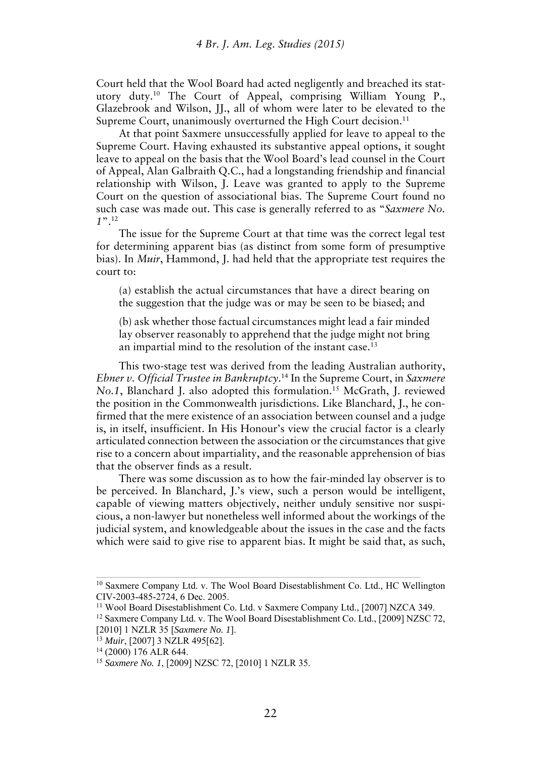Court held that the Wool Board had acted negligently and breached its statutory duty.10 The Court of Appeal, comprising William Young P., Glazebrook and Wilson, JJ., all of whom were later to be elevated to the Supreme Court, unanimously overturned the High Court decision.<sup>11</sup>

At that point Saxmere unsuccessfully applied for leave to appeal to the Supreme Court. Having exhausted its substantive appeal options, it sought leave to appeal on the basis that the Wool Board's lead counsel in the Court of Appeal, Alan Galbraith Q.C., had a longstanding friendship and financial relationship with Wilson, J. Leave was granted to apply to the Supreme Court on the question of associational bias. The Supreme Court found no such case was made out. This case is generally referred to as "*Saxmere No. 1*".12

The issue for the Supreme Court at that time was the correct legal test for determining apparent bias (as distinct from some form of presumptive bias). In *Muir*, Hammond, J. had held that the appropriate test requires the court to:

(a) establish the actual circumstances that have a direct bearing on the suggestion that the judge was or may be seen to be biased; and

(b) ask whether those factual circumstances might lead a fair minded lay observer reasonably to apprehend that the judge might not bring an impartial mind to the resolution of the instant case.<sup>13</sup>

This two-stage test was derived from the leading Australian authority, *Ebner v. Official Trustee in Bankruptcy*. 14 In the Supreme Court, in *Saxmere No.1*, Blanchard J. also adopted this formulation.15 McGrath, J. reviewed the position in the Commonwealth jurisdictions. Like Blanchard, J., he confirmed that the mere existence of an association between counsel and a judge is, in itself, insufficient. In His Honour's view the crucial factor is a clearly articulated connection between the association or the circumstances that give rise to a concern about impartiality, and the reasonable apprehension of bias that the observer finds as a result.

There was some discussion as to how the fair-minded lay observer is to be perceived. In Blanchard, J.'s view, such a person would be intelligent, capable of viewing matters objectively, neither unduly sensitive nor suspicious, a non-lawyer but nonetheless well informed about the workings of the judicial system, and knowledgeable about the issues in the case and the facts which were said to give rise to apparent bias. It might be said that, as such,

<sup>10</sup> Saxmere Company Ltd. v. The Wool Board Disestablishment Co. Ltd., HC Wellington CIV-2003-485-2724, 6 Dec. 2005.

<sup>&</sup>lt;sup>11</sup> Wool Board Disestablishment Co. Ltd. v Saxmere Company Ltd., [2007] NZCA 349.<br><sup>12</sup> Saxmere Company Ltd. v. The Wool Board Disestablishment Co. Ltd., [2009] NZSC 72,

<sup>[2010] 1</sup> NZLR 35 [*Saxmere No. 1*]. 13 *Muir*, [2007] 3 NZLR 495[62]. 14 (2000) 176 ALR 644.

<sup>15</sup> *Saxmere No. 1*, [2009] NZSC 72, [2010] 1 NZLR 35.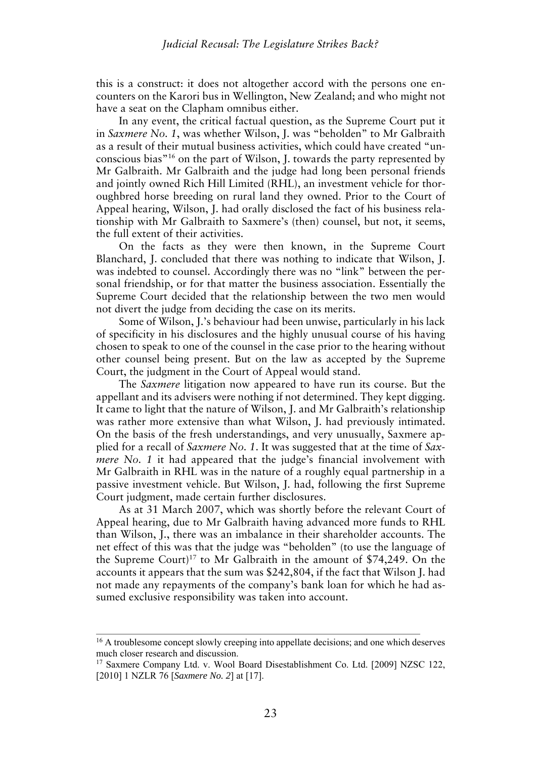this is a construct: it does not altogether accord with the persons one encounters on the Karori bus in Wellington, New Zealand; and who might not have a seat on the Clapham omnibus either.

In any event, the critical factual question, as the Supreme Court put it in *Saxmere No. 1*, was whether Wilson, J. was "beholden" to Mr Galbraith as a result of their mutual business activities, which could have created "unconscious bias"16 on the part of Wilson, J. towards the party represented by Mr Galbraith. Mr Galbraith and the judge had long been personal friends and jointly owned Rich Hill Limited (RHL), an investment vehicle for thoroughbred horse breeding on rural land they owned. Prior to the Court of Appeal hearing, Wilson, J. had orally disclosed the fact of his business relationship with Mr Galbraith to Saxmere's (then) counsel, but not, it seems, the full extent of their activities.

On the facts as they were then known, in the Supreme Court Blanchard, J. concluded that there was nothing to indicate that Wilson, J. was indebted to counsel. Accordingly there was no "link" between the personal friendship, or for that matter the business association. Essentially the Supreme Court decided that the relationship between the two men would not divert the judge from deciding the case on its merits.

Some of Wilson, J.'s behaviour had been unwise, particularly in his lack of specificity in his disclosures and the highly unusual course of his having chosen to speak to one of the counsel in the case prior to the hearing without other counsel being present. But on the law as accepted by the Supreme Court, the judgment in the Court of Appeal would stand.

The *Saxmere* litigation now appeared to have run its course. But the appellant and its advisers were nothing if not determined. They kept digging. It came to light that the nature of Wilson, J. and Mr Galbraith's relationship was rather more extensive than what Wilson, J. had previously intimated. On the basis of the fresh understandings, and very unusually, Saxmere applied for a recall of *Saxmere No. 1*. It was suggested that at the time of *Saxmere No. 1* it had appeared that the judge's financial involvement with Mr Galbraith in RHL was in the nature of a roughly equal partnership in a passive investment vehicle. But Wilson, J. had, following the first Supreme Court judgment, made certain further disclosures.

As at 31 March 2007, which was shortly before the relevant Court of Appeal hearing, due to Mr Galbraith having advanced more funds to RHL than Wilson, J., there was an imbalance in their shareholder accounts. The net effect of this was that the judge was "beholden" (to use the language of the Supreme Court)<sup>17</sup> to Mr Galbraith in the amount of \$74,249. On the accounts it appears that the sum was \$242,804, if the fact that Wilson J. had not made any repayments of the company's bank loan for which he had assumed exclusive responsibility was taken into account.

<sup>&</sup>lt;sup>16</sup> A troublesome concept slowly creeping into appellate decisions; and one which deserves much closer research and discussion.

<sup>17</sup> Saxmere Company Ltd. v. Wool Board Disestablishment Co. Ltd. [2009] NZSC 122, [2010] 1 NZLR 76 [*Saxmere No. 2*] at [17].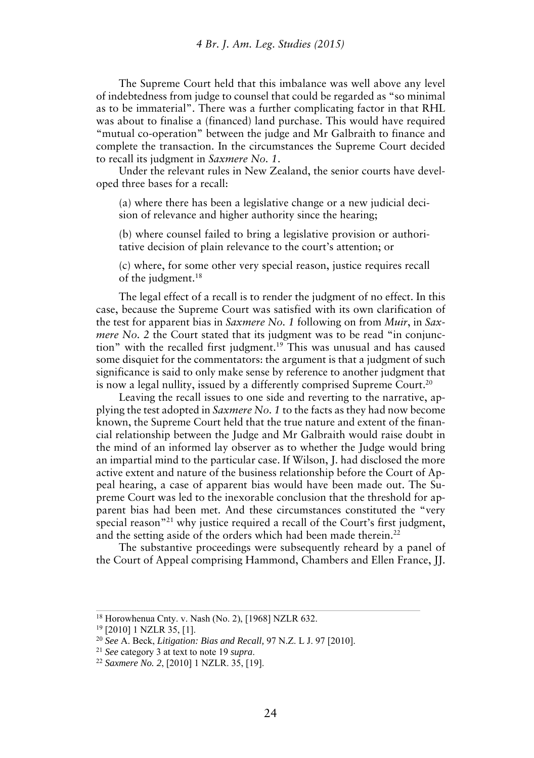The Supreme Court held that this imbalance was well above any level of indebtedness from judge to counsel that could be regarded as "so minimal as to be immaterial". There was a further complicating factor in that RHL was about to finalise a (financed) land purchase. This would have required "mutual co-operation" between the judge and Mr Galbraith to finance and complete the transaction. In the circumstances the Supreme Court decided to recall its judgment in *Saxmere No. 1*.

Under the relevant rules in New Zealand, the senior courts have developed three bases for a recall:

(a) where there has been a legislative change or a new judicial decision of relevance and higher authority since the hearing;

(b) where counsel failed to bring a legislative provision or authoritative decision of plain relevance to the court's attention; or

(c) where, for some other very special reason, justice requires recall of the judgment.18

The legal effect of a recall is to render the judgment of no effect. In this case, because the Supreme Court was satisfied with its own clarification of the test for apparent bias in *Saxmere No. 1* following on from *Muir*, in *Saxmere* No. 2 the Court stated that its judgment was to be read "in conjunction" with the recalled first judgment.19 This was unusual and has caused some disquiet for the commentators: the argument is that a judgment of such significance is said to only make sense by reference to another judgment that is now a legal nullity, issued by a differently comprised Supreme Court.<sup>20</sup>

Leaving the recall issues to one side and reverting to the narrative, applying the test adopted in *Saxmere No. 1* to the facts as they had now become known, the Supreme Court held that the true nature and extent of the financial relationship between the Judge and Mr Galbraith would raise doubt in the mind of an informed lay observer as to whether the Judge would bring an impartial mind to the particular case. If Wilson, J. had disclosed the more active extent and nature of the business relationship before the Court of Appeal hearing, a case of apparent bias would have been made out. The Supreme Court was led to the inexorable conclusion that the threshold for apparent bias had been met. And these circumstances constituted the "very special reason"<sup>21</sup> why justice required a recall of the Court's first judgment, and the setting aside of the orders which had been made therein.<sup>22</sup>

The substantive proceedings were subsequently reheard by a panel of the Court of Appeal comprising Hammond, Chambers and Ellen France, JJ.

<sup>&</sup>lt;sup>18</sup> Horowhenua Cnty. v. Nash (No. 2), [1968] NZLR 632.<br><sup>19</sup> [2010] 1 NZLR 35, [1].

<sup>20</sup> *See* A. Beck, *Litigation: Bias and Recall,* 97 N.Z. L J. 97 [2010]. 21 *See* category 3 at text to note 19 *supra*. 22 *Saxmere No. 2*, [2010] 1 NZLR. 35, [19].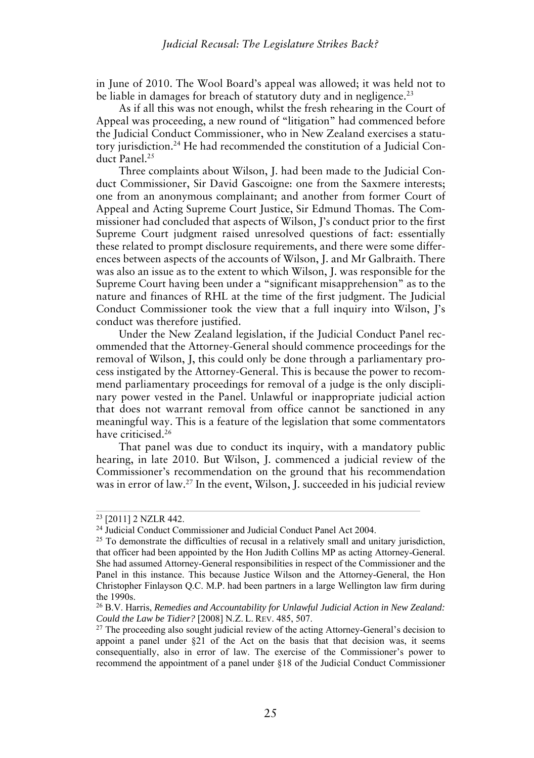in June of 2010. The Wool Board's appeal was allowed; it was held not to be liable in damages for breach of statutory duty and in negligence.<sup>23</sup>

As if all this was not enough, whilst the fresh rehearing in the Court of Appeal was proceeding, a new round of "litigation" had commenced before the Judicial Conduct Commissioner, who in New Zealand exercises a statutory jurisdiction.<sup>24</sup> He had recommended the constitution of a Judicial Conduct Panel<sup>25</sup>

Three complaints about Wilson, J. had been made to the Judicial Conduct Commissioner, Sir David Gascoigne: one from the Saxmere interests; one from an anonymous complainant; and another from former Court of Appeal and Acting Supreme Court Justice, Sir Edmund Thomas. The Commissioner had concluded that aspects of Wilson, J's conduct prior to the first Supreme Court judgment raised unresolved questions of fact: essentially these related to prompt disclosure requirements, and there were some differences between aspects of the accounts of Wilson, J. and Mr Galbraith. There was also an issue as to the extent to which Wilson, J. was responsible for the Supreme Court having been under a "significant misapprehension" as to the nature and finances of RHL at the time of the first judgment. The Judicial Conduct Commissioner took the view that a full inquiry into Wilson, I's conduct was therefore justified.

Under the New Zealand legislation, if the Judicial Conduct Panel recommended that the Attorney-General should commence proceedings for the removal of Wilson, J, this could only be done through a parliamentary process instigated by the Attorney-General. This is because the power to recommend parliamentary proceedings for removal of a judge is the only disciplinary power vested in the Panel. Unlawful or inappropriate judicial action that does not warrant removal from office cannot be sanctioned in any meaningful way. This is a feature of the legislation that some commentators have criticised.<sup>26</sup>

That panel was due to conduct its inquiry, with a mandatory public hearing, in late 2010. But Wilson, J. commenced a judicial review of the Commissioner's recommendation on the ground that his recommendation was in error of law.<sup>27</sup> In the event, Wilson, J. succeeded in his judicial review

 $^{23}$  [2011] 2 NZLR 442.<br><sup>24</sup> Judicial Conduct Commissioner and Judicial Conduct Panel Act 2004.

 $25$  To demonstrate the difficulties of recusal in a relatively small and unitary jurisdiction, that officer had been appointed by the Hon Judith Collins MP as acting Attorney-General. She had assumed Attorney-General responsibilities in respect of the Commissioner and the Panel in this instance. This because Justice Wilson and the Attorney-General, the Hon Christopher Finlayson Q.C. M.P. had been partners in a large Wellington law firm during the 1990s.

<sup>26</sup> B.V. Harris, *Remedies and Accountability for Unlawful Judicial Action in New Zealand: Could the Law be Tidier?* [2008] N.Z. L. REV. 485, 507.<br><sup>27</sup> The proceeding also sought judicial review of the acting Attorney-General's decision to

appoint a panel under  $\S 21$  of the Act on the basis that that decision was, it seems consequentially, also in error of law. The exercise of the Commissioner's power to recommend the appointment of a panel under §18 of the Judicial Conduct Commissioner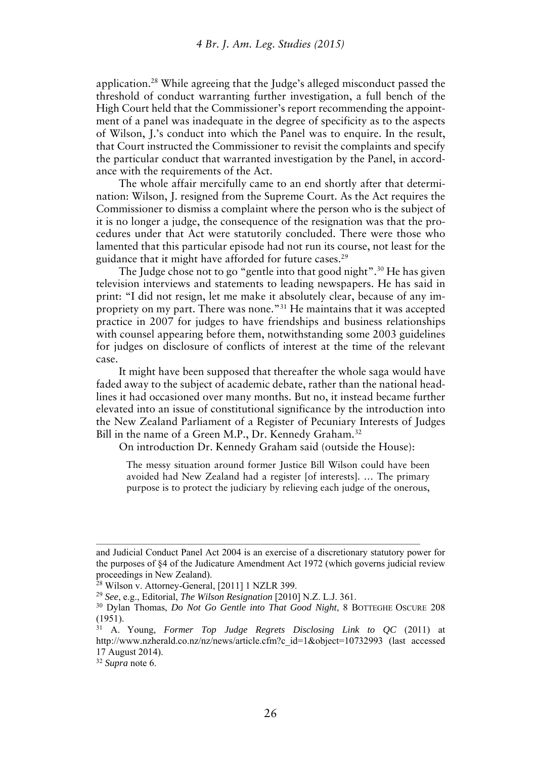application.28 While agreeing that the Judge's alleged misconduct passed the threshold of conduct warranting further investigation, a full bench of the High Court held that the Commissioner's report recommending the appointment of a panel was inadequate in the degree of specificity as to the aspects of Wilson, J.'s conduct into which the Panel was to enquire. In the result, that Court instructed the Commissioner to revisit the complaints and specify the particular conduct that warranted investigation by the Panel, in accordance with the requirements of the Act.

The whole affair mercifully came to an end shortly after that determination: Wilson, J. resigned from the Supreme Court. As the Act requires the Commissioner to dismiss a complaint where the person who is the subject of it is no longer a judge, the consequence of the resignation was that the procedures under that Act were statutorily concluded. There were those who lamented that this particular episode had not run its course, not least for the guidance that it might have afforded for future cases.29

The Judge chose not to go "gentle into that good night".30 He has given television interviews and statements to leading newspapers. He has said in print: "I did not resign, let me make it absolutely clear, because of any impropriety on my part. There was none."<sup>31</sup> He maintains that it was accepted practice in 2007 for judges to have friendships and business relationships with counsel appearing before them, notwithstanding some 2003 guidelines for judges on disclosure of conflicts of interest at the time of the relevant case.

It might have been supposed that thereafter the whole saga would have faded away to the subject of academic debate, rather than the national headlines it had occasioned over many months. But no, it instead became further elevated into an issue of constitutional significance by the introduction into the New Zealand Parliament of a Register of Pecuniary Interests of Judges Bill in the name of a Green M.P., Dr. Kennedy Graham.<sup>32</sup>

On introduction Dr. Kennedy Graham said (outside the House):

The messy situation around former Justice Bill Wilson could have been avoided had New Zealand had a register [of interests]. … The primary purpose is to protect the judiciary by relieving each judge of the onerous,

and Judicial Conduct Panel Act 2004 is an exercise of a discretionary statutory power for the purposes of §4 of the Judicature Amendment Act 1972 (which governs judicial review proceedings in New Zealand).<br><sup>28</sup> Wilson v. Attorney-General, [2011] 1 NZLR 399.

<sup>&</sup>lt;sup>29</sup> See, e.g., Editorial, *The Wilson Resignation* [2010] N.Z. L.J. 361. 301. **Dylan Thomas,** *Do Not Go Gentle into That Good Night*, 8 BOTTEGHE OSCURE 208  $(1951)$ .

<sup>31</sup> A. Young, *Former Top Judge Regrets Disclosing Link to QC* (2011) at http://www.nzherald.co.nz/nz/news/article.cfm?c\_id=1&object=10732993 (last accessed 17 August 2014).

<sup>32</sup> *Supra* note 6.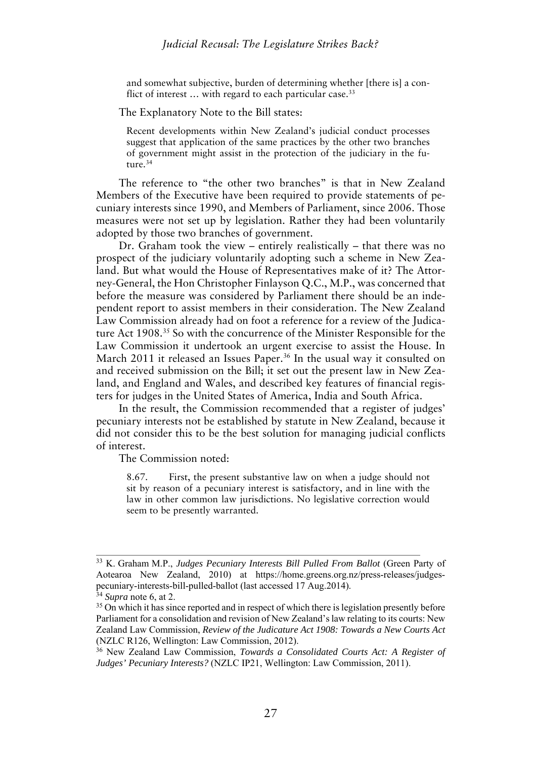and somewhat subjective, burden of determining whether [there is] a conflict of interest  $\ldots$  with regard to each particular case.<sup>33</sup>

The Explanatory Note to the Bill states:

Recent developments within New Zealand's judicial conduct processes suggest that application of the same practices by the other two branches of government might assist in the protection of the judiciary in the future.<sup>34</sup>

The reference to "the other two branches" is that in New Zealand Members of the Executive have been required to provide statements of pecuniary interests since 1990, and Members of Parliament, since 2006. Those measures were not set up by legislation. Rather they had been voluntarily adopted by those two branches of government.

Dr. Graham took the view – entirely realistically – that there was no prospect of the judiciary voluntarily adopting such a scheme in New Zealand. But what would the House of Representatives make of it? The Attorney-General, the Hon Christopher Finlayson Q.C., M.P., was concerned that before the measure was considered by Parliament there should be an independent report to assist members in their consideration. The New Zealand Law Commission already had on foot a reference for a review of the Judicature Act 1908.35 So with the concurrence of the Minister Responsible for the Law Commission it undertook an urgent exercise to assist the House. In March 2011 it released an Issues Paper.<sup>36</sup> In the usual way it consulted on and received submission on the Bill; it set out the present law in New Zealand, and England and Wales, and described key features of financial registers for judges in the United States of America, India and South Africa.

In the result, the Commission recommended that a register of judges' pecuniary interests not be established by statute in New Zealand, because it did not consider this to be the best solution for managing judicial conflicts of interest.

The Commission noted:

8.67. First, the present substantive law on when a judge should not sit by reason of a pecuniary interest is satisfactory, and in line with the law in other common law jurisdictions. No legislative correction would seem to be presently warranted.

<sup>33</sup> K. Graham M.P., *Judges Pecuniary Interests Bill Pulled From Ballot* (Green Party of Aotearoa New Zealand, 2010) at https://home.greens.org.nz/press-releases/judgespecuniary-interests-bill-pulled-ballot (last accessed 17 Aug. 2014).<br><sup>34</sup> *Supra* note 6, at 2.<br><sup>35</sup> On which it has since reported and in respect of which there is legislation presently before

Parliament for a consolidation and revision of New Zealand's law relating to its courts: New Zealand Law Commission, *Review of the Judicature Act 1908: Towards a New Courts Act*  (NZLC R126, Wellington: Law Commission, 2012).<br><sup>36</sup> New Zealand Law Commission, *Towards a Consolidated Courts Act: A Register of* 

*Judges' Pecuniary Interests?* (NZLC IP21, Wellington: Law Commission, 2011).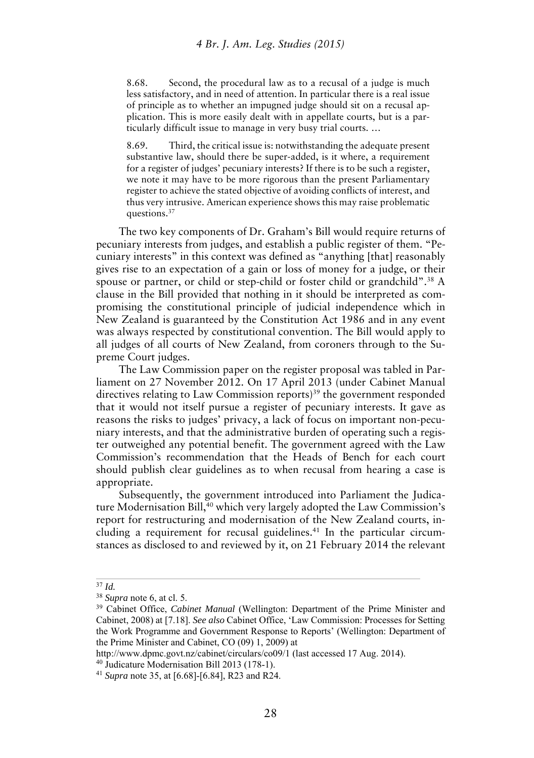8.68. Second, the procedural law as to a recusal of a judge is much less satisfactory, and in need of attention. In particular there is a real issue of principle as to whether an impugned judge should sit on a recusal application. This is more easily dealt with in appellate courts, but is a particularly difficult issue to manage in very busy trial courts. …

8.69. Third, the critical issue is: notwithstanding the adequate present substantive law, should there be super-added, is it where, a requirement for a register of judges' pecuniary interests? If there is to be such a register, we note it may have to be more rigorous than the present Parliamentary register to achieve the stated objective of avoiding conflicts of interest, and thus very intrusive. American experience shows this may raise problematic questions.37

The two key components of Dr. Graham's Bill would require returns of pecuniary interests from judges, and establish a public register of them. "Pecuniary interests" in this context was defined as "anything [that] reasonably gives rise to an expectation of a gain or loss of money for a judge, or their spouse or partner, or child or step-child or foster child or grandchild".<sup>38</sup> A clause in the Bill provided that nothing in it should be interpreted as compromising the constitutional principle of judicial independence which in New Zealand is guaranteed by the Constitution Act 1986 and in any event was always respected by constitutional convention. The Bill would apply to all judges of all courts of New Zealand, from coroners through to the Supreme Court judges.

The Law Commission paper on the register proposal was tabled in Parliament on 27 November 2012. On 17 April 2013 (under Cabinet Manual directives relating to Law Commission reports)<sup>39</sup> the government responded that it would not itself pursue a register of pecuniary interests. It gave as reasons the risks to judges' privacy, a lack of focus on important non-pecuniary interests, and that the administrative burden of operating such a register outweighed any potential benefit. The government agreed with the Law Commission's recommendation that the Heads of Bench for each court should publish clear guidelines as to when recusal from hearing a case is appropriate.

Subsequently, the government introduced into Parliament the Judicature Modernisation Bill,<sup>40</sup> which very largely adopted the Law Commission's report for restructuring and modernisation of the New Zealand courts, including a requirement for recusal guidelines.<sup>41</sup> In the particular circumstances as disclosed to and reviewed by it, on 21 February 2014 the relevant

http://www.dpmc.govt.nz/cabinet/circulars/co09/1 (last accessed 17 Aug. 2014). 40 Judicature Modernisation Bill 2013 (178-1). 41 *Supra* note 35, at [6.68]-[6.84], R23 and R24.

<sup>&</sup>lt;sup>37</sup> *Id.* <br><sup>38</sup> *Supra* note 6, at cl. 5.

<sup>&</sup>lt;sup>39</sup> Cabinet Office, *Cabinet Manual* (Wellington: Department of the Prime Minister and Cabinet, 2008) at [7.18]. *See also* Cabinet Office, 'Law Commission: Processes for Setting the Work Programme and Government Response to Reports' (Wellington: Department of the Prime Minister and Cabinet, CO (09) 1, 2009) at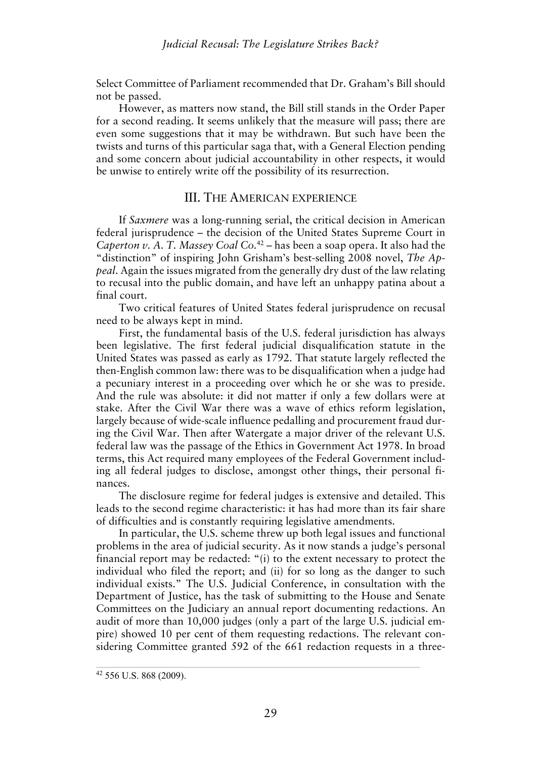Select Committee of Parliament recommended that Dr. Graham's Bill should not be passed.

However, as matters now stand, the Bill still stands in the Order Paper for a second reading. It seems unlikely that the measure will pass; there are even some suggestions that it may be withdrawn. But such have been the twists and turns of this particular saga that, with a General Election pending and some concern about judicial accountability in other respects, it would be unwise to entirely write off the possibility of its resurrection.

#### III. THE AMERICAN EXPERIENCE

If *Saxmere* was a long-running serial, the critical decision in American federal jurisprudence – the decision of the United States Supreme Court in *Caperton v. A. T. Massey Coal Co.*<sup>42</sup> – has been a soap opera. It also had the "distinction" of inspiring John Grisham's best-selling 2008 novel, *The Appeal*. Again the issues migrated from the generally dry dust of the law relating to recusal into the public domain, and have left an unhappy patina about a final court.

Two critical features of United States federal jurisprudence on recusal need to be always kept in mind.

First, the fundamental basis of the U.S. federal jurisdiction has always been legislative. The first federal judicial disqualification statute in the United States was passed as early as 1792. That statute largely reflected the then-English common law: there was to be disqualification when a judge had a pecuniary interest in a proceeding over which he or she was to preside. And the rule was absolute: it did not matter if only a few dollars were at stake. After the Civil War there was a wave of ethics reform legislation, largely because of wide-scale influence pedalling and procurement fraud during the Civil War. Then after Watergate a major driver of the relevant U.S. federal law was the passage of the Ethics in Government Act 1978. In broad terms, this Act required many employees of the Federal Government including all federal judges to disclose, amongst other things, their personal finances.

The disclosure regime for federal judges is extensive and detailed. This leads to the second regime characteristic: it has had more than its fair share of difficulties and is constantly requiring legislative amendments.

In particular, the U.S. scheme threw up both legal issues and functional problems in the area of judicial security. As it now stands a judge's personal financial report may be redacted: "(i) to the extent necessary to protect the individual who filed the report; and (ii) for so long as the danger to such individual exists." The U.S. Judicial Conference, in consultation with the Department of Justice, has the task of submitting to the House and Senate Committees on the Judiciary an annual report documenting redactions. An audit of more than 10,000 judges (only a part of the large U.S. judicial empire) showed 10 per cent of them requesting redactions. The relevant considering Committee granted 592 of the 661 redaction requests in a three-

<sup>42 556</sup> U.S. 868 (2009).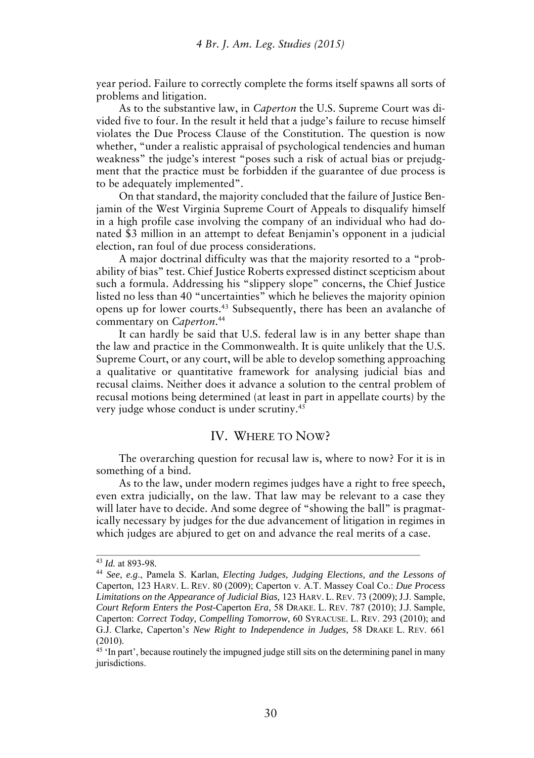year period. Failure to correctly complete the forms itself spawns all sorts of problems and litigation.

As to the substantive law, in *Caperton* the U.S. Supreme Court was divided five to four. In the result it held that a judge's failure to recuse himself violates the Due Process Clause of the Constitution. The question is now whether, "under a realistic appraisal of psychological tendencies and human weakness" the judge's interest "poses such a risk of actual bias or prejudgment that the practice must be forbidden if the guarantee of due process is to be adequately implemented".

On that standard, the majority concluded that the failure of Justice Benjamin of the West Virginia Supreme Court of Appeals to disqualify himself in a high profile case involving the company of an individual who had donated \$3 million in an attempt to defeat Benjamin's opponent in a judicial election, ran foul of due process considerations.

A major doctrinal difficulty was that the majority resorted to a "probability of bias" test. Chief Justice Roberts expressed distinct scepticism about such a formula. Addressing his "slippery slope" concerns, the Chief Justice listed no less than 40 "uncertainties" which he believes the majority opinion opens up for lower courts.43 Subsequently, there has been an avalanche of commentary on *Caperton*. 44

It can hardly be said that U.S. federal law is in any better shape than the law and practice in the Commonwealth. It is quite unlikely that the U.S. Supreme Court, or any court, will be able to develop something approaching a qualitative or quantitative framework for analysing judicial bias and recusal claims. Neither does it advance a solution to the central problem of recusal motions being determined (at least in part in appellate courts) by the very judge whose conduct is under scrutiny.45

#### IV. WHERE TO NOW?

The overarching question for recusal law is, where to now? For it is in something of a bind.

As to the law, under modern regimes judges have a right to free speech, even extra judicially, on the law. That law may be relevant to a case they will later have to decide. And some degree of "showing the ball" is pragmatically necessary by judges for the due advancement of litigation in regimes in which judges are abjured to get on and advance the real merits of a case.

<sup>43</sup> *Id.* at 893-98*.*

<sup>44</sup> *See*, *e.g*., Pamela S. Karlan, *Electing Judges, Judging Elections, and the Lessons of*  Caperton, 123 HARV. L. REV. 80 (2009); Caperton v. A.T. Massey Coal Co.: *Due Process*  Limitations on the Appearance of Judicial Bias, 123 HARV. L. REV. 73 (2009); J.J. Sample, *Court Reform Enters the Post-*Caperton *Era*, 58 DRAKE. L. REV. 787 (2010); J.J. Sample, Caperton: *Correct Today, Compelling Tomorrow*, 60 SYRACUSE. L. REV. 293 (2010); and G.J. Clarke, Caperton'*s New Right to Independence in Judges,* 58 DRAKE L. REV. 661 (2010).

<sup>&</sup>lt;sup>45</sup> 'In part', because routinely the impugned judge still sits on the determining panel in many jurisdictions.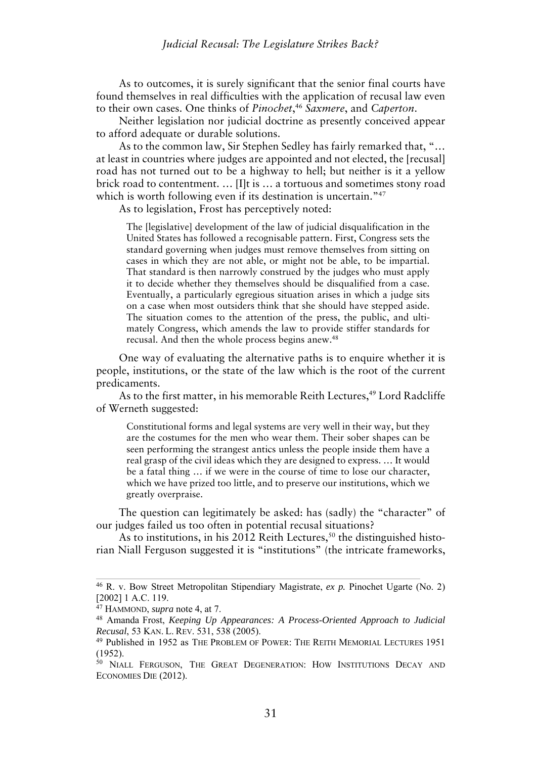As to outcomes, it is surely significant that the senior final courts have found themselves in real difficulties with the application of recusal law even to their own cases. One thinks of *Pinochet*, <sup>46</sup> *Saxmere*, and *Caperton*.

Neither legislation nor judicial doctrine as presently conceived appear to afford adequate or durable solutions.

As to the common law, Sir Stephen Sedley has fairly remarked that, "… at least in countries where judges are appointed and not elected, the [recusal] road has not turned out to be a highway to hell; but neither is it a yellow brick road to contentment. … [I]t is … a tortuous and sometimes stony road which is worth following even if its destination is uncertain."<sup>47</sup>

As to legislation, Frost has perceptively noted:

The [legislative] development of the law of judicial disqualification in the United States has followed a recognisable pattern. First, Congress sets the standard governing when judges must remove themselves from sitting on cases in which they are not able, or might not be able, to be impartial. That standard is then narrowly construed by the judges who must apply it to decide whether they themselves should be disqualified from a case. Eventually, a particularly egregious situation arises in which a judge sits on a case when most outsiders think that she should have stepped aside. The situation comes to the attention of the press, the public, and ultimately Congress, which amends the law to provide stiffer standards for recusal. And then the whole process begins anew.<sup>48</sup>

One way of evaluating the alternative paths is to enquire whether it is people, institutions, or the state of the law which is the root of the current predicaments.

As to the first matter, in his memorable Reith Lectures,<sup>49</sup> Lord Radcliffe of Werneth suggested:

Constitutional forms and legal systems are very well in their way, but they are the costumes for the men who wear them. Their sober shapes can be seen performing the strangest antics unless the people inside them have a real grasp of the civil ideas which they are designed to express. … It would be a fatal thing … if we were in the course of time to lose our character, which we have prized too little, and to preserve our institutions, which we greatly overpraise.

The question can legitimately be asked: has (sadly) the "character" of our judges failed us too often in potential recusal situations?

As to institutions, in his 2012 Reith Lectures,<sup>50</sup> the distinguished historian Niall Ferguson suggested it is "institutions" (the intricate frameworks,

<sup>46</sup> R. v. Bow Street Metropolitan Stipendiary Magistrate, *ex p.* Pinochet Ugarte (No. 2) [2002] 1 A.C. 119.

<sup>&</sup>lt;sup>47</sup> HAMMOND, *supra* note 4, at 7.<br><sup>48</sup> Amanda Frost, *Keeping Up Appearances: A Process-Oriented Approach to Judicial Recusal*, 53 KAN. L. REV. 531, 538 (2005). 49 Published in 1952 as THE PROBLEM OF POWER: THE REITH MEMORIAL LECTURES 1951

<sup>(1952).</sup> 

<sup>&</sup>lt;sup>50</sup> NIALL FERGUSON, THE GREAT DEGENERATION: HOW INSTITUTIONS DECAY AND ECONOMIES DIE (2012).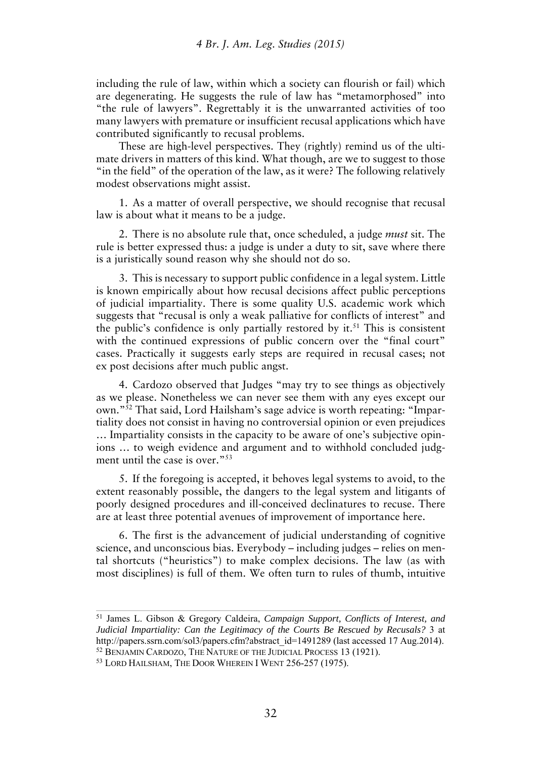including the rule of law, within which a society can flourish or fail) which are degenerating. He suggests the rule of law has "metamorphosed" into "the rule of lawyers". Regrettably it is the unwarranted activities of too many lawyers with premature or insufficient recusal applications which have contributed significantly to recusal problems.

These are high-level perspectives. They (rightly) remind us of the ultimate drivers in matters of this kind. What though, are we to suggest to those "in the field" of the operation of the law, as it were? The following relatively modest observations might assist.

1. As a matter of overall perspective, we should recognise that recusal law is about what it means to be a judge.

2. There is no absolute rule that, once scheduled, a judge *must* sit. The rule is better expressed thus: a judge is under a duty to sit, save where there is a juristically sound reason why she should not do so.

3. This is necessary to support public confidence in a legal system. Little is known empirically about how recusal decisions affect public perceptions of judicial impartiality. There is some quality U.S. academic work which suggests that "recusal is only a weak palliative for conflicts of interest" and the public's confidence is only partially restored by it.<sup>51</sup> This is consistent with the continued expressions of public concern over the "final court" cases. Practically it suggests early steps are required in recusal cases; not ex post decisions after much public angst.

4. Cardozo observed that Judges "may try to see things as objectively as we please. Nonetheless we can never see them with any eyes except our own."52 That said, Lord Hailsham's sage advice is worth repeating: "Impartiality does not consist in having no controversial opinion or even prejudices … Impartiality consists in the capacity to be aware of one's subjective opinions … to weigh evidence and argument and to withhold concluded judgment until the case is over."<sup>53</sup>

5. If the foregoing is accepted, it behoves legal systems to avoid, to the extent reasonably possible, the dangers to the legal system and litigants of poorly designed procedures and ill-conceived declinatures to recuse. There are at least three potential avenues of improvement of importance here.

6. The first is the advancement of judicial understanding of cognitive science, and unconscious bias. Everybody – including judges – relies on mental shortcuts ("heuristics") to make complex decisions. The law (as with most disciplines) is full of them. We often turn to rules of thumb, intuitive

<sup>51</sup> James L. Gibson & Gregory Caldeira, *Campaign Support, Conflicts of Interest, and Judicial Impartiality: Can the Legitimacy of the Courts Be Rescued by Recusals?* 3 at http://papers.ssrn.com/sol3/papers.cfm?abstract\_id=1491289 (last accessed 17 Aug.2014). <sup>52</sup> BENJAMIN CARDOZO, THE NATURE OF THE JUDICIAL PROCESS 13 (1921). <sup>53</sup> LORD HAILSHAM, THE DOOR WHEREIN I WENT 256-257 (1975).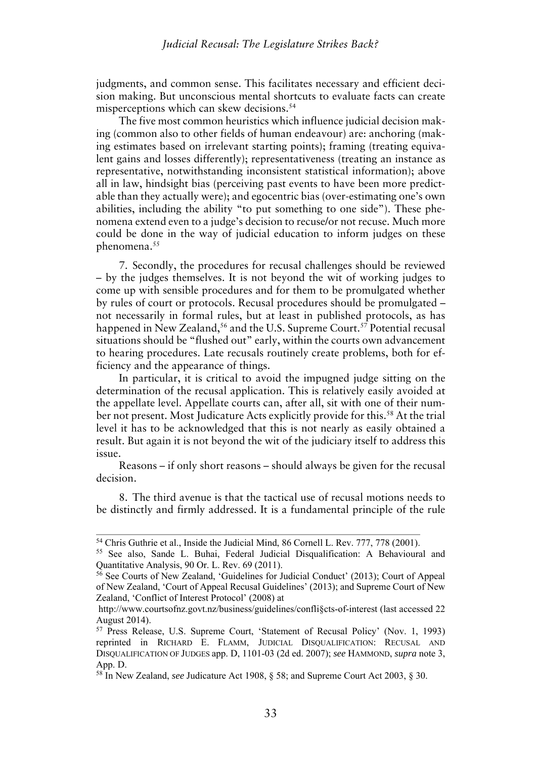judgments, and common sense. This facilitates necessary and efficient decision making. But unconscious mental shortcuts to evaluate facts can create misperceptions which can skew decisions.<sup>54</sup>

The five most common heuristics which influence judicial decision making (common also to other fields of human endeavour) are: anchoring (making estimates based on irrelevant starting points); framing (treating equivalent gains and losses differently); representativeness (treating an instance as representative, notwithstanding inconsistent statistical information); above all in law, hindsight bias (perceiving past events to have been more predictable than they actually were); and egocentric bias (over-estimating one's own abilities, including the ability "to put something to one side"). These phenomena extend even to a judge's decision to recuse/or not recuse. Much more could be done in the way of judicial education to inform judges on these phenomena.55

7. Secondly, the procedures for recusal challenges should be reviewed – by the judges themselves. It is not beyond the wit of working judges to come up with sensible procedures and for them to be promulgated whether by rules of court or protocols. Recusal procedures should be promulgated – not necessarily in formal rules, but at least in published protocols, as has happened in New Zealand,<sup>56</sup> and the U.S. Supreme Court.<sup>57</sup> Potential recusal situations should be "flushed out" early, within the courts own advancement to hearing procedures. Late recusals routinely create problems, both for efficiency and the appearance of things.

In particular, it is critical to avoid the impugned judge sitting on the determination of the recusal application. This is relatively easily avoided at the appellate level. Appellate courts can, after all, sit with one of their number not present. Most Judicature Acts explicitly provide for this.<sup>58</sup> At the trial level it has to be acknowledged that this is not nearly as easily obtained a result. But again it is not beyond the wit of the judiciary itself to address this issue.

Reasons – if only short reasons – should always be given for the recusal decision.

8. The third avenue is that the tactical use of recusal motions needs to be distinctly and firmly addressed. It is a fundamental principle of the rule

<sup>&</sup>lt;sup>54</sup> Chris Guthrie et al., Inside the Judicial Mind, 86 Cornell L. Rev. 777, 778 (2001).<br><sup>55</sup> See also, Sande L. Buhai, Federal Judicial Disqualification: A Behavioural and Quantitative Analysis, 90 Or. L. Rev. 69 (2011).

<sup>56</sup> See Courts of New Zealand, 'Guidelines for Judicial Conduct' (2013); Court of Appeal of New Zealand, 'Court of Appeal Recusal Guidelines' (2013); and Supreme Court of New Zealand, 'Conflict of Interest Protocol' (2008) at

http://www.courtsofnz.govt.nz/business/guidelines/confli§cts-of-interest (last accessed 22 August 2014).

<sup>57</sup> Press Release, U.S. Supreme Court, 'Statement of Recusal Policy' (Nov. 1, 1993) reprinted in RICHARD E. FLAMM, JUDICIAL DISQUALIFICATION: RECUSAL AND DISQUALIFICATION OF JUDGES app. D, 1101-03 (2d ed. 2007); *see* HAMMOND, *supra* note 3, App. D.

<sup>58</sup> In New Zealand, *see* Judicature Act 1908, § 58; and Supreme Court Act 2003, § 30.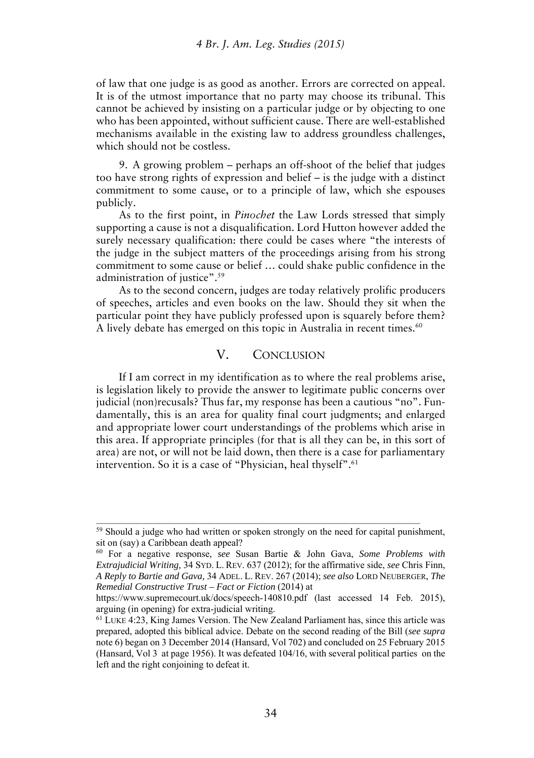of law that one judge is as good as another. Errors are corrected on appeal. It is of the utmost importance that no party may choose its tribunal. This cannot be achieved by insisting on a particular judge or by objecting to one who has been appointed, without sufficient cause. There are well-established mechanisms available in the existing law to address groundless challenges, which should not be costless.

9. A growing problem – perhaps an off-shoot of the belief that judges too have strong rights of expression and belief – is the judge with a distinct commitment to some cause, or to a principle of law, which she espouses publicly.

As to the first point, in *Pinochet* the Law Lords stressed that simply supporting a cause is not a disqualification. Lord Hutton however added the surely necessary qualification: there could be cases where "the interests of the judge in the subject matters of the proceedings arising from his strong commitment to some cause or belief … could shake public confidence in the administration of justice".<sup>59</sup>

As to the second concern, judges are today relatively prolific producers of speeches, articles and even books on the law. Should they sit when the particular point they have publicly professed upon is squarely before them? A lively debate has emerged on this topic in Australia in recent times.<sup>60</sup>

## V. CONCLUSION

If I am correct in my identification as to where the real problems arise, is legislation likely to provide the answer to legitimate public concerns over judicial (non)recusals? Thus far, my response has been a cautious "no". Fundamentally, this is an area for quality final court judgments; and enlarged and appropriate lower court understandings of the problems which arise in this area. If appropriate principles (for that is all they can be, in this sort of area) are not, or will not be laid down, then there is a case for parliamentary intervention. So it is a case of "Physician, heal thyself".<sup>61</sup>

<sup>&</sup>lt;sup>59</sup> Should a judge who had written or spoken strongly on the need for capital punishment, sit on (say) a Caribbean death appeal?

<sup>60</sup> For a negative response, *see* Susan Bartie & John Gava, *Some Problems with Extrajudicial Writing,* 34 SYD. L. REV. 637 (2012); for the affirmative side, *see* Chris Finn, *A Reply to Bartie and Gava,* 34 ADEL. L. REV. 267 (2014); *see also* LORD NEUBERGER, *The Remedial Constructive Trust – Fact or Fiction* (2014) at

https://www.supremecourt.uk/docs/speech-140810.pdf (last accessed 14 Feb. 2015), arguing (in opening) for extra-judicial writing.<br><sup>61</sup> LUKE 4:23, King James Version. The New Zealand Parliament has, since this article was

prepared, adopted this biblical advice. Debate on the second reading of the Bill (*see supra* note 6) began on 3 December 2014 (Hansard, Vol 702) and concluded on 25 February 2015 (Hansard, Vol 3 at page 1956). It was defeated 104/16, with several political parties on the left and the right conjoining to defeat it.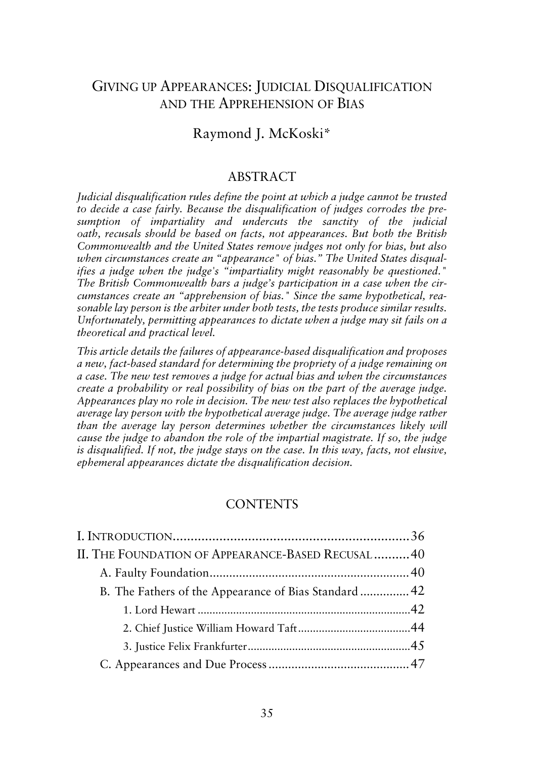# GIVING UP APPEARANCES: JUDICIAL DISQUALIFICATION AND THE APPREHENSION OF BIAS

# Raymond J. McKoski\*

## ABSTRACT

*Judicial disqualification rules define the point at which a judge cannot be trusted to decide a case fairly. Because the disqualification of judges corrodes the presumption of impartiality and undercuts the sanctity of the judicial oath, recusals should be based on facts, not appearances. But both the British Commonwealth and the United States remove judges not only for bias, but also when circumstances create an "appearance" of bias." The United States disqualifies a judge when the judge's "impartiality might reasonably be questioned." The British Commonwealth bars a judge's participation in a case when the circumstances create an "apprehension of bias." Since the same hypothetical, reasonable lay person is the arbiter under both tests, the tests produce similar results. Unfortunately, permitting appearances to dictate when a judge may sit fails on a theoretical and practical level.* 

*This article details the failures of appearance-based disqualification and proposes a new, fact-based standard for determining the propriety of a judge remaining on a case. The new test removes a judge for actual bias and when the circumstances create a probability or real possibility of bias on the part of the average judge. Appearances play no role in decision. The new test also replaces the hypothetical average lay person with the hypothetical average judge. The average judge rather than the average lay person determines whether the circumstances likely will cause the judge to abandon the role of the impartial magistrate. If so, the judge is disqualified. If not, the judge stays on the case. In this way, facts, not elusive, ephemeral appearances dictate the disqualification decision.* 

## **CONTENTS**

| II. THE FOUNDATION OF APPEARANCE-BASED RECUSAL 40   |  |
|-----------------------------------------------------|--|
|                                                     |  |
| B. The Fathers of the Appearance of Bias Standard42 |  |
|                                                     |  |
|                                                     |  |
|                                                     |  |
|                                                     |  |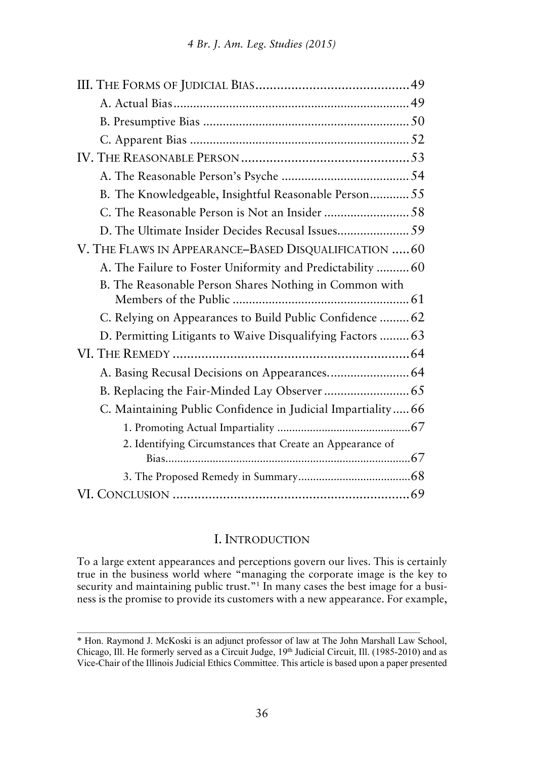| B. The Knowledgeable, Insightful Reasonable Person55         |
|--------------------------------------------------------------|
|                                                              |
|                                                              |
| V. THE FLAWS IN APPEARANCE-BASED DISQUALIFICATION  60        |
| A. The Failure to Foster Uniformity and Predictability  60   |
| B. The Reasonable Person Shares Nothing in Common with       |
|                                                              |
| C. Relying on Appearances to Build Public Confidence  62     |
| D. Permitting Litigants to Waive Disqualifying Factors  63   |
|                                                              |
| A. Basing Recusal Decisions on Appearances 64                |
|                                                              |
| C. Maintaining Public Confidence in Judicial Impartiality 66 |
|                                                              |
| 2. Identifying Circumstances that Create an Appearance of    |
|                                                              |
|                                                              |
|                                                              |

## I. INTRODUCTION

To a large extent appearances and perceptions govern our lives. This is certainly true in the business world where "managing the corporate image is the key to security and maintaining public trust."<sup>1</sup> In many cases the best image for a business is the promise to provide its customers with a new appearance. For example,

<sup>\*</sup> Hon. Raymond J. McKoski is an adjunct professor of law at The John Marshall Law School, Chicago, Ill. He formerly served as a Circuit Judge, 19<sup>th</sup> Judicial Circuit, Ill. (1985-2010) and as Vice-Chair of the Illinois Judicial Ethics Committee. This article is based upon a paper presented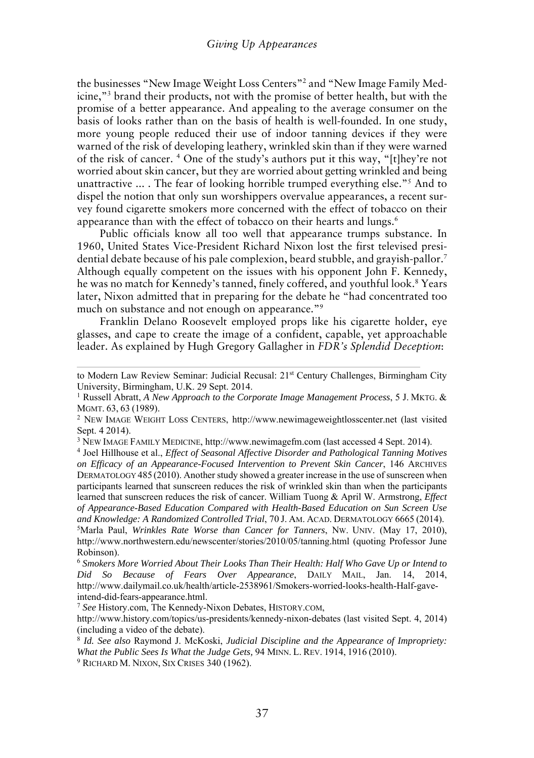the businesses "New Image Weight Loss Centers"<sup>2</sup> and "New Image Family Medicine,"3 brand their products, not with the promise of better health, but with the promise of a better appearance. And appealing to the average consumer on the basis of looks rather than on the basis of health is well-founded. In one study, more young people reduced their use of indoor tanning devices if they were warned of the risk of developing leathery, wrinkled skin than if they were warned of the risk of cancer. 4 One of the study's authors put it this way, "[t]hey're not worried about skin cancer, but they are worried about getting wrinkled and being unattractive ... . The fear of looking horrible trumped everything else."5 And to dispel the notion that only sun worshippers overvalue appearances, a recent survey found cigarette smokers more concerned with the effect of tobacco on their appearance than with the effect of tobacco on their hearts and lungs.<sup>6</sup>

Public officials know all too well that appearance trumps substance. In 1960, United States Vice-President Richard Nixon lost the first televised presidential debate because of his pale complexion, beard stubble, and grayish-pallor.7 Although equally competent on the issues with his opponent John F. Kennedy, he was no match for Kennedy's tanned, finely coffered, and youthful look.8 Years later, Nixon admitted that in preparing for the debate he "had concentrated too much on substance and not enough on appearance."9

Franklin Delano Roosevelt employed props like his cigarette holder, eye glasses, and cape to create the image of a confident, capable, yet approachable leader. As explained by Hugh Gregory Gallagher in *FDR's Splendid Deception*:

to Modern Law Review Seminar: Judicial Recusal: 21<sup>st</sup> Century Challenges, Birmingham City University, Birmingham, U.K. 29 Sept. 2014.<br><sup>1</sup> Russell Abratt, *A New Approach to the Corporate Image Management Process*, 5 J. MKTG. &

MGMT. 63, 63 (1989).<br><sup>2</sup> NEW IMAGE WEIGHT LOSS CENTERS, http://www.newimageweightlosscenter.net (last visited

Sept. 4 2014).

<sup>3</sup> NEW IMAGE FAMILY MEDICINE, http://www.newimagefm.com (last accessed 4 Sept. 2014). 4 Joel Hillhouse et al., *Effect of Seasonal Affective Disorder and Pathological Tanning Motives* 

*on Efficacy of an Appearance-Focused Intervention to Prevent Skin Cancer*, 146 ARCHIVES DERMATOLOGY 485 (2010). Another study showed a greater increase in the use of sunscreen when participants learned that sunscreen reduces the risk of wrinkled skin than when the participants learned that sunscreen reduces the risk of cancer. William Tuong & April W. Armstrong, *Effect of Appearance-Based Education Compared with Health-Based Education on Sun Screen Use and Knowledge: A Randomized Controlled Trial*, 70 J. AM. ACAD. DERMATOLOGY 6665 (2014). 5Marla Paul, *Wrinkles Rate Worse than Cancer for Tanners*, NW. UNIV. (May 17, 2010), http://www.northwestern.edu/newscenter/stories/2010/05/tanning.html (quoting Professor June Robinson).

<sup>6</sup> *Smokers More Worried About Their Looks Than Their Health: Half Who Gave Up or Intend to Did So Because of Fears Over Appearance*, DAILY MAIL, Jan. 14, 2014, http://www.dailymail.co.uk/health/article-2538961/Smokers-worried-looks-health-Half-gaveintend-did-fears-appearance.html.

<sup>7</sup> *See* History.com, The Kennedy-Nixon Debates, HISTORY.COM,

http://www.history.com/topics/us-presidents/kennedy-nixon-debates (last visited Sept. 4, 2014) (including a video of the debate).

<sup>8</sup> *Id. See also* Raymond J. McKoski, *Judicial Discipline and the Appearance of Impropriety: What the Public Sees Is What the Judge Gets,* 94 MINN. L. REV. 1914, <sup>1916</sup> (2010). 9 RICHARD M. NIXON, SIX CRISES 340 (1962).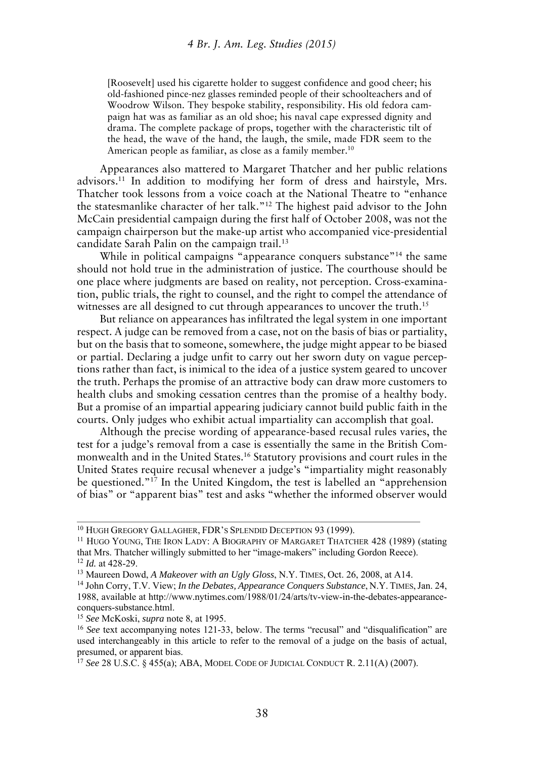[Roosevelt] used his cigarette holder to suggest confidence and good cheer; his old-fashioned pince-nez glasses reminded people of their schoolteachers and of Woodrow Wilson. They bespoke stability, responsibility. His old fedora campaign hat was as familiar as an old shoe; his naval cape expressed dignity and drama. The complete package of props, together with the characteristic tilt of the head, the wave of the hand, the laugh, the smile, made FDR seem to the American people as familiar, as close as a family member.<sup>10</sup>

Appearances also mattered to Margaret Thatcher and her public relations advisors.11 In addition to modifying her form of dress and hairstyle, Mrs. Thatcher took lessons from a voice coach at the National Theatre to "enhance the statesmanlike character of her talk."12 The highest paid advisor to the John McCain presidential campaign during the first half of October 2008, was not the campaign chairperson but the make-up artist who accompanied vice-presidential candidate Sarah Palin on the campaign trail.<sup>13</sup>

While in political campaigns "appearance conquers substance"<sup>14</sup> the same should not hold true in the administration of justice. The courthouse should be one place where judgments are based on reality, not perception. Cross-examination, public trials, the right to counsel, and the right to compel the attendance of witnesses are all designed to cut through appearances to uncover the truth.<sup>15</sup>

But reliance on appearances has infiltrated the legal system in one important respect. A judge can be removed from a case, not on the basis of bias or partiality, but on the basis that to someone, somewhere, the judge might appear to be biased or partial. Declaring a judge unfit to carry out her sworn duty on vague perceptions rather than fact, is inimical to the idea of a justice system geared to uncover the truth. Perhaps the promise of an attractive body can draw more customers to health clubs and smoking cessation centres than the promise of a healthy body. But a promise of an impartial appearing judiciary cannot build public faith in the courts. Only judges who exhibit actual impartiality can accomplish that goal.

Although the precise wording of appearance-based recusal rules varies, the test for a judge's removal from a case is essentially the same in the British Commonwealth and in the United States.16 Statutory provisions and court rules in the United States require recusal whenever a judge's "impartiality might reasonably be questioned."17 In the United Kingdom, the test is labelled an "apprehension of bias" or "apparent bias" test and asks "whether the informed observer would

<sup>&</sup>lt;sup>10</sup> HUGH GREGORY GALLAGHER, FDR'S SPLENDID DECEPTION 93 (1999).<br><sup>11</sup> HUGO YOUNG, THE IRON LADY: A BIOGRAPHY OF MARGARET THATCHER 428 (1989) (stating that Mrs. Thatcher willingly submitted to her "image-makers" including Gordon Reece).<br><sup>12</sup> *Id.* at 428-29.<br><sup>13</sup> Maureen Dowd, *A Makeover with an Ugly Gloss*, N.Y. TIMES, Oct. 26, 2008, at A14.<br><sup>14</sup> John Corry, T.V. View;

<sup>1988,</sup> available at http://www.nytimes.com/1988/01/24/arts/tv-view-in-the-debates-appearanceconquers-substance.html.

<sup>&</sup>lt;sup>15</sup> *See* McKoski, *supra* note 8, at 1995.<br><sup>16</sup> *See* text accompanying notes 121-33, below. The terms "recusal" and "disqualification" are used interchangeably in this article to refer to the removal of a judge on the basis of actual, presumed, or apparent bias.<br><sup>17</sup> *See* 28 U.S.C. § 455(a); ABA, MODEL CODE OF JUDICIAL CONDUCT R. 2.11(A) (2007).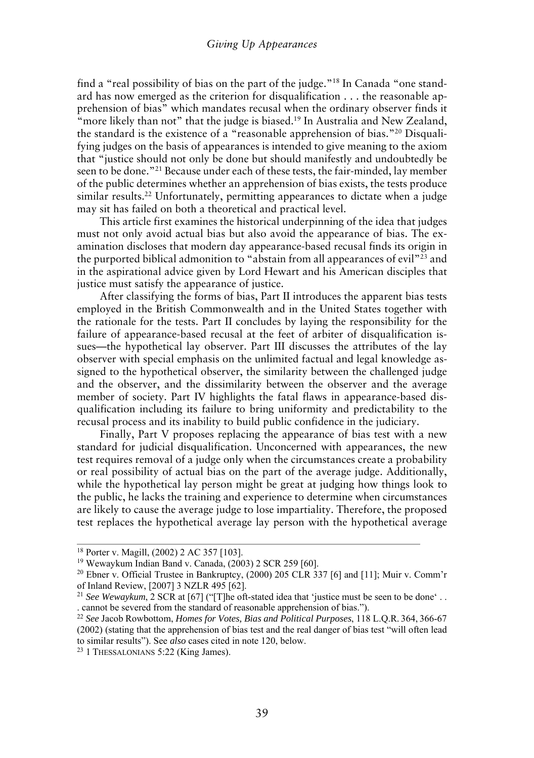find a "real possibility of bias on the part of the judge."18 In Canada "one standard has now emerged as the criterion for disqualification . . . the reasonable apprehension of bias" which mandates recusal when the ordinary observer finds it "more likely than not" that the judge is biased.<sup>19</sup> In Australia and New Zealand, the standard is the existence of a "reasonable apprehension of bias."20 Disqualifying judges on the basis of appearances is intended to give meaning to the axiom that "justice should not only be done but should manifestly and undoubtedly be seen to be done."21 Because under each of these tests, the fair-minded, lay member of the public determines whether an apprehension of bias exists, the tests produce similar results.<sup>22</sup> Unfortunately, permitting appearances to dictate when a judge may sit has failed on both a theoretical and practical level.

This article first examines the historical underpinning of the idea that judges must not only avoid actual bias but also avoid the appearance of bias. The examination discloses that modern day appearance-based recusal finds its origin in the purported biblical admonition to "abstain from all appearances of evil"<sup>23</sup> and in the aspirational advice given by Lord Hewart and his American disciples that justice must satisfy the appearance of justice.

After classifying the forms of bias, Part II introduces the apparent bias tests employed in the British Commonwealth and in the United States together with the rationale for the tests. Part II concludes by laying the responsibility for the failure of appearance-based recusal at the feet of arbiter of disqualification issues—the hypothetical lay observer. Part III discusses the attributes of the lay observer with special emphasis on the unlimited factual and legal knowledge assigned to the hypothetical observer, the similarity between the challenged judge and the observer, and the dissimilarity between the observer and the average member of society. Part IV highlights the fatal flaws in appearance-based disqualification including its failure to bring uniformity and predictability to the recusal process and its inability to build public confidence in the judiciary.

Finally, Part V proposes replacing the appearance of bias test with a new standard for judicial disqualification. Unconcerned with appearances, the new test requires removal of a judge only when the circumstances create a probability or real possibility of actual bias on the part of the average judge. Additionally, while the hypothetical lay person might be great at judging how things look to the public, he lacks the training and experience to determine when circumstances are likely to cause the average judge to lose impartiality. Therefore, the proposed test replaces the hypothetical average lay person with the hypothetical average

<sup>&</sup>lt;sup>18</sup> Porter v. Magill, (2002) 2 AC 357 [103].<br><sup>19</sup> Wewaykum Indian Band v. Canada, (2003) 2 SCR 259 [60].

<sup>&</sup>lt;sup>20</sup> Ebner v. Official Trustee in Bankruptcy, (2000) 205 CLR 337 [6] and [11]; Muir v. Comm'r of Inland Review, [2007] 3 NZLR 495 [62].

<sup>&</sup>lt;sup>21</sup> See Wewaykum, 2 SCR at [67] ("[T]he oft-stated idea that 'justice must be seen to be done'.. . cannot be severed from the standard of reasonable apprehension of bias."). 22 *See* Jacob Rowbottom, *Homes for Votes, Bias and Political Purposes*, 118 L.Q.R. 364, 366-67

<sup>(2002) (</sup>stating that the apprehension of bias test and the real danger of bias test "will often lead to similar results"). See *also* cases cited in note 120, below. 23 1 THESSALONIANS 5:22 (King James).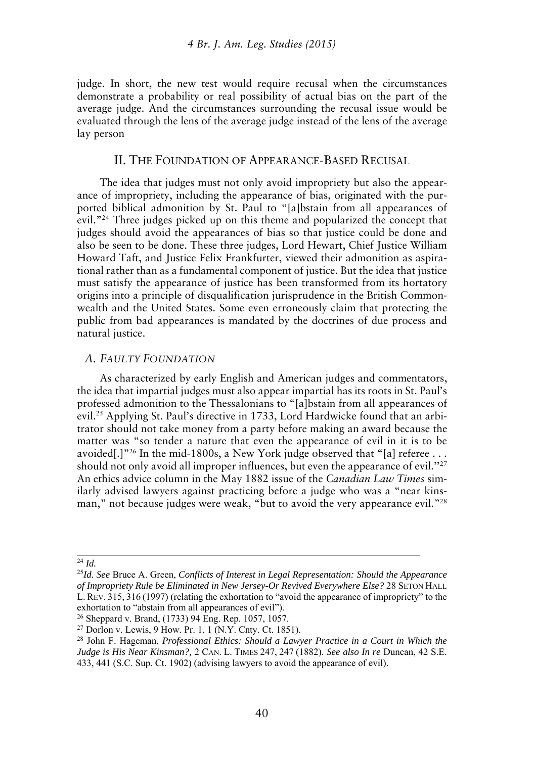judge. In short, the new test would require recusal when the circumstances demonstrate a probability or real possibility of actual bias on the part of the average judge. And the circumstances surrounding the recusal issue would be evaluated through the lens of the average judge instead of the lens of the average lay person

## II. THE FOUNDATION OF APPEARANCE-BASED RECUSAL

The idea that judges must not only avoid impropriety but also the appearance of impropriety, including the appearance of bias, originated with the purported biblical admonition by St. Paul to "[a]bstain from all appearances of evil."24 Three judges picked up on this theme and popularized the concept that judges should avoid the appearances of bias so that justice could be done and also be seen to be done. These three judges, Lord Hewart, Chief Justice William Howard Taft, and Justice Felix Frankfurter, viewed their admonition as aspirational rather than as a fundamental component of justice. But the idea that justice must satisfy the appearance of justice has been transformed from its hortatory origins into a principle of disqualification jurisprudence in the British Commonwealth and the United States. Some even erroneously claim that protecting the public from bad appearances is mandated by the doctrines of due process and natural justice.

#### *A. FAULTY FOUNDATION*

As characterized by early English and American judges and commentators, the idea that impartial judges must also appear impartial has its roots in St. Paul's professed admonition to the Thessalonians to "[a]bstain from all appearances of evil.25 Applying St. Paul's directive in 1733, Lord Hardwicke found that an arbitrator should not take money from a party before making an award because the matter was "so tender a nature that even the appearance of evil in it is to be avoided[.]"<sup>26</sup> In the mid-1800s, a New York judge observed that "[a] referee . . . should not only avoid all improper influences, but even the appearance of evil."<sup>27</sup> An ethics advice column in the May 1882 issue of the *Canadian Law Times* similarly advised lawyers against practicing before a judge who was a "near kinsman," not because judges were weak, "but to avoid the very appearance evil."<sup>28</sup>

<sup>24</sup> *Id.*

<sup>25</sup>*Id. See* Bruce A. Green, *Conflicts of Interest in Legal Representation: Should the Appearance of Impropriety Rule be Eliminated in New Jersey-Or Revived Everywhere Else?* 28 SETON HALL L. REV. 315, 316 (1997) (relating the exhortation to "avoid the appearance of impropriety" to the exhortation to "abstain from all appearances of evil").<br>
<sup>26</sup> Sheppard v. Brand, (1733) 94 Eng. Rep. 1057, 1057.<br>
<sup>27</sup> Dorlon v. Lewis, 9 How. Pr. 1, 1 (N.Y. Cnty. Ct. 1851).<br>
<sup>28</sup> John F. Hageman, *Professional Ethics: Sh* 

*Judge is His Near Kinsman?,* 2 CAN. L. TIMES 247, 247 (1882). *See also In re* Duncan, 42 S.E. 433, 441 (S.C. Sup. Ct. 1902) (advising lawyers to avoid the appearance of evil).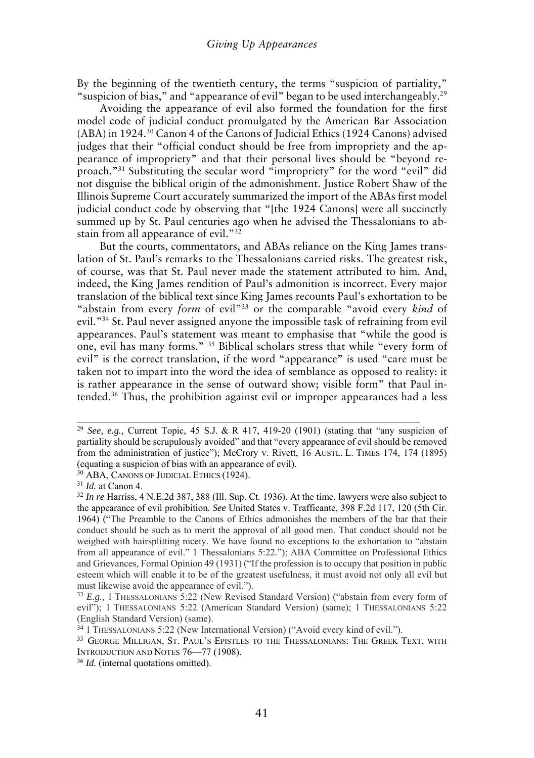By the beginning of the twentieth century, the terms "suspicion of partiality," "suspicion of bias," and "appearance of evil" began to be used interchangeably.<sup>29</sup>

Avoiding the appearance of evil also formed the foundation for the first model code of judicial conduct promulgated by the American Bar Association (ABA) in 1924.30 Canon 4 of the Canons of Judicial Ethics (1924 Canons) advised judges that their "official conduct should be free from impropriety and the appearance of impropriety" and that their personal lives should be "beyond reproach."31 Substituting the secular word "impropriety" for the word "evil" did not disguise the biblical origin of the admonishment. Justice Robert Shaw of the Illinois Supreme Court accurately summarized the import of the ABAs first model judicial conduct code by observing that "[the 1924 Canons] were all succinctly summed up by St. Paul centuries ago when he advised the Thessalonians to abstain from all appearance of evil."<sup>32</sup>

But the courts, commentators, and ABAs reliance on the King James translation of St. Paul's remarks to the Thessalonians carried risks. The greatest risk, of course, was that St. Paul never made the statement attributed to him. And, indeed, the King James rendition of Paul's admonition is incorrect. Every major translation of the biblical text since King James recounts Paul's exhortation to be "abstain from every *form* of evil"33 or the comparable "avoid every *kind* of evil."34 St. Paul never assigned anyone the impossible task of refraining from evil appearances. Paul's statement was meant to emphasise that "while the good is one, evil has many forms." 35 Biblical scholars stress that while "every form of evil" is the correct translation, if the word "appearance" is used "care must be taken not to impart into the word the idea of semblance as opposed to reality: it is rather appearance in the sense of outward show; visible form" that Paul intended.36 Thus, the prohibition against evil or improper appearances had a less

<sup>29</sup> *See, e.g.,* Current Topic, 45 S.J. & R 417, 419-20 (1901) (stating that "any suspicion of partiality should be scrupulously avoided" and that "every appearance of evil should be removed from the administration of justice"); McCrory v. Rivett, 16 AUSTL. L. TIMES 174, 174 (1895) (equating a suspicion of bias with an appearance of evil).<br><sup>30</sup> ABA, CANONS OF JUDICIAL ETHICS (1924).<br><sup>31</sup> *Id.* at Canon 4.<br><sup>32</sup> *In re* Harriss, 4 N.E.2d 387, 388 (Ill. Sup. Ct. 1936). At the time, lawyers were also su

the appearance of evil prohibition. *See* United States v. Trafficante, 398 F.2d 117, 120 (5th Cir. 1964) ("The Preamble to the Canons of Ethics admonishes the members of the bar that their conduct should be such as to merit the approval of all good men. That conduct should not be weighed with hairsplitting nicety. We have found no exceptions to the exhortation to "abstain from all appearance of evil." 1 Thessalonians 5:22."); ABA Committee on Professional Ethics and Grievances, Formal Opinion 49 (1931) ("If the profession is to occupy that position in public esteem which will enable it to be of the greatest usefulness, it must avoid not only all evil but must likewise avoid the appearance of evil.").

<sup>33</sup> *E.g.,* 1 THESSALONIANS 5:22 (New Revised Standard Version) ("abstain from every form of evil"); 1 THESSALONIANS 5:22 (American Standard Version) (same); 1 THESSALONIANS 5:22 (English Standard Version) (same).

<sup>34</sup> 1 THESSALONIANS 5:22 (New International Version) ("Avoid every kind of evil.").

<sup>35</sup> GEORGE MILLIGAN, ST. PAUL'S EPISTLES TO THE THESSALONIANS: THE GREEK TEXT, WITH INTRODUCTION AND NOTES 76—77 (1908). 36 *Id.* (internal quotations omitted).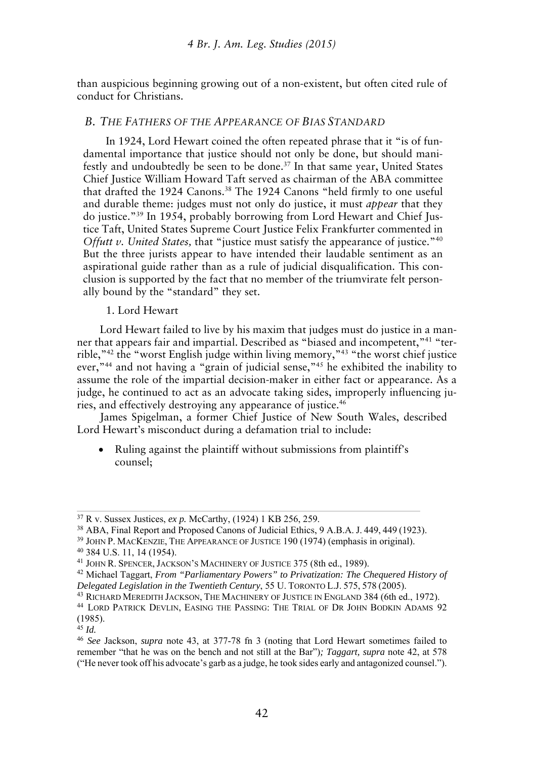than auspicious beginning growing out of a non-existent, but often cited rule of conduct for Christians.

## *B. THE FATHERS OF THE APPEARANCE OF BIAS STANDARD*

In 1924, Lord Hewart coined the often repeated phrase that it "is of fundamental importance that justice should not only be done, but should manifestly and undoubtedly be seen to be done.<sup>37</sup> In that same year, United States Chief Justice William Howard Taft served as chairman of the ABA committee that drafted the 1924 Canons.<sup>38</sup> The 1924 Canons "held firmly to one useful and durable theme: judges must not only do justice, it must *appear* that they do justice."39 In 1954, probably borrowing from Lord Hewart and Chief Justice Taft, United States Supreme Court Justice Felix Frankfurter commented in *Offutt v. United States, that "justice must satisfy the appearance of justice."<sup>40</sup>* But the three jurists appear to have intended their laudable sentiment as an aspirational guide rather than as a rule of judicial disqualification. This conclusion is supported by the fact that no member of the triumvirate felt personally bound by the "standard" they set.

#### 1. Lord Hewart

Lord Hewart failed to live by his maxim that judges must do justice in a manner that appears fair and impartial. Described as "biased and incompetent,"<sup>41</sup> "terrible,"42 the "worst English judge within living memory,"43 "the worst chief justice ever,"<sup>44</sup> and not having a "grain of judicial sense,"<sup>45</sup> he exhibited the inability to assume the role of the impartial decision-maker in either fact or appearance. As a judge, he continued to act as an advocate taking sides, improperly influencing juries, and effectively destroying any appearance of justice.46

James Spigelman, a former Chief Justice of New South Wales, described Lord Hewart's misconduct during a defamation trial to include:

 Ruling against the plaintiff without submissions from plaintiff's counsel;

<sup>&</sup>lt;sup>37</sup> R v. Sussex Justices, *ex p.* McCarthy, (1924) 1 KB 256, 259.<br><sup>38</sup> ABA, Final Report and Proposed Canons of Judicial Ethics, 9 A.B.A. J. 449, 449 (1923).<br><sup>39</sup> JOHN P. MACKENZIE, THE APPEARANCE OF JUSTICE 190 (1974) (

<sup>&</sup>lt;sup>42</sup> Michael Taggart, *From "Parliamentary Powers" to Privatization: The Chequered History of Delegated Legislation in the Twentieth Century, 55 U. TORONTO L.J. 575, 578 (2005).* 

<sup>&</sup>lt;sup>43</sup> RICHARD MEREDITH JACKSON, THE MACHINERY OF JUSTICE IN ENGLAND 384 (6th ed., 1972).<br><sup>44</sup> LORD PATRICK DEVLIN, EASING THE PASSING: THE TRIAL OF DR JOHN BODKIN ADAMS 92 (1985).

<sup>45</sup> *Id.* 46 *See* Jackson, *supra* note 43, at 377-78 fn 3 (noting that Lord Hewart sometimes failed to remember "that he was on the bench and not still at the Bar")*; Taggart, supra* note 42, at 578 ("He never took off his advocate's garb as a judge, he took sides early and antagonized counsel.").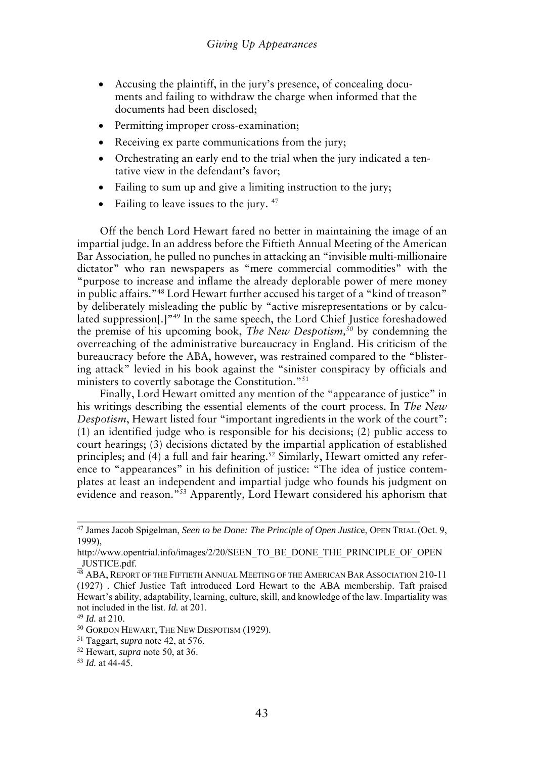- Accusing the plaintiff, in the jury's presence, of concealing documents and failing to withdraw the charge when informed that the documents had been disclosed;
- Permitting improper cross-examination;
- Receiving ex parte communications from the jury;
- Orchestrating an early end to the trial when the jury indicated a tentative view in the defendant's favor;
- Failing to sum up and give a limiting instruction to the jury;
- Failing to leave issues to the jury. 47

Off the bench Lord Hewart fared no better in maintaining the image of an impartial judge. In an address before the Fiftieth Annual Meeting of the American Bar Association, he pulled no punches in attacking an "invisible multi-millionaire dictator" who ran newspapers as "mere commercial commodities" with the "purpose to increase and inflame the already deplorable power of mere money in public affairs."48 Lord Hewart further accused his target of a "kind of treason" by deliberately misleading the public by "active misrepresentations or by calculated suppression[.]"49 In the same speech, the Lord Chief Justice foreshadowed the premise of his upcoming book, *The New Despotism,50* by condemning the overreaching of the administrative bureaucracy in England. His criticism of the bureaucracy before the ABA, however, was restrained compared to the "blistering attack" levied in his book against the "sinister conspiracy by officials and ministers to covertly sabotage the Constitution."51

Finally, Lord Hewart omitted any mention of the "appearance of justice" in his writings describing the essential elements of the court process. In *The New Despotism*, Hewart listed four "important ingredients in the work of the court": (1) an identified judge who is responsible for his decisions; (2) public access to court hearings; (3) decisions dictated by the impartial application of established principles; and (4) a full and fair hearing.<sup>52</sup> Similarly, Hewart omitted any reference to "appearances" in his definition of justice: "The idea of justice contemplates at least an independent and impartial judge who founds his judgment on evidence and reason."53 Apparently, Lord Hewart considered his aphorism that

<sup>47</sup> James Jacob Spigelman, *Seen to be Done: The Principle of Open Justic*e, OPEN TRIAL (Oct. 9, 1999),

http://www.opentrial.info/images/2/20/SEEN\_TO\_BE\_DONE\_THE\_PRINCIPLE\_OF\_OPEN \_JUSTICE.pdf.

 $48$  ABA, REPORT OF THE FIFTIETH ANNUAL MEETING OF THE AMERICAN BAR ASSOCIATION 210-11 (1927) . Chief Justice Taft introduced Lord Hewart to the ABA membership. Taft praised Hewart's ability, adaptability, learning, culture, skill, and knowledge of the law. Impartiality was not included in the list. *Id.* at 201.<br><sup>49</sup> *Id.* at 210.<br><sup>50</sup> GORDON HEWART, THE NEW DESPOTISM (1929).<br><sup>51</sup> Taggart, *supra* note 42, at 576.<br><sup>52</sup> Hewart, *supra* note 50, at 36.<br><sup>53</sup> *Id.* at 44-45.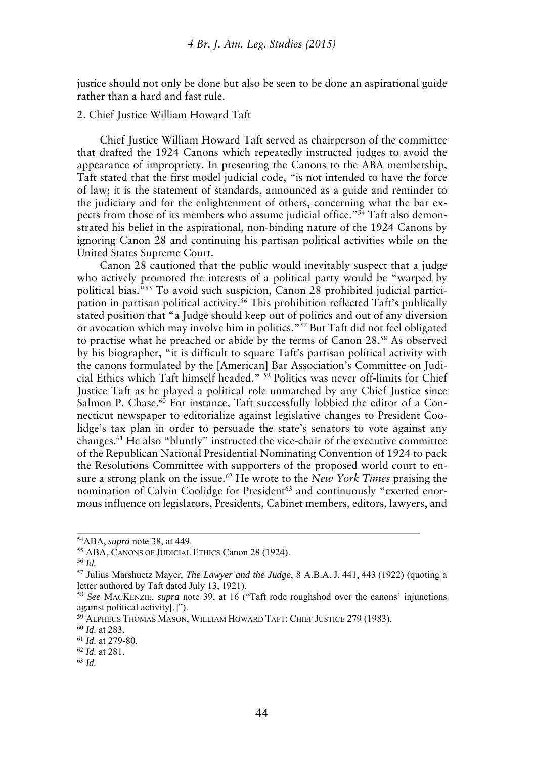justice should not only be done but also be seen to be done an aspirational guide rather than a hard and fast rule.

#### 2. Chief Justice William Howard Taft

Chief Justice William Howard Taft served as chairperson of the committee that drafted the 1924 Canons which repeatedly instructed judges to avoid the appearance of impropriety. In presenting the Canons to the ABA membership, Taft stated that the first model judicial code, "is not intended to have the force of law; it is the statement of standards, announced as a guide and reminder to the judiciary and for the enlightenment of others, concerning what the bar expects from those of its members who assume judicial office."54 Taft also demonstrated his belief in the aspirational, non-binding nature of the 1924 Canons by ignoring Canon 28 and continuing his partisan political activities while on the United States Supreme Court.

Canon 28 cautioned that the public would inevitably suspect that a judge who actively promoted the interests of a political party would be "warped by political bias."55 To avoid such suspicion, Canon 28 prohibited judicial participation in partisan political activity.<sup>56</sup> This prohibition reflected Taft's publically stated position that "a Judge should keep out of politics and out of any diversion or avocation which may involve him in politics."57 But Taft did not feel obligated to practise what he preached or abide by the terms of Canon 28.58 As observed by his biographer, "it is difficult to square Taft's partisan political activity with the canons formulated by the [American] Bar Association's Committee on Judicial Ethics which Taft himself headed." 59 Politics was never off-limits for Chief Justice Taft as he played a political role unmatched by any Chief Justice since Salmon P. Chase.<sup>60</sup> For instance, Taft successfully lobbied the editor of a Connecticut newspaper to editorialize against legislative changes to President Coolidge's tax plan in order to persuade the state's senators to vote against any changes.61 He also "bluntly" instructed the vice-chair of the executive committee of the Republican National Presidential Nominating Convention of 1924 to pack the Resolutions Committee with supporters of the proposed world court to ensure a strong plank on the issue.62 He wrote to the *New York Times* praising the nomination of Calvin Coolidge for President<sup>63</sup> and continuously "exerted enormous influence on legislators, Presidents, Cabinet members, editors, lawyers, and

<sup>54</sup>ABA, *supra* note 38, at 449.

<sup>55</sup> ABA, CANONS OF JUDICIAL ETHICS Canon 28 (1924). 56 *Id.*

<sup>57</sup> Julius Marshuetz Mayer, *The Lawyer and the Judge*, 8 A.B.A. J. 441, 443 (1922) (quoting a letter authored by Taft dated July 13, 1921).

<sup>58</sup> *See* MACKENZIE, *supra* note 39, at 16 ("Taft rode roughshod over the canons' injunctions against political activity[.]").

<sup>&</sup>lt;sup>59</sup> ALPHEUS THOMAS MASON, WILLIAM HOWARD TAFT: CHIEF JUSTICE 279 (1983).<br><sup>60</sup> *Id.* at 283.<br><sup>61</sup> *Id.* at 279-80.<br><sup>62</sup> *Id.* at 281.<br><sup>63</sup> *Id.* 63 *Id.*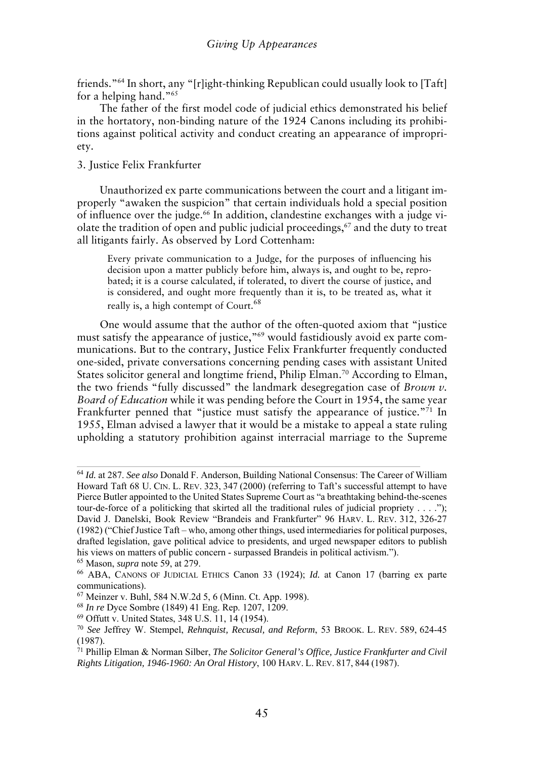friends."64 In short, any "[r]ight-thinking Republican could usually look to [Taft] for a helping hand."65

The father of the first model code of judicial ethics demonstrated his belief in the hortatory, non-binding nature of the 1924 Canons including its prohibitions against political activity and conduct creating an appearance of impropriety.

### 3. Justice Felix Frankfurter

Unauthorized ex parte communications between the court and a litigant improperly "awaken the suspicion" that certain individuals hold a special position of influence over the judge.66 In addition, clandestine exchanges with a judge violate the tradition of open and public judicial proceedings,<sup>67</sup> and the duty to treat all litigants fairly. As observed by Lord Cottenham:

Every private communication to a Judge, for the purposes of influencing his decision upon a matter publicly before him, always is, and ought to be, reprobated; it is a course calculated, if tolerated, to divert the course of justice, and is considered, and ought more frequently than it is, to be treated as, what it really is, a high contempt of Court.<sup>68</sup>

One would assume that the author of the often-quoted axiom that "justice must satisfy the appearance of justice,"<sup>69</sup> would fastidiously avoid ex parte communications. But to the contrary, Justice Felix Frankfurter frequently conducted one-sided, private conversations concerning pending cases with assistant United States solicitor general and longtime friend, Philip Elman.<sup>70</sup> According to Elman, the two friends "fully discussed" the landmark desegregation case of *Brown v. Board of Education* while it was pending before the Court in 1954, the same year Frankfurter penned that "justice must satisfy the appearance of justice."<sup>71</sup> In 1955, Elman advised a lawyer that it would be a mistake to appeal a state ruling upholding a statutory prohibition against interracial marriage to the Supreme

- 
- 

<sup>64</sup> *Id.* at 287. *See also* Donald F. Anderson, Building National Consensus: The Career of William Howard Taft 68 U. CIN. L. REV. 323, 347 (2000) (referring to Taft's successful attempt to have Pierce Butler appointed to the United States Supreme Court as "a breathtaking behind-the-scenes tour-de-force of a politicking that skirted all the traditional rules of judicial propriety  $\dots$ . David J. Danelski, Book Review "Brandeis and Frankfurter" 96 HARV. L. REV. 312, 326-27 (1982) ("Chief Justice Taft – who, among other things, used intermediaries for political purposes, drafted legislation, gave political advice to presidents, and urged newspaper editors to publish his views on matters of public concern - surpassed Brandeis in political activism.").<br><sup>65</sup> Mason, *supra* note 59, at 279.<br><sup>66</sup> ABA, CANONS OF JUDICIAL ETHICS Canon 33 (1924); *Id.* at Canon 17 (barring ex parte

communications).<br> $67$  Meinzer v. Buhl, 584 N.W.2d 5, 6 (Minn. Ct. App. 1998).

<sup>&</sup>lt;sup>68</sup> *In re* Dyce Sombre (1849) 41 Eng. Rep. 1207, 1209.<br><sup>69</sup> Offutt v. United States, 348 U.S. 11, 14 (1954).<br><sup>70</sup> *See* Jeffrey W. Stempel, *Rehnquist, Recusal, and Reform*, 53 BROOK. L. REV. 589, 624-45 (1987).

<sup>71</sup> Phillip Elman & Norman Silber, *The Solicitor General's Office, Justice Frankfurter and Civil Rights Litigation, 1946-1960: An Oral History*, 100 HARV. L. REV. 817, 844 (1987).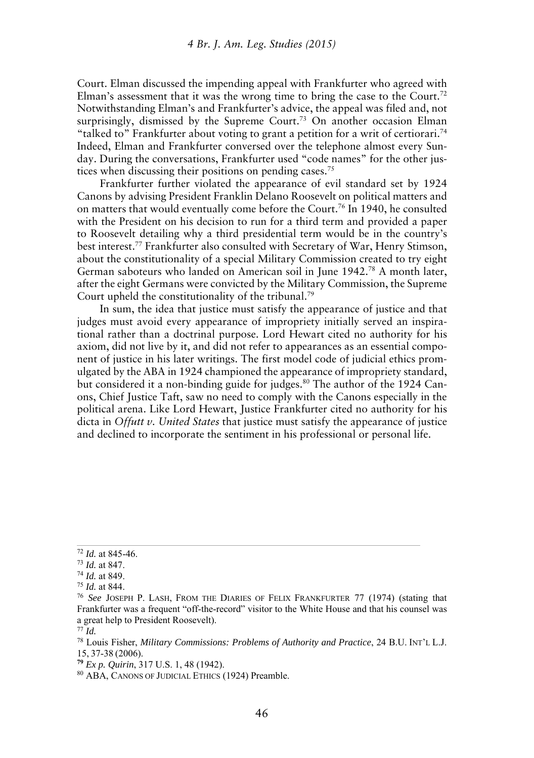Court. Elman discussed the impending appeal with Frankfurter who agreed with Elman's assessment that it was the wrong time to bring the case to the Court.<sup>72</sup> Notwithstanding Elman's and Frankfurter's advice, the appeal was filed and, not surprisingly, dismissed by the Supreme Court.<sup>73</sup> On another occasion Elman "talked to" Frankfurter about voting to grant a petition for a writ of certiorari.74 Indeed, Elman and Frankfurter conversed over the telephone almost every Sunday. During the conversations, Frankfurter used "code names" for the other justices when discussing their positions on pending cases.<sup>75</sup>

Frankfurter further violated the appearance of evil standard set by 1924 Canons by advising President Franklin Delano Roosevelt on political matters and on matters that would eventually come before the Court.76 In 1940, he consulted with the President on his decision to run for a third term and provided a paper to Roosevelt detailing why a third presidential term would be in the country's best interest.77 Frankfurter also consulted with Secretary of War, Henry Stimson, about the constitutionality of a special Military Commission created to try eight German saboteurs who landed on American soil in June 1942.78 A month later, after the eight Germans were convicted by the Military Commission, the Supreme Court upheld the constitutionality of the tribunal.<sup>79</sup>

In sum, the idea that justice must satisfy the appearance of justice and that judges must avoid every appearance of impropriety initially served an inspirational rather than a doctrinal purpose. Lord Hewart cited no authority for his axiom, did not live by it, and did not refer to appearances as an essential component of justice in his later writings. The first model code of judicial ethics promulgated by the ABA in 1924 championed the appearance of impropriety standard, but considered it a non-binding guide for judges.<sup>80</sup> The author of the 1924 Canons, Chief Justice Taft, saw no need to comply with the Canons especially in the political arena. Like Lord Hewart, Justice Frankfurter cited no authority for his dicta in *Offutt v. United States* that justice must satisfy the appearance of justice and declined to incorporate the sentiment in his professional or personal life.

<sup>72</sup> *Id.* at 845-46. 73 *Id.* at 847. 74 *Id.* at 849. 75 *Id.* at 844. 76 *See* JOSEPH P. LASH, FROM THE DIARIES OF FELIX FRANKFURTER 77 (1974) (stating that Frankfurter was a frequent "off-the-record" visitor to the White House and that his counsel was a great help to President Roosevelt).

 $77$   $Id.$ 

<sup>78</sup> Louis Fisher, *Military Commissions: Problems of Authority and Practice*, 24 B.U. INT'L L.J. 15, 37-38 (2006).

**<sup>79</sup>** *Ex p. Quirin*, 317 U.S. 1, 48 (1942). 80 ABA, CANONS OF JUDICIAL ETHICS (1924) Preamble.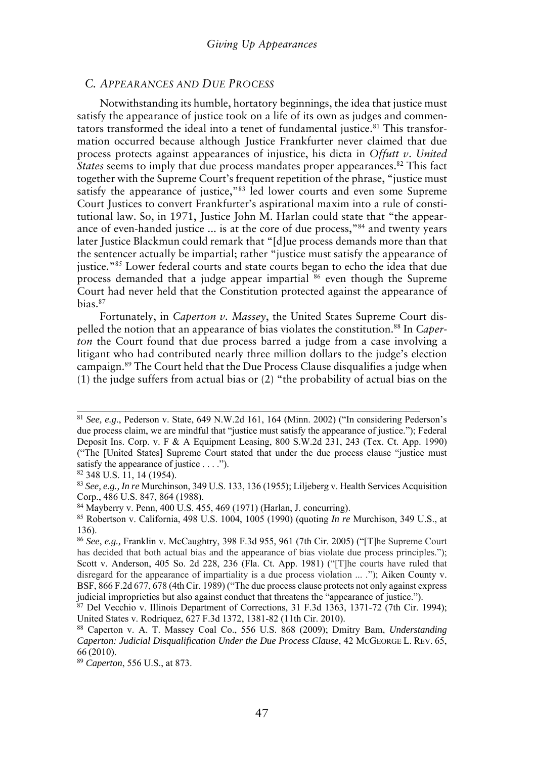#### *C. APPEARANCES AND DUE PROCESS*

Notwithstanding its humble, hortatory beginnings, the idea that justice must satisfy the appearance of justice took on a life of its own as judges and commentators transformed the ideal into a tenet of fundamental justice.<sup>81</sup> This transformation occurred because although Justice Frankfurter never claimed that due process protects against appearances of injustice, his dicta in *Offutt v*. *United States* seems to imply that due process mandates proper appearances.<sup>82</sup> This fact together with the Supreme Court's frequent repetition of the phrase, "justice must satisfy the appearance of justice,"<sup>83</sup> led lower courts and even some Supreme Court Justices to convert Frankfurter's aspirational maxim into a rule of constitutional law. So, in 1971, Justice John M. Harlan could state that "the appearance of even-handed justice ... is at the core of due process,"84 and twenty years later Justice Blackmun could remark that "[d]ue process demands more than that the sentencer actually be impartial; rather "justice must satisfy the appearance of justice."85 Lower federal courts and state courts began to echo the idea that due process demanded that a judge appear impartial 86 even though the Supreme Court had never held that the Constitution protected against the appearance of bias.87

Fortunately, in *Caperton v. Massey*, the United States Supreme Court dispelled the notion that an appearance of bias violates the constitution.88 In *Caperton* the Court found that due process barred a judge from a case involving a litigant who had contributed nearly three million dollars to the judge's election campaign.89 The Court held that the Due Process Clause disqualifies a judge when (1) the judge suffers from actual bias or (2) "the probability of actual bias on the

<sup>81</sup> *See, e.g*., Pederson v. State, 649 N.W.2d 161, 164 (Minn. 2002) ("In considering Pederson's due process claim, we are mindful that "justice must satisfy the appearance of justice."); Federal Deposit Ins. Corp. v. F & A Equipment Leasing, 800 S.W.2d 231, 243 (Tex. Ct. App. 1990) ("The [United States] Supreme Court stated that under the due process clause "justice must satisfy the appearance of justice . . . .").

 $82$  348 U.S. 11, 14 (1954).

<sup>83</sup> *See, e.g., In re* Murchinson, 349 U.S. 133, 136 (1955); Liljeberg v. Health Services Acquisition Corp., 486 U.S. 847, 864 (1988).

<sup>84</sup> Mayberry v. Penn, 400 U.S. 455, 469 (1971) (Harlan, J. concurring). 85 Robertson v. California, 498 U.S. 1004, 1005 (1990) (quoting *In re* Murchison, 349 U.S., at 136).

<sup>86</sup> *See*, *e.g.,* Franklin v. McCaughtry, 398 F.3d 955, 961 (7th Cir. 2005) ("[T]he Supreme Court has decided that both actual bias and the appearance of bias violate due process principles."); Scott v. Anderson, 405 So. 2d 228, 236 (Fla. Ct. App. 1981) ("The courts have ruled that disregard for the appearance of impartiality is a due process violation ... ."); Aiken County v. BSF, 866 F.2d 677, 678 (4th Cir. 1989) ("The due process clause protects not only against express judicial improprieties but also against conduct that threatens the "appearance of justice.").

 $87$  Del Vecchio v. Illinois Department of Corrections, 31 F.3d 1363, 1371-72 (7th Cir. 1994); United States v. Rodriquez, 627 F.3d 1372, 1381-82 (11th Cir. 2010). 88 Caperton v. A. T. Massey Coal Co., 556 U.S. 868 (2009); Dmitry Bam, *Understanding* 

*Caperton: Judicial Disqualification Under the Due Process Clause*, 42 MCGEORGE L. REV. 65, <sup>66</sup> (2010). 89 *Caperton*, 556 U.S., at 873.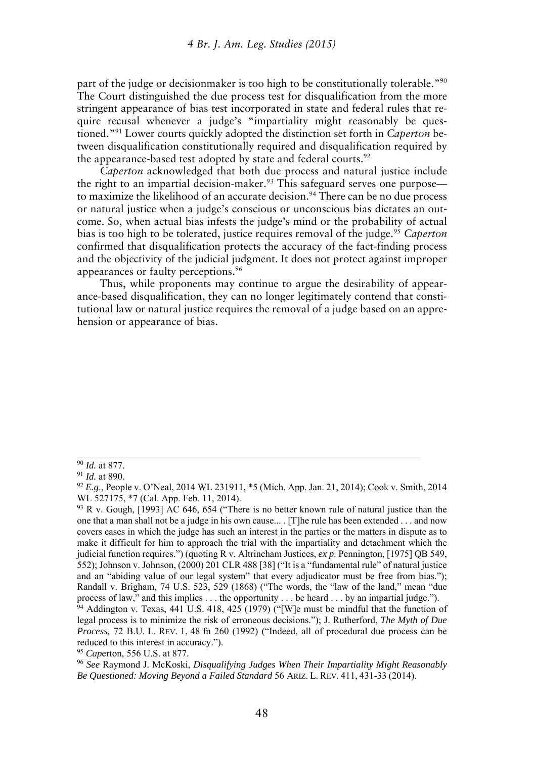part of the judge or decisionmaker is too high to be constitutionally tolerable."90 The Court distinguished the due process test for disqualification from the more stringent appearance of bias test incorporated in state and federal rules that require recusal whenever a judge's "impartiality might reasonably be questioned."91 Lower courts quickly adopted the distinction set forth in *Caperton* between disqualification constitutionally required and disqualification required by the appearance-based test adopted by state and federal courts.<sup>92</sup>

*Caperton* acknowledged that both due process and natural justice include the right to an impartial decision-maker.<sup>93</sup> This safeguard serves one purpose to maximize the likelihood of an accurate decision.<sup>94</sup> There can be no due process or natural justice when a judge's conscious or unconscious bias dictates an outcome. So, when actual bias infests the judge's mind or the probability of actual bias is too high to be tolerated, justice requires removal of the judge.95 *Caperton* confirmed that disqualification protects the accuracy of the fact-finding process and the objectivity of the judicial judgment. It does not protect against improper appearances or faulty perceptions.96

Thus, while proponents may continue to argue the desirability of appearance-based disqualification, they can no longer legitimately contend that constitutional law or natural justice requires the removal of a judge based on an apprehension or appearance of bias.

<sup>90</sup> *Id.* at 877. 91 *Id.* at 890. 92 *E.g*., People v. O'Neal, 2014 WL 231911, \*5 (Mich. App. Jan. 21, 2014); Cook v. Smith, 2014 WL 527175, \*7 (Cal. App. Feb. 11, 2014).

 $93$  R v. Gough, [1993] AC 646, 654 ("There is no better known rule of natural justice than the one that a man shall not be a judge in his own cause... . [T]he rule has been extended . . . and now covers cases in which the judge has such an interest in the parties or the matters in dispute as to make it difficult for him to approach the trial with the impartiality and detachment which the judicial function requires.") (quoting R v. Altrincham Justices, *ex p*. Pennington, [1975] QB 549, 552); Johnson v. Johnson, (2000) 201 CLR 488 [38] ("It is a "fundamental rule" of natural justice and an "abiding value of our legal system" that every adjudicator must be free from bias."); Randall v. Brigham, 74 U.S. 523, 529 (1868) ("The words, the "law of the land," mean "due process of law," and this implies . . . the opportunity . . . be heard . . . by an impartial judge."). 94 Addington v. Texas, 441 U.S. 418, 425 (1979) ("[W]e must be mindful that the function of

legal process is to minimize the risk of erroneous decisions."); J. Rutherford, *The Myth of Due Process*, 72 B.U. L. REV. 1, 48 fn 260 (1992) ("Indeed, all of procedural due process can be reduced to this interest in accuracy.").<br><sup>95</sup> Caperton, 556 U.S. at 877.

<sup>&</sup>lt;sup>96</sup> See Raymond J. McKoski, *Disqualifying Judges When Their Impartiality Might Reasonably Be Questioned: Moving Beyond a Failed Standard* 56 ARIZ. L. REV. 411, 431-33 (2014).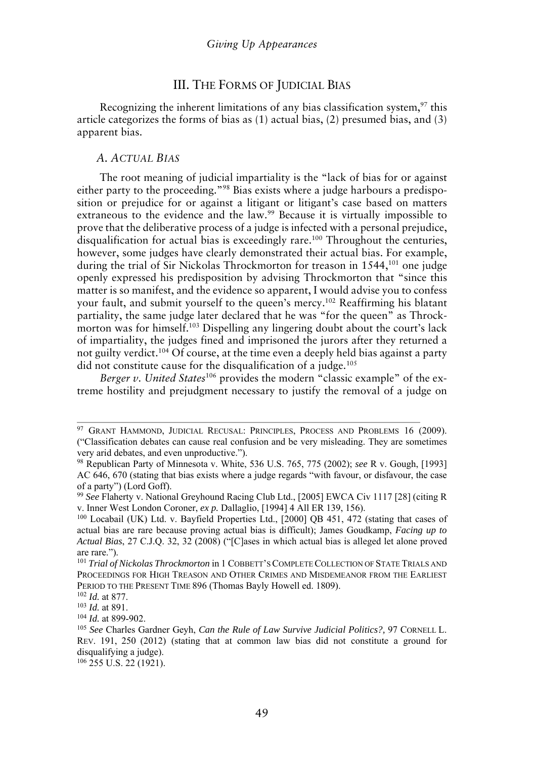## III. THE FORMS OF JUDICIAL BIAS

Recognizing the inherent limitations of any bias classification system, $97$  this article categorizes the forms of bias as (1) actual bias, (2) presumed bias, and (3) apparent bias.

#### *A. ACTUAL BIAS*

The root meaning of judicial impartiality is the "lack of bias for or against either party to the proceeding."98 Bias exists where a judge harbours a predisposition or prejudice for or against a litigant or litigant's case based on matters extraneous to the evidence and the law.<sup>99</sup> Because it is virtually impossible to prove that the deliberative process of a judge is infected with a personal prejudice, disqualification for actual bias is exceedingly rare.<sup>100</sup> Throughout the centuries, however, some judges have clearly demonstrated their actual bias. For example, during the trial of Sir Nickolas Throckmorton for treason in 1544,<sup>101</sup> one judge openly expressed his predisposition by advising Throckmorton that "since this matter is so manifest, and the evidence so apparent, I would advise you to confess your fault, and submit yourself to the queen's mercy.<sup>102</sup> Reaffirming his blatant partiality, the same judge later declared that he was "for the queen" as Throckmorton was for himself.<sup>103</sup> Dispelling any lingering doubt about the court's lack of impartiality, the judges fined and imprisoned the jurors after they returned a not guilty verdict.104 Of course, at the time even a deeply held bias against a party did not constitute cause for the disqualification of a judge.<sup>105</sup>

*Berger v. United States*<sup>106</sup> provides the modern "classic example" of the extreme hostility and prejudgment necessary to justify the removal of a judge on

<sup>&</sup>lt;sup>97</sup> GRANT HAMMOND, JUDICIAL RECUSAL: PRINCIPLES, PROCESS AND PROBLEMS 16 (2009). ("Classification debates can cause real confusion and be very misleading. They are sometimes very arid debates, and even unproductive.").

<sup>98</sup> Republican Party of Minnesota v. White, 536 U.S. 765, 775 (2002); *see* R v. Gough, [1993] AC 646, 670 (stating that bias exists where a judge regards "with favour, or disfavour, the case of a party") (Lord Goff).

<sup>99</sup> *See* Flaherty v. National Greyhound Racing Club Ltd., [2005] EWCA Civ 1117 [28] (citing R v. Inner West London Coroner, *ex p.* Dallaglio, [1994] 4 All ER 139, 156).<br><sup>100</sup> Locabail (UK) Ltd. v. Bayfield Properties Ltd., [2000] QB 451, 472 (stating that cases of

actual bias are rare because proving actual bias is difficult); James Goudkamp, *Facing up to Actual Bias*, 27 C.J.Q. 32, 32 (2008) ("[C]ases in which actual bias is alleged let alone proved are rare.").

<sup>101</sup> *Trial of Nickolas Throckmorton* in 1 COBBETT'S COMPLETE COLLECTION OF STATE TRIALS AND PROCEEDINGS FOR HIGH TREASON AND OTHER CRIMES AND MISDEMEANOR FROM THE EARLIEST PERIOD TO THE PRESENT TIME 896 (Thomas Bayly Howell ed. 1809).<br><sup>102</sup> Id. at 877.<br><sup>103</sup> Id. at 891.<br><sup>104</sup> Id. at 899-902.<br><sup>104</sup> Id. at 899-902.<br><sup>105</sup> See Charles Gardner Geyh, *Can the Rule of Law Survive Judicial Politics* 

REV. 191, 250 (2012) (stating that at common law bias did not constitute a ground for disqualifying a judge).

<sup>106 255</sup> U.S. 22 (1921).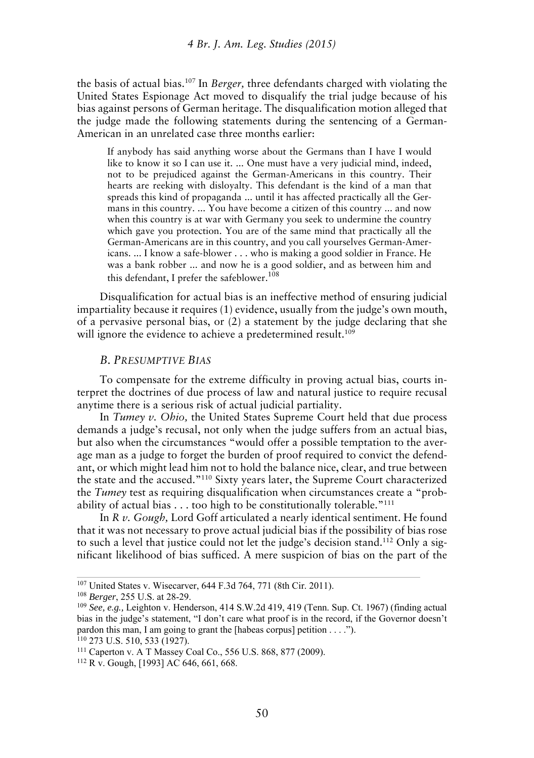the basis of actual bias.107 In *Berger,* three defendants charged with violating the United States Espionage Act moved to disqualify the trial judge because of his bias against persons of German heritage. The disqualification motion alleged that the judge made the following statements during the sentencing of a German-American in an unrelated case three months earlier:

If anybody has said anything worse about the Germans than I have I would like to know it so I can use it. ... One must have a very judicial mind, indeed, not to be prejudiced against the German-Americans in this country. Their hearts are reeking with disloyalty. This defendant is the kind of a man that spreads this kind of propaganda ... until it has affected practically all the Germans in this country. ... You have become a citizen of this country ... and now when this country is at war with Germany you seek to undermine the country which gave you protection. You are of the same mind that practically all the German-Americans are in this country, and you call yourselves German-Americans. ... I know a safe-blower . . . who is making a good soldier in France. He was a bank robber ... and now he is a good soldier, and as between him and this defendant, I prefer the safeblower.<sup>108</sup>

Disqualification for actual bias is an ineffective method of ensuring judicial impartiality because it requires (1) evidence, usually from the judge's own mouth, of a pervasive personal bias, or (2) a statement by the judge declaring that she will ignore the evidence to achieve a predetermined result.<sup>109</sup>

#### *B. PRESUMPTIVE BIAS*

To compensate for the extreme difficulty in proving actual bias, courts interpret the doctrines of due process of law and natural justice to require recusal anytime there is a serious risk of actual judicial partiality.

In *Tumey v. Ohio,* the United States Supreme Court held that due process demands a judge's recusal, not only when the judge suffers from an actual bias, but also when the circumstances "would offer a possible temptation to the average man as a judge to forget the burden of proof required to convict the defendant, or which might lead him not to hold the balance nice, clear, and true between the state and the accused."110 Sixty years later, the Supreme Court characterized the *Tumey* test as requiring disqualification when circumstances create a "probability of actual bias  $\dots$  too high to be constitutionally tolerable."<sup>111</sup>

In *R v. Gough,* Lord Goff articulated a nearly identical sentiment. He found that it was not necessary to prove actual judicial bias if the possibility of bias rose to such a level that justice could not let the judge's decision stand.112 Only a significant likelihood of bias sufficed. A mere suspicion of bias on the part of the

<sup>107</sup> United States v. Wisecarver, 644 F.3d 764, 771 (8th Cir. 2011).<br><sup>108</sup> *Berger*, 255 U.S. at 28-29.<br><sup>109</sup> *See, e.g.*, Leighton v. Henderson, 414 S.W.2d 419, 419 (Tenn. Sup. Ct. 1967) (finding actual bias in the judge's statement, "I don't care what proof is in the record, if the Governor doesn't pardon this man, I am going to grant the [habeas corpus] petition . . . ."). <sup>110</sup> 273 U.S. 510, 533 (1927).<br><sup>111</sup> Caperton v. A T Massey Coal Co., 556 U.S. 868, 877 (2009). <sup>112</sup> R v. Gough, [1993] AC 646, 661, 668.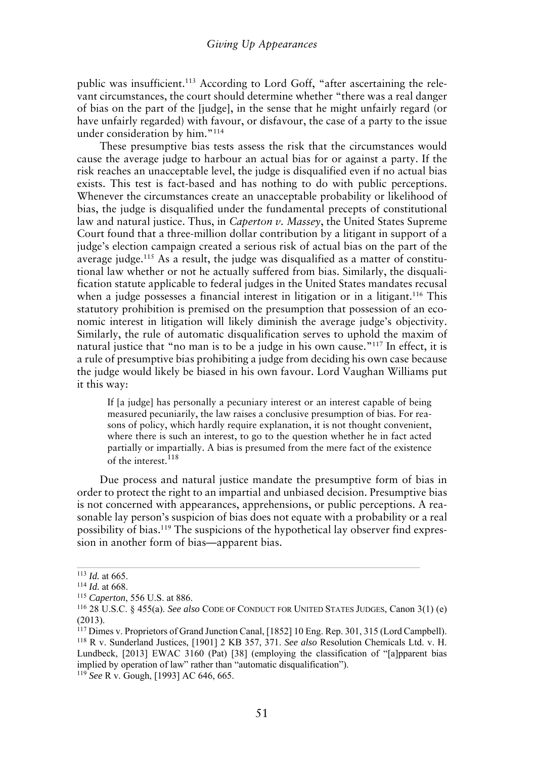public was insufficient.<sup>113</sup> According to Lord Goff, "after ascertaining the relevant circumstances, the court should determine whether "there was a real danger of bias on the part of the [judge], in the sense that he might unfairly regard (or have unfairly regarded) with favour, or disfavour, the case of a party to the issue under consideration by him."114

These presumptive bias tests assess the risk that the circumstances would cause the average judge to harbour an actual bias for or against a party. If the risk reaches an unacceptable level, the judge is disqualified even if no actual bias exists. This test is fact-based and has nothing to do with public perceptions. Whenever the circumstances create an unacceptable probability or likelihood of bias, the judge is disqualified under the fundamental precepts of constitutional law and natural justice. Thus, in *Caperton v. Massey*, the United States Supreme Court found that a three-million dollar contribution by a litigant in support of a judge's election campaign created a serious risk of actual bias on the part of the average judge.115 As a result, the judge was disqualified as a matter of constitutional law whether or not he actually suffered from bias. Similarly, the disqualification statute applicable to federal judges in the United States mandates recusal when a judge possesses a financial interest in litigation or in a litigant.<sup>116</sup> This statutory prohibition is premised on the presumption that possession of an economic interest in litigation will likely diminish the average judge's objectivity. Similarly, the rule of automatic disqualification serves to uphold the maxim of natural justice that "no man is to be a judge in his own cause."117 In effect, it is a rule of presumptive bias prohibiting a judge from deciding his own case because the judge would likely be biased in his own favour. Lord Vaughan Williams put it this way:

If [a judge] has personally a pecuniary interest or an interest capable of being measured pecuniarily, the law raises a conclusive presumption of bias. For reasons of policy, which hardly require explanation, it is not thought convenient, where there is such an interest, to go to the question whether he in fact acted partially or impartially. A bias is presumed from the mere fact of the existence of the interest <sup>118</sup>

Due process and natural justice mandate the presumptive form of bias in order to protect the right to an impartial and unbiased decision. Presumptive bias is not concerned with appearances, apprehensions, or public perceptions. A reasonable lay person's suspicion of bias does not equate with a probability or a real possibility of bias.119 The suspicions of the hypothetical lay observer find expression in another form of bias—apparent bias.

<sup>113</sup> *Id.* at 665.<br><sup>114</sup> *Id.* at 668.<br><sup>115</sup> *Caperton*, 556 U.S. at 886. 200E OF CONDUCT FOR UNITED STATES JUDGES, Canon 3(1) (e) (2013).

<sup>117</sup> Dimes v. Proprietors of Grand Junction Canal, [1852] 10 Eng. Rep. 301, 315 (Lord Campbell). 118 R v. Sunderland Justices, [1901] 2 KB 357, 371. *See also* Resolution Chemicals Ltd. v. H. Lundbeck, [2013] EWAC 3160 (Pat) [38] (employing the classification of "[a]pparent bias implied by operation of law" rather than "automatic disqualification"). 119 *See* R v. Gough, [1993] AC 646, 665.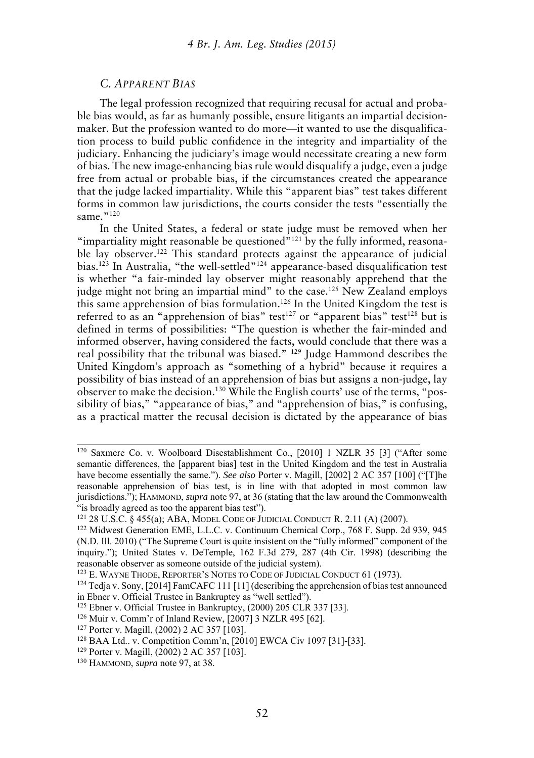#### *C. APPARENT BIAS*

The legal profession recognized that requiring recusal for actual and probable bias would, as far as humanly possible, ensure litigants an impartial decisionmaker. But the profession wanted to do more—it wanted to use the disqualification process to build public confidence in the integrity and impartiality of the judiciary. Enhancing the judiciary's image would necessitate creating a new form of bias. The new image-enhancing bias rule would disqualify a judge, even a judge free from actual or probable bias, if the circumstances created the appearance that the judge lacked impartiality. While this "apparent bias" test takes different forms in common law jurisdictions, the courts consider the tests "essentially the same $.9120$ 

In the United States, a federal or state judge must be removed when her "impartiality might reasonable be questioned"<sup>121</sup> by the fully informed, reasonable lay observer.<sup>122</sup> This standard protects against the appearance of judicial bias.<sup>123</sup> In Australia, "the well-settled"<sup>124</sup> appearance-based disqualification test is whether "a fair-minded lay observer might reasonably apprehend that the judge might not bring an impartial mind" to the case.<sup>125</sup> New Zealand employs this same apprehension of bias formulation.126 In the United Kingdom the test is referred to as an "apprehension of bias" test<sup>127</sup> or "apparent bias" test<sup>128</sup> but is defined in terms of possibilities: "The question is whether the fair-minded and informed observer, having considered the facts, would conclude that there was a real possibility that the tribunal was biased." 129 Judge Hammond describes the United Kingdom's approach as "something of a hybrid" because it requires a possibility of bias instead of an apprehension of bias but assigns a non-judge, lay observer to make the decision.130 While the English courts' use of the terms, "possibility of bias," "appearance of bias," and "apprehension of bias," is confusing, as a practical matter the recusal decision is dictated by the appearance of bias

<sup>120</sup> Saxmere Co. v. Woolboard Disestablishment Co., [2010] 1 NZLR 35 [3] ("After some semantic differences, the [apparent bias] test in the United Kingdom and the test in Australia have become essentially the same."). *See also* Porter v. Magill, [2002] 2 AC 357 [100] ("[T]he reasonable apprehension of bias test, is in line with that adopted in most common law jurisdictions."); HAMMOND, *supra* note 97, at 36 (stating that the law around the Commonwealth "is broadly agreed as too the apparent bias test"). 121 28 U.S.C. § 455(a); ABA, MODEL CODE OF JUDICIAL CONDUCT R. 2.11 (A) (2007). 122 Midwest Generation EME, L.L.C. v. Continuum Chemical Corp., 768 F. Supp. 2d 939, 945

<sup>(</sup>N.D. Ill. 2010) ("The Supreme Court is quite insistent on the "fully informed" component of the inquiry."); United States v. DeTemple, 162 F.3d 279, 287 (4th Cir. 1998) (describing the reasonable observer as someone outside of the judicial system).

<sup>&</sup>lt;sup>123</sup> E. WAYNE THODE, REPORTER'S NOTES TO CODE OF JUDICIAL CONDUCT 61 (1973).<br><sup>124</sup> Tedja v. Sony, [2014] FamCAFC 111 [11] (describing the apprehension of bias test announced

in Ebner v. Official Trustee in Bankruptcy as "well settled").<br><sup>125</sup> Ebner v. Official Trustee in Bankruptcy, (2000) 205 CLR 337 [33].<br><sup>126</sup> Muir v. Comm'r of Inland Review, [2007] 3 NZLR 495 [62].<br><sup>127</sup> Porter v. Magill,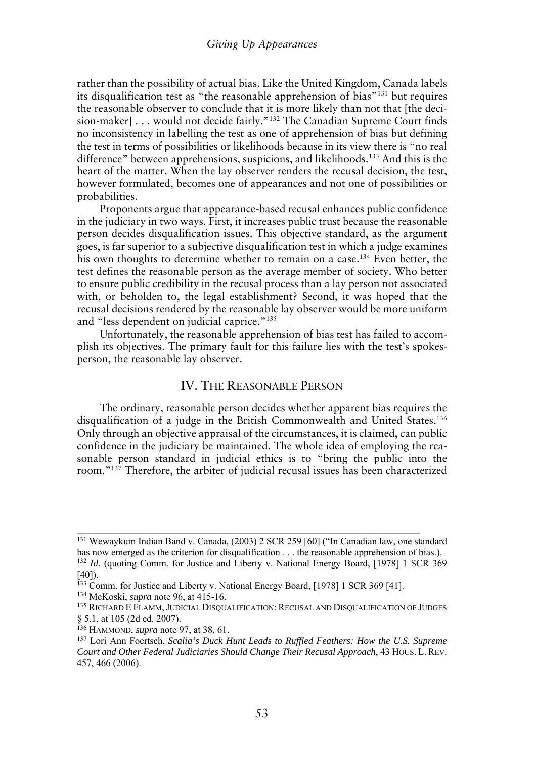rather than the possibility of actual bias. Like the United Kingdom, Canada labels its disqualification test as "the reasonable apprehension of bias"131 but requires the reasonable observer to conclude that it is more likely than not that [the decision-maker] . . . would not decide fairly."132 The Canadian Supreme Court finds no inconsistency in labelling the test as one of apprehension of bias but defining the test in terms of possibilities or likelihoods because in its view there is "no real difference" between apprehensions, suspicions, and likelihoods.133 And this is the heart of the matter. When the lay observer renders the recusal decision, the test, however formulated, becomes one of appearances and not one of possibilities or probabilities.

Proponents argue that appearance-based recusal enhances public confidence in the judiciary in two ways. First, it increases public trust because the reasonable person decides disqualification issues. This objective standard, as the argument goes, is far superior to a subjective disqualification test in which a judge examines his own thoughts to determine whether to remain on a case.<sup>134</sup> Even better, the test defines the reasonable person as the average member of society. Who better to ensure public credibility in the recusal process than a lay person not associated with, or beholden to, the legal establishment? Second, it was hoped that the recusal decisions rendered by the reasonable lay observer would be more uniform and "less dependent on judicial caprice."135

Unfortunately, the reasonable apprehension of bias test has failed to accomplish its objectives. The primary fault for this failure lies with the test's spokesperson, the reasonable lay observer.

## IV. THE REASONABLE PERSON

The ordinary, reasonable person decides whether apparent bias requires the disqualification of a judge in the British Commonwealth and United States.<sup>136</sup> Only through an objective appraisal of the circumstances, it is claimed, can public confidence in the judiciary be maintained. The whole idea of employing the reasonable person standard in judicial ethics is to "bring the public into the room."137 Therefore, the arbiter of judicial recusal issues has been characterized

<sup>131</sup> Wewaykum Indian Band v. Canada, (2003) 2 SCR 259 [60] ("In Canadian law, one standard has now emerged as the criterion for disqualification . . . the reasonable apprehension of bias.). <sup>132</sup> *Id.* (quoting Comm. for Justice and Liberty v. National Energy Board, [1978] 1 SCR 369 [40]).<br><sup>133</sup> Comm. for Justice and Liberty v. National Energy Board, [1978] 1 SCR 369 [41].

<sup>&</sup>lt;sup>134</sup> McKoski, *supra* note 96, at 415-16.<br><sup>135</sup> Richard E Flamm, Judicial Disqualification: Recusal and Disqualification of Judges § 5.1, at 105 (2d ed. 2007).

<sup>&</sup>lt;sup>136</sup> HAMMOND, *supra* note 97, at 38, 61.<br><sup>137</sup> Lori Ann Foertsch, *Scalia's Duck Hunt Leads to Ruffled Feathers: How the U.S. Supreme Court and Other Federal Judiciaries Should Change Their Recusal Approach*, 43 HOUS. L. REV. 457, 466 (2006).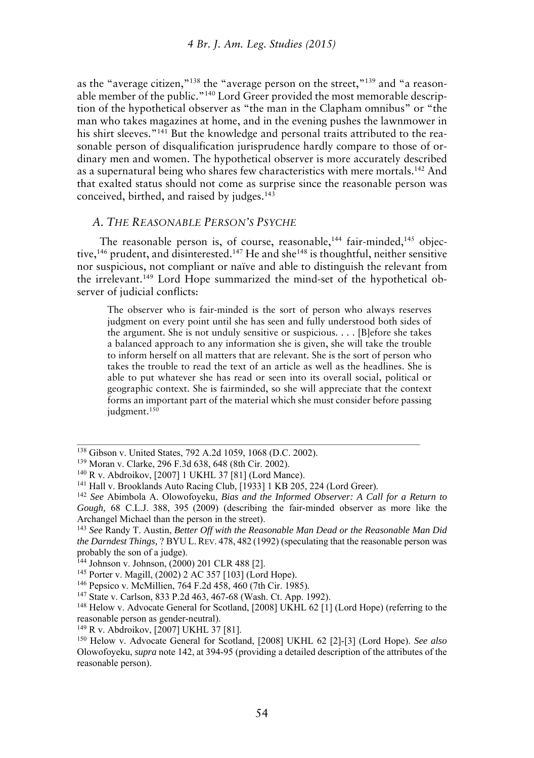as the "average citizen,"<sup>138</sup> the "average person on the street,"<sup>139</sup> and "a reasonable member of the public."140 Lord Greer provided the most memorable description of the hypothetical observer as "the man in the Clapham omnibus" or "the man who takes magazines at home, and in the evening pushes the lawnmower in his shirt sleeves."<sup>141</sup> But the knowledge and personal traits attributed to the reasonable person of disqualification jurisprudence hardly compare to those of ordinary men and women. The hypothetical observer is more accurately described as a supernatural being who shares few characteristics with mere mortals.142 And that exalted status should not come as surprise since the reasonable person was conceived, birthed, and raised by judges.143

#### *A. THE REASONABLE PERSON'S PSYCHE*

The reasonable person is, of course, reasonable, $144$  fair-minded, $145$  objective,<sup>146</sup> prudent, and disinterested.<sup>147</sup> He and she<sup>148</sup> is thoughtful, neither sensitive nor suspicious, not compliant or naïve and able to distinguish the relevant from the irrelevant.149 Lord Hope summarized the mind-set of the hypothetical observer of judicial conflicts:

The observer who is fair-minded is the sort of person who always reserves judgment on every point until she has seen and fully understood both sides of the argument. She is not unduly sensitive or suspicious. . . . [B]efore she takes a balanced approach to any information she is given, she will take the trouble to inform herself on all matters that are relevant. She is the sort of person who takes the trouble to read the text of an article as well as the headlines. She is able to put whatever she has read or seen into its overall social, political or geographic context. She is fairminded, so she will appreciate that the context forms an important part of the material which she must consider before passing judgment.<sup>150</sup>

<sup>&</sup>lt;sup>138</sup> Gibson v. United States, 792 A.2d 1059, 1068 (D.C. 2002).<br><sup>139</sup> Moran v. Clarke, 296 F.3d 638, 648 (8th Cir. 2002).<br><sup>140</sup> R v. Abdroikov, [2007] 1 UKHL 37 [81] (Lord Mance).<br><sup>141</sup> Hall v. Brooklands Auto Racing Club

*Gough,* 68 C.L.J. 388, 395 (2009) (describing the fair-minded observer as more like the Archangel Michael than the person in the street).

<sup>143</sup> *See* Randy T. Austin, *Better Off with the Reasonable Man Dead or the Reasonable Man Did the Darndest Things,* ? BYU L. REV. 478, 482 (1992) (speculating that the reasonable person was probably the son of a judge).<br><sup>144</sup> Johnson v. Johnson, (2000) 201 CLR 488 [2].

<sup>&</sup>lt;sup>145</sup> Porter v. Magill, (2002) 2 AC 357 [103] (Lord Hope).<br><sup>146</sup> Pepsico v. McMillien, 764 F.2d 458, 460 (7th Cir. 1985).<br><sup>147</sup> State v. Carlson, 833 P.2d 463, 467-68 (Wash. Ct. App. 1992).<br><sup>148</sup> Helow v. Advocate General reasonable person as gender-neutral).<br><sup>149</sup> R v. Abdroikov, [2007] UKHL 37 [81].

<sup>&</sup>lt;sup>150</sup> Helow v. Advocate General for Scotland, [2008] UKHL 62 [2]-[3] (Lord Hope). *See also* Olowofoyeku, *supra* note 142, at 394-95 (providing a detailed description of the attributes of the reasonable person).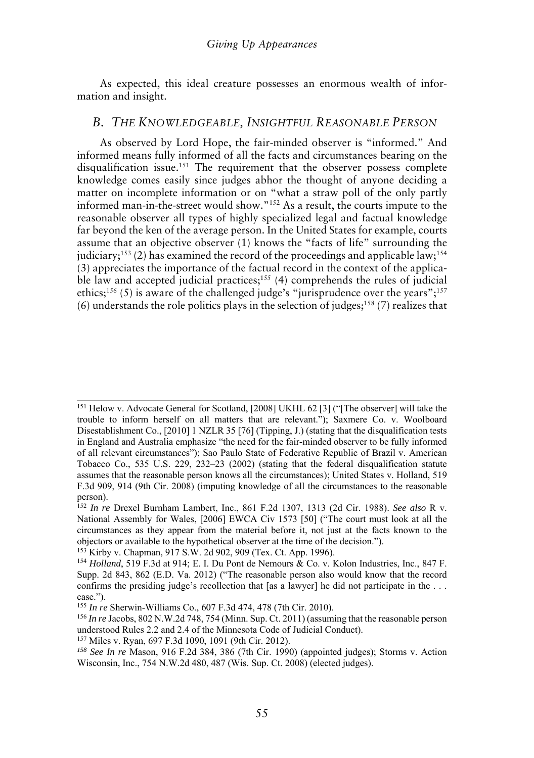As expected, this ideal creature possesses an enormous wealth of information and insight.

## *B. THE KNOWLEDGEABLE, INSIGHTFUL REASONABLE PERSON*

As observed by Lord Hope, the fair-minded observer is "informed." And informed means fully informed of all the facts and circumstances bearing on the disqualification issue.151 The requirement that the observer possess complete knowledge comes easily since judges abhor the thought of anyone deciding a matter on incomplete information or on "what a straw poll of the only partly informed man-in-the-street would show."152 As a result, the courts impute to the reasonable observer all types of highly specialized legal and factual knowledge far beyond the ken of the average person. In the United States for example, courts assume that an objective observer (1) knows the "facts of life" surrounding the judiciary;<sup>153</sup> (2) has examined the record of the proceedings and applicable law;<sup>154</sup> (3) appreciates the importance of the factual record in the context of the applicable law and accepted judicial practices;<sup>155</sup> (4) comprehends the rules of judicial ethics;<sup>156</sup> (5) is aware of the challenged judge's "jurisprudence over the years";<sup>157</sup> (6) understands the role politics plays in the selection of judges;<sup>158</sup> (7) realizes that

<sup>&</sup>lt;sup>151</sup> Helow v. Advocate General for Scotland, [2008] UKHL 62 [3] ("[The observer] will take the trouble to inform herself on all matters that are relevant."); Saxmere Co. v. Woolboard Disestablishment Co., [2010] 1 NZLR 35 [76] (Tipping, J.) (stating that the disqualification tests in England and Australia emphasize "the need for the fair-minded observer to be fully informed of all relevant circumstances"); Sao Paulo State of Federative Republic of Brazil v. American Tobacco Co., 535 U.S. 229, 232–23 (2002) (stating that the federal disqualification statute assumes that the reasonable person knows all the circumstances); United States v. Holland, 519 F.3d 909, 914 (9th Cir. 2008) (imputing knowledge of all the circumstances to the reasonable person).

<sup>152</sup> *In re* Drexel Burnham Lambert, Inc., 861 F.2d 1307, 1313 (2d Cir. 1988). *See also* R v. National Assembly for Wales, [2006] EWCA Civ 1573 [50] ("The court must look at all the circumstances as they appear from the material before it, not just at the facts known to the objectors or available to the hypothetical observer at the time of the decision.").<br><sup>153</sup> Kirby v. Chapman, 917 S.W. 2d 902, 909 (Tex. Ct. App. 1996).<br><sup>154</sup> Holland, 519 F.3d at 914; E. I. Du Pont de Nemours & Co. v. Kolon

Supp. 2d 843, 862 (E.D. Va. 2012) ("The reasonable person also would know that the record confirms the presiding judge's recollection that [as a lawyer] he did not participate in the . . . case.").

<sup>&</sup>lt;sup>155</sup> *In re* Sherwin-Williams Co., 607 F.3d 474, 478 (7th Cir. 2010).<br><sup>156</sup> *In re* Jacobs, 802 N.W.2d 748, 754 (Minn. Sup. Ct. 2011) (assuming that the reasonable person understood Rules 2.2 and 2.4 of the Minnesota Code of Judicial Conduct). 157 Miles v. Ryan, 697 F.3d 1090, 1091 (9th Cir. 2012).

*<sup>158</sup> See In re* Mason, 916 F.2d 384, 386 (7th Cir. 1990) (appointed judges); Storms v. Action Wisconsin, Inc., 754 N.W.2d 480, 487 (Wis. Sup. Ct. 2008) (elected judges).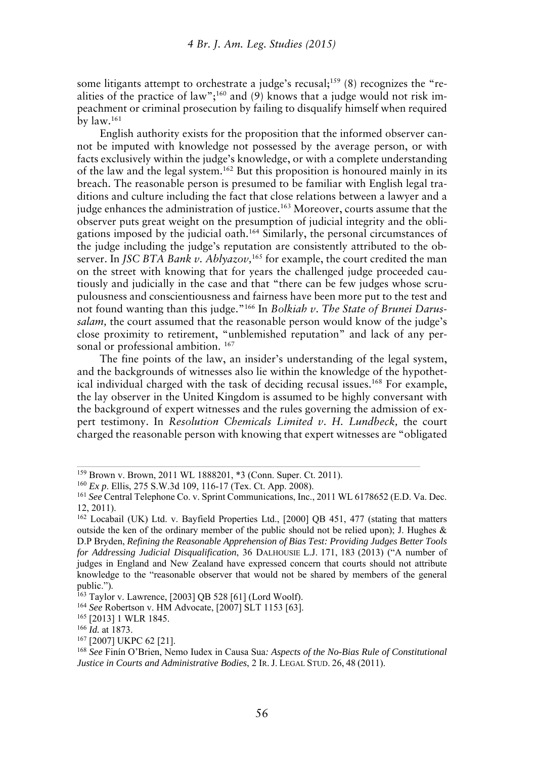some litigants attempt to orchestrate a judge's recusal;<sup>159</sup> (8) recognizes the "realities of the practice of law";<sup>160</sup> and (9) knows that a judge would not risk impeachment or criminal prosecution by failing to disqualify himself when required by law.161

English authority exists for the proposition that the informed observer cannot be imputed with knowledge not possessed by the average person, or with facts exclusively within the judge's knowledge, or with a complete understanding of the law and the legal system.162 But this proposition is honoured mainly in its breach. The reasonable person is presumed to be familiar with English legal traditions and culture including the fact that close relations between a lawyer and a judge enhances the administration of justice.<sup>163</sup> Moreover, courts assume that the observer puts great weight on the presumption of judicial integrity and the obligations imposed by the judicial oath.164 Similarly, the personal circumstances of the judge including the judge's reputation are consistently attributed to the observer. In *JSC BTA Bank v. Ablyazov*,<sup>165</sup> for example, the court credited the man on the street with knowing that for years the challenged judge proceeded cautiously and judicially in the case and that "there can be few judges whose scrupulousness and conscientiousness and fairness have been more put to the test and not found wanting than this judge."166 In *Bolkiah v*. *The State of Brunei Darussalam,* the court assumed that the reasonable person would know of the judge's close proximity to retirement, "unblemished reputation" and lack of any personal or professional ambition.<sup>167</sup>

The fine points of the law, an insider's understanding of the legal system, and the backgrounds of witnesses also lie within the knowledge of the hypothetical individual charged with the task of deciding recusal issues.168 For example, the lay observer in the United Kingdom is assumed to be highly conversant with the background of expert witnesses and the rules governing the admission of expert testimony. In *Resolution Chemicals Limited v*. *H. Lundbeck,* the court charged the reasonable person with knowing that expert witnesses are "obligated

<sup>&</sup>lt;sup>159</sup> Brown v. Brown, 2011 WL 1888201, \*3 (Conn. Super. Ct. 2011).<br><sup>160</sup> *Ex p*. Ellis, 275 S.W.3d 109, 116-17 (Tex. Ct. App. 2008).<br><sup>161</sup> *See* Central Telephone Co. v. Sprint Communications, Inc., 2011 WL 6178652 (E.D. 12, 2011).

<sup>162</sup> Locabail (UK) Ltd. v. Bayfield Properties Ltd., [2000] QB 451, 477 (stating that matters outside the ken of the ordinary member of the public should not be relied upon); J. Hughes  $\&$ D.P Bryden, *Refining the Reasonable Apprehension of Bias Test: Providing Judges Better Tools for Addressing Judicial Disqualification*, 36 DALHOUSIE L.J. 171, 183 (2013) ("A number of judges in England and New Zealand have expressed concern that courts should not attribute knowledge to the "reasonable observer that would not be shared by members of the general public.").

<sup>&</sup>lt;sup>163</sup> Taylor v. Lawrence, [2003] QB 528 [61] (Lord Woolf).<br><sup>164</sup> *See* Robertson v. HM Advocate, [2007] SLT 1153 [63].<br><sup>165</sup> [2013] 1 WLR 1845.<br><sup>166</sup> *Id.* at 1873.<br><sup>167</sup> [2007] UKPC 62 [21].<br><sup>167</sup> [2007] UKPC 62 [21].<br><sup>1</sup> *Justice in Courts and Administrative Bodies*, 2 IR.J. LEGAL STUD. 26, 48 (2011).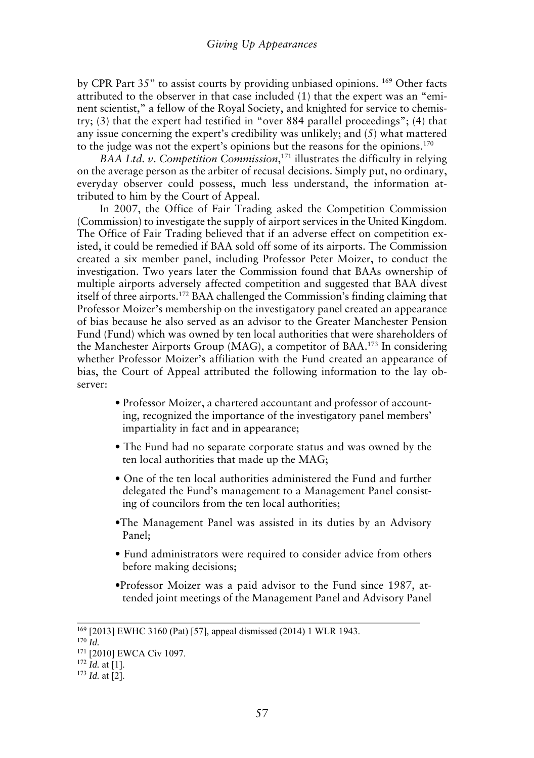by CPR Part 35" to assist courts by providing unbiased opinions. 169 Other facts attributed to the observer in that case included (1) that the expert was an "eminent scientist," a fellow of the Royal Society, and knighted for service to chemistry; (3) that the expert had testified in "over 884 parallel proceedings"; (4) that any issue concerning the expert's credibility was unlikely; and (5) what mattered to the judge was not the expert's opinions but the reasons for the opinions.170

*BAA Ltd. v*. *Competition Commission*, 171 illustrates the difficulty in relying on the average person as the arbiter of recusal decisions. Simply put, no ordinary, everyday observer could possess, much less understand, the information attributed to him by the Court of Appeal.

In 2007, the Office of Fair Trading asked the Competition Commission (Commission) to investigate the supply of airport services in the United Kingdom. The Office of Fair Trading believed that if an adverse effect on competition existed, it could be remedied if BAA sold off some of its airports. The Commission created a six member panel, including Professor Peter Moizer, to conduct the investigation. Two years later the Commission found that BAAs ownership of multiple airports adversely affected competition and suggested that BAA divest itself of three airports.172 BAA challenged the Commission's finding claiming that Professor Moizer's membership on the investigatory panel created an appearance of bias because he also served as an advisor to the Greater Manchester Pension Fund (Fund) which was owned by ten local authorities that were shareholders of the Manchester Airports Group (MAG), a competitor of BAA.173 In considering whether Professor Moizer's affiliation with the Fund created an appearance of bias, the Court of Appeal attributed the following information to the lay observer:

- Professor Moizer, a chartered accountant and professor of accounting, recognized the importance of the investigatory panel members' impartiality in fact and in appearance;
- The Fund had no separate corporate status and was owned by the ten local authorities that made up the MAG;
- One of the ten local authorities administered the Fund and further delegated the Fund's management to a Management Panel consisting of councilors from the ten local authorities;
- •The Management Panel was assisted in its duties by an Advisory Panel;
- Fund administrators were required to consider advice from others before making decisions;
- •Professor Moizer was a paid advisor to the Fund since 1987, attended joint meetings of the Management Panel and Advisory Panel

<sup>169 [2013]</sup> EWHC 3160 (Pat) [57], appeal dismissed (2014) 1 WLR 1943. 170 *Id.*

<sup>171 [2010]</sup> EWCA Civ 1097. 172 *Id.* at [1]. 173 *Id.* at [2].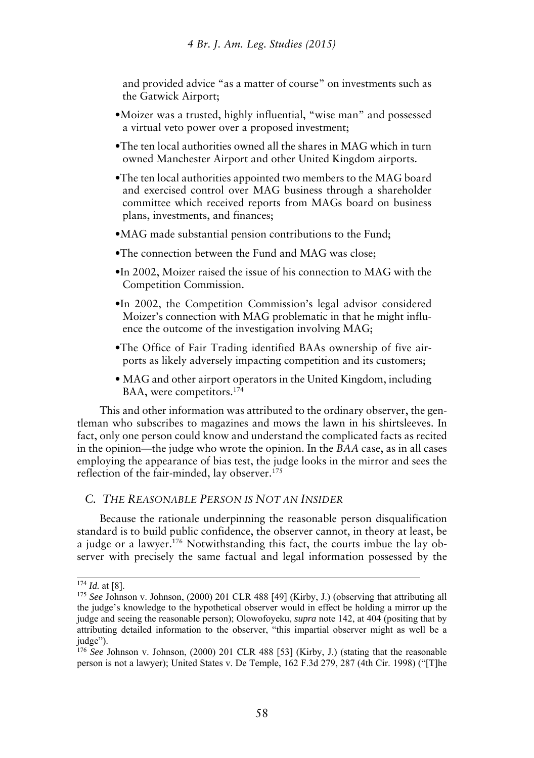and provided advice "as a matter of course" on investments such as the Gatwick Airport;

- •Moizer was a trusted, highly influential, "wise man" and possessed a virtual veto power over a proposed investment;
- •The ten local authorities owned all the shares in MAG which in turn owned Manchester Airport and other United Kingdom airports.
- •The ten local authorities appointed two members to the MAG board and exercised control over MAG business through a shareholder committee which received reports from MAGs board on business plans, investments, and finances;
- •MAG made substantial pension contributions to the Fund;
- •The connection between the Fund and MAG was close;
- •In 2002, Moizer raised the issue of his connection to MAG with the Competition Commission.
- •In 2002, the Competition Commission's legal advisor considered Moizer's connection with MAG problematic in that he might influence the outcome of the investigation involving MAG;
- •The Office of Fair Trading identified BAAs ownership of five airports as likely adversely impacting competition and its customers;
- MAG and other airport operators in the United Kingdom, including BAA, were competitors.174

This and other information was attributed to the ordinary observer, the gentleman who subscribes to magazines and mows the lawn in his shirtsleeves. In fact, only one person could know and understand the complicated facts as recited in the opinion—the judge who wrote the opinion. In the *BAA* case, as in all cases employing the appearance of bias test, the judge looks in the mirror and sees the reflection of the fair-minded, lay observer.<sup>175</sup>

## *C. THE REASONABLE PERSON IS NOT AN INSIDER*

Because the rationale underpinning the reasonable person disqualification standard is to build public confidence, the observer cannot, in theory at least, be a judge or a lawyer.176 Notwithstanding this fact, the courts imbue the lay observer with precisely the same factual and legal information possessed by the

<sup>&</sup>lt;sup>174</sup> *Id.* at [8].<br><sup>175</sup> *See* Johnson v. Johnson, (2000) 201 CLR 488 [49] (Kirby, J.) (observing that attributing all the judge's knowledge to the hypothetical observer would in effect be holding a mirror up the judge and seeing the reasonable person); Olowofoyeku, *supra* note 142, at 404 (positing that by attributing detailed information to the observer, "this impartial observer might as well be a judge").

<sup>&</sup>lt;sup>176</sup> See Johnson v. Johnson, (2000) 201 CLR 488 [53] (Kirby, J.) (stating that the reasonable person is not a lawyer); United States v. De Temple, 162 F.3d 279, 287 (4th Cir. 1998) ("[T]he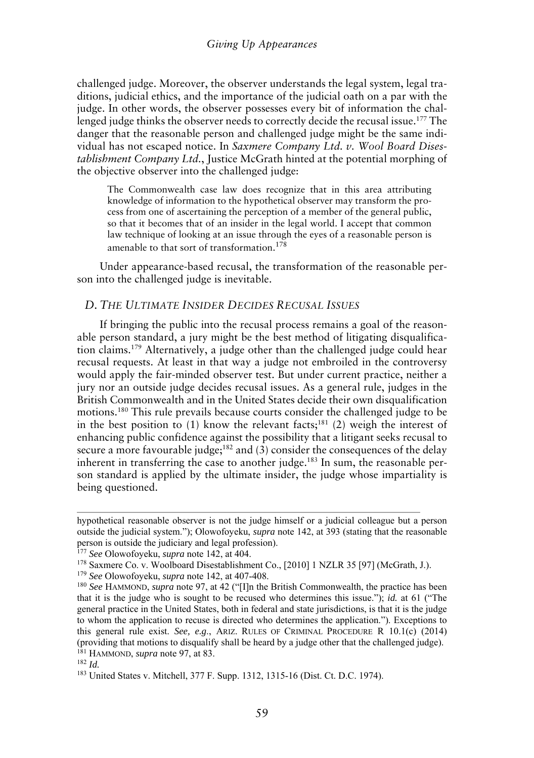challenged judge. Moreover, the observer understands the legal system, legal traditions, judicial ethics, and the importance of the judicial oath on a par with the judge. In other words, the observer possesses every bit of information the challenged judge thinks the observer needs to correctly decide the recusal issue.177 The danger that the reasonable person and challenged judge might be the same individual has not escaped notice. In *Saxmere Company Ltd. v. Wool Board Disestablishment Company Ltd.*, Justice McGrath hinted at the potential morphing of the objective observer into the challenged judge:

The Commonwealth case law does recognize that in this area attributing knowledge of information to the hypothetical observer may transform the process from one of ascertaining the perception of a member of the general public, so that it becomes that of an insider in the legal world. I accept that common law technique of looking at an issue through the eyes of a reasonable person is amenable to that sort of transformation.<sup>178</sup>

Under appearance-based recusal, the transformation of the reasonable person into the challenged judge is inevitable.

### *D. THE ULTIMATE INSIDER DECIDES RECUSAL ISSUES*

If bringing the public into the recusal process remains a goal of the reasonable person standard, a jury might be the best method of litigating disqualification claims.179 Alternatively, a judge other than the challenged judge could hear recusal requests. At least in that way a judge not embroiled in the controversy would apply the fair-minded observer test. But under current practice, neither a jury nor an outside judge decides recusal issues. As a general rule, judges in the British Commonwealth and in the United States decide their own disqualification motions.180 This rule prevails because courts consider the challenged judge to be in the best position to  $(1)$  know the relevant facts;<sup>181</sup>  $(2)$  weigh the interest of enhancing public confidence against the possibility that a litigant seeks recusal to secure a more favourable judge;<sup>182</sup> and (3) consider the consequences of the delay inherent in transferring the case to another judge.<sup>183</sup> In sum, the reasonable person standard is applied by the ultimate insider, the judge whose impartiality is being questioned.

hypothetical reasonable observer is not the judge himself or a judicial colleague but a person outside the judicial system."); Olowofoyeku, *supra* note 142, at 393 (stating that the reasonable person is outside the judiciary and legal profession).

<sup>&</sup>lt;sup>177</sup> See Olowofoyeku, *supra* note 142, at 404.<br><sup>178</sup> Saxmere Co. v. Woolboard Disestablishment Co., [2010] 1 NZLR 35 [97] (McGrath, J.).<br><sup>179</sup> See Olowofoyeku, *supra* note 142, at 407-408.<br><sup>180</sup> See HAMMOND, *supra* no

that it is the judge who is sought to be recused who determines this issue."); *id.* at 61 ("The general practice in the United States, both in federal and state jurisdictions, is that it is the judge to whom the application to recuse is directed who determines the application."). Exceptions to this general rule exist. *See, e.g*., ARIZ. RULES OF CRIMINAL PROCEDURE R 10.1(c) (2014) (providing that motions to disqualify shall be heard by a judge other that the challenged judge). 181 HAMMOND, *supra* note 97, at 83. 182 *Id.*

<sup>183</sup> United States v. Mitchell, 377 F. Supp. 1312, 1315-16 (Dist. Ct. D.C. 1974).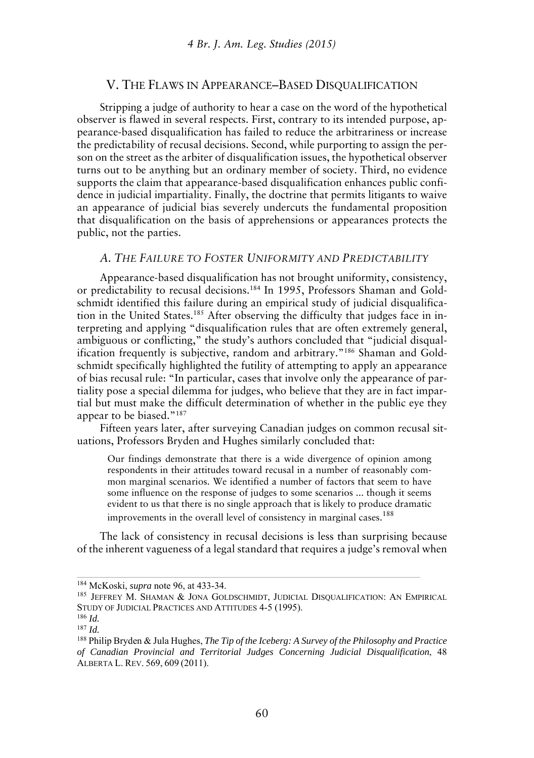## V. THE FLAWS IN APPEARANCE–BASED DISQUALIFICATION

Stripping a judge of authority to hear a case on the word of the hypothetical observer is flawed in several respects. First, contrary to its intended purpose, appearance-based disqualification has failed to reduce the arbitrariness or increase the predictability of recusal decisions. Second, while purporting to assign the person on the street as the arbiter of disqualification issues, the hypothetical observer turns out to be anything but an ordinary member of society. Third, no evidence supports the claim that appearance-based disqualification enhances public confidence in judicial impartiality. Finally, the doctrine that permits litigants to waive an appearance of judicial bias severely undercuts the fundamental proposition that disqualification on the basis of apprehensions or appearances protects the public, not the parties.

#### *A. THE FAILURE TO FOSTER UNIFORMITY AND PREDICTABILITY*

Appearance-based disqualification has not brought uniformity, consistency, or predictability to recusal decisions.184 In 1995, Professors Shaman and Goldschmidt identified this failure during an empirical study of judicial disqualification in the United States.185 After observing the difficulty that judges face in interpreting and applying "disqualification rules that are often extremely general, ambiguous or conflicting," the study's authors concluded that "judicial disqualification frequently is subjective, random and arbitrary."186 Shaman and Goldschmidt specifically highlighted the futility of attempting to apply an appearance of bias recusal rule: "In particular, cases that involve only the appearance of partiality pose a special dilemma for judges, who believe that they are in fact impartial but must make the difficult determination of whether in the public eye they appear to be biased."187

Fifteen years later, after surveying Canadian judges on common recusal situations, Professors Bryden and Hughes similarly concluded that:

Our findings demonstrate that there is a wide divergence of opinion among respondents in their attitudes toward recusal in a number of reasonably common marginal scenarios. We identified a number of factors that seem to have some influence on the response of judges to some scenarios ... though it seems evident to us that there is no single approach that is likely to produce dramatic improvements in the overall level of consistency in marginal cases.<sup>188</sup>

The lack of consistency in recusal decisions is less than surprising because of the inherent vagueness of a legal standard that requires a judge's removal when

<sup>&</sup>lt;sup>184</sup> McKoski, *supra* note 96, at 433-34.<br><sup>185</sup> JEFFREY M. SHAMAN & JONA GOLDSCHMIDT, JUDICIAL DISQUALIFICATION: AN EMPIRICAL STUDY OF JUDICIAL PRACTICES AND ATTITUDES 4-5 (1995). 186 *Id.*

<sup>187</sup> *Id.*

<sup>188</sup> Philip Bryden & Jula Hughes, *The Tip of the Iceberg: A Survey of the Philosophy and Practice of Canadian Provincial and Territorial Judges Concerning Judicial Disqualification*, 48 ALBERTA L. REV. 569, 609 (2011).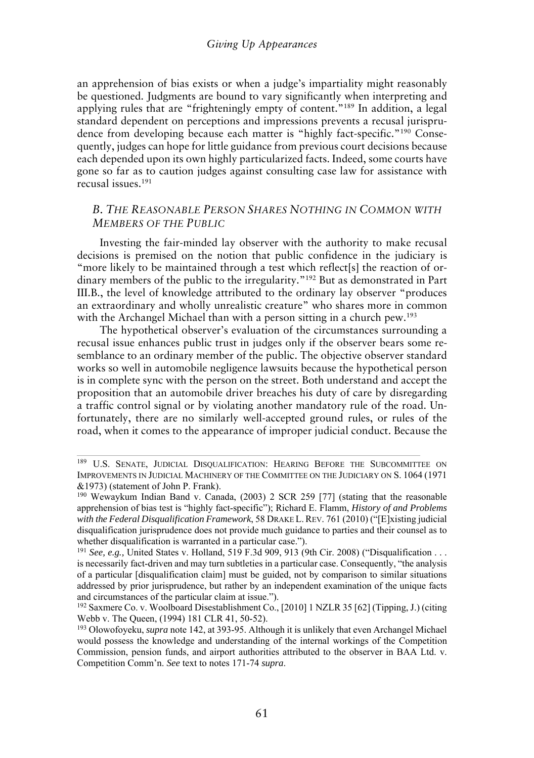an apprehension of bias exists or when a judge's impartiality might reasonably be questioned. Judgments are bound to vary significantly when interpreting and applying rules that are "frighteningly empty of content."189 In addition, a legal standard dependent on perceptions and impressions prevents a recusal jurisprudence from developing because each matter is "highly fact-specific."190 Consequently, judges can hope for little guidance from previous court decisions because each depended upon its own highly particularized facts. Indeed, some courts have gone so far as to caution judges against consulting case law for assistance with recusal issues.191

## *B. THE REASONABLE PERSON SHARES NOTHING IN COMMON WITH MEMBERS OF THE PUBLIC*

Investing the fair-minded lay observer with the authority to make recusal decisions is premised on the notion that public confidence in the judiciary is "more likely to be maintained through a test which reflect[s] the reaction of ordinary members of the public to the irregularity."192 But as demonstrated in Part III.B., the level of knowledge attributed to the ordinary lay observer "produces an extraordinary and wholly unrealistic creature" who shares more in common with the Archangel Michael than with a person sitting in a church pew.<sup>193</sup>

The hypothetical observer's evaluation of the circumstances surrounding a recusal issue enhances public trust in judges only if the observer bears some resemblance to an ordinary member of the public. The objective observer standard works so well in automobile negligence lawsuits because the hypothetical person is in complete sync with the person on the street. Both understand and accept the proposition that an automobile driver breaches his duty of care by disregarding a traffic control signal or by violating another mandatory rule of the road. Unfortunately, there are no similarly well-accepted ground rules, or rules of the road, when it comes to the appearance of improper judicial conduct. Because the

<sup>189</sup> U.S. SENATE, JUDICIAL DISQUALIFICATION: HEARING BEFORE THE SUBCOMMITTEE ON IMPROVEMENTS IN JUDICIAL MACHINERY OF THE COMMITTEE ON THE JUDICIARY ON S. 1064 (1971 &1973) (statement of John P. Frank).

<sup>190</sup> Wewaykum Indian Band v. Canada, (2003) 2 SCR 259 [77] (stating that the reasonable apprehension of bias test is "highly fact-specific"); Richard E. Flamm, *History of and Problems*  with the Federal Disqualification Framework, 58 DRAKE L. REV. 761 (2010) ("[E]xisting judicial disqualification jurisprudence does not provide much guidance to parties and their counsel as to whether disqualification is warranted in a particular case.").

<sup>&</sup>lt;sup>191</sup> *See, e.g.*, United States v. Holland, 519 F.3d 909, 913 (9th Cir. 2008) ("Disqualification . . . is necessarily fact-driven and may turn subtleties in a particular case. Consequently, "the analysis of a particular [disqualification claim] must be guided, not by comparison to similar situations addressed by prior jurisprudence, but rather by an independent examination of the unique facts and circumstances of the particular claim at issue.").

<sup>192</sup> Saxmere Co. v. Woolboard Disestablishment Co., [2010] 1 NZLR 35 [62] (Tipping, J.) (citing Webb v. The Queen, (1994) 181 CLR 41, 50-52).<br><sup>193</sup> Olowofoyeku, *supra* note 142, at 393-95. Although it is unlikely that even Archangel Michael

would possess the knowledge and understanding of the internal workings of the Competition Commission, pension funds, and airport authorities attributed to the observer in BAA Ltd. v. Competition Comm'n. *See* text to notes 171-74 *supra*.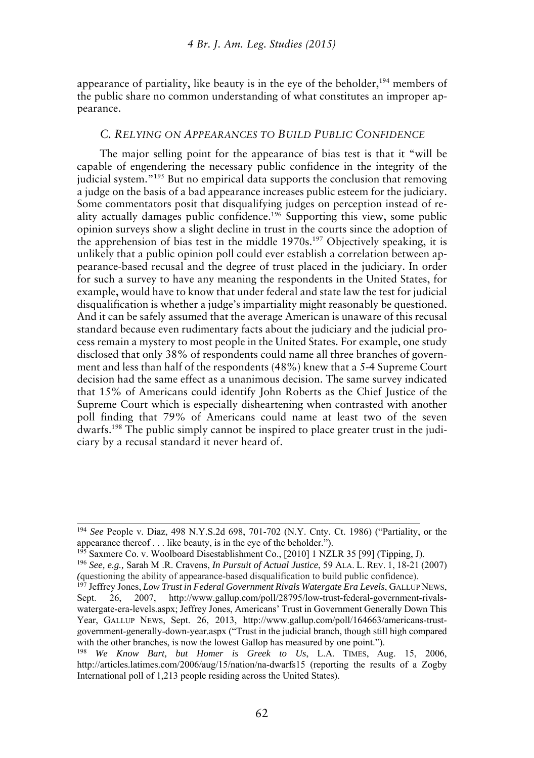appearance of partiality, like beauty is in the eye of the beholder,<sup>194</sup> members of the public share no common understanding of what constitutes an improper appearance.

#### *C. RELYING ON APPEARANCES TO BUILD PUBLIC CONFIDENCE*

The major selling point for the appearance of bias test is that it "will be capable of engendering the necessary public confidence in the integrity of the judicial system."195 But no empirical data supports the conclusion that removing a judge on the basis of a bad appearance increases public esteem for the judiciary. Some commentators posit that disqualifying judges on perception instead of reality actually damages public confidence.196 Supporting this view, some public opinion surveys show a slight decline in trust in the courts since the adoption of the apprehension of bias test in the middle 1970s.<sup>197</sup> Objectively speaking, it is unlikely that a public opinion poll could ever establish a correlation between appearance-based recusal and the degree of trust placed in the judiciary. In order for such a survey to have any meaning the respondents in the United States, for example, would have to know that under federal and state law the test for judicial disqualification is whether a judge's impartiality might reasonably be questioned. And it can be safely assumed that the average American is unaware of this recusal standard because even rudimentary facts about the judiciary and the judicial process remain a mystery to most people in the United States. For example, one study disclosed that only 38% of respondents could name all three branches of government and less than half of the respondents (48%) knew that a 5-4 Supreme Court decision had the same effect as a unanimous decision. The same survey indicated that 15% of Americans could identify John Roberts as the Chief Justice of the Supreme Court which is especially disheartening when contrasted with another poll finding that 79% of Americans could name at least two of the seven dwarfs.198 The public simply cannot be inspired to place greater trust in the judiciary by a recusal standard it never heard of.

<sup>194</sup> *See* People v. Diaz, 498 N.Y.S.2d 698, 701-702 (N.Y. Cnty. Ct. 1986) ("Partiality, or the appearance thereof . . . like beauty, is in the eye of the beholder.").<br><sup>195</sup> Saxmere Co. v. Woolboard Disestablishment Co., [2010] 1 NZLR 35 [99] (Tipping, J).<br><sup>196</sup> See, e.g., Sarah M.R. Cravens, *In Pursuit of Actual Ju* 

*<sup>(</sup>*questioning the ability of appearance-based disqualification to build public confidence).

<sup>&</sup>lt;sup>197</sup> Jeffrey Jones, *Low Trust in Federal Government Rivals Watergate Era Levels*, GALLUP NEWS, Sept. 26, 2007, http://www.gallup.com/poll/28795/low-trust-federal-government-rivalswatergate-era-levels.aspx; Jeffrey Jones, Americans' Trust in Government Generally Down This Year, GALLUP NEWS, Sept. 26, 2013, http://www.gallup.com/poll/164663/americans-trustgovernment-generally-down-year.aspx ("Trust in the judicial branch, though still high compared with the other branches, is now the lowest Gallop has measured by one point."). 198 *We Know Bart, but Homer is Greek to Us*, L.A. TIMES, Aug. 15, 2006,

http://articles.latimes.com/2006/aug/15/nation/na-dwarfs15 (reporting the results of a Zogby International poll of 1,213 people residing across the United States).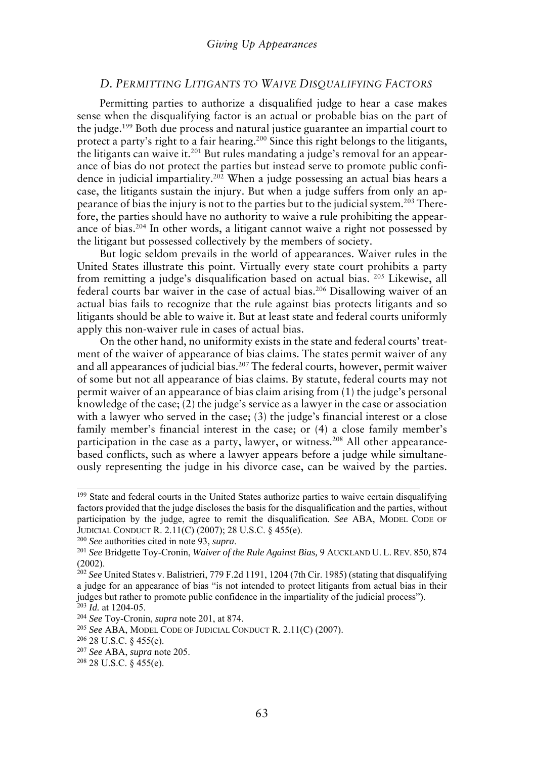### *D. PERMITTING LITIGANTS TO WAIVE DISQUALIFYING FACTORS*

Permitting parties to authorize a disqualified judge to hear a case makes sense when the disqualifying factor is an actual or probable bias on the part of the judge.199 Both due process and natural justice guarantee an impartial court to protect a party's right to a fair hearing.200 Since this right belongs to the litigants, the litigants can waive it.201 But rules mandating a judge's removal for an appearance of bias do not protect the parties but instead serve to promote public confidence in judicial impartiality.<sup>202</sup> When a judge possessing an actual bias hears a case, the litigants sustain the injury. But when a judge suffers from only an appearance of bias the injury is not to the parties but to the judicial system.203 Therefore, the parties should have no authority to waive a rule prohibiting the appearance of bias.204 In other words, a litigant cannot waive a right not possessed by the litigant but possessed collectively by the members of society.

But logic seldom prevails in the world of appearances. Waiver rules in the United States illustrate this point. Virtually every state court prohibits a party from remitting a judge's disqualification based on actual bias.  $2^{0.5}$  Likewise, all federal courts bar waiver in the case of actual bias.206 Disallowing waiver of an actual bias fails to recognize that the rule against bias protects litigants and so litigants should be able to waive it. But at least state and federal courts uniformly apply this non-waiver rule in cases of actual bias.

On the other hand, no uniformity exists in the state and federal courts' treatment of the waiver of appearance of bias claims. The states permit waiver of any and all appearances of judicial bias.207 The federal courts, however, permit waiver of some but not all appearance of bias claims. By statute, federal courts may not permit waiver of an appearance of bias claim arising from (1) the judge's personal knowledge of the case; (2) the judge's service as a lawyer in the case or association with a lawyer who served in the case; (3) the judge's financial interest or a close family member's financial interest in the case; or (4) a close family member's participation in the case as a party, lawyer, or witness.<sup>208</sup> All other appearancebased conflicts, such as where a lawyer appears before a judge while simultaneously representing the judge in his divorce case, can be waived by the parties.

<sup>&</sup>lt;sup>199</sup> State and federal courts in the United States authorize parties to waive certain disqualifying factors provided that the judge discloses the basis for the disqualification and the parties, without participation by the judge, agree to remit the disqualification. *See* ABA, MODEL CODE OF JUDICIAL CONDUCT R. 2.11(C) (2007); 28 U.S.C. § 455(e). 200 *See* authorities cited in note 93, *supra*. 201 *See* Bridgette Toy-Cronin, *Waiver of the Rule Against Bias,* 9 AUCKLAND U. L. REV. 850, <sup>874</sup>

<sup>(2002).</sup> 

<sup>202</sup> *See* United States v. Balistrieri, 779 F.2d 1191, 1204 (7th Cir. 1985) (stating that disqualifying a judge for an appearance of bias "is not intended to protect litigants from actual bias in their judges but rather to promote public confidence in the impartiality of the judicial process").<br>
<sup>203</sup> *Id.* at 1204-05.<br>
<sup>204</sup> *See* Toy-Cronin, *supra* note 201, at 874.<br>
<sup>205</sup> *See* ABA, MODEL CODE OF JUDICIAL CONDUCT R.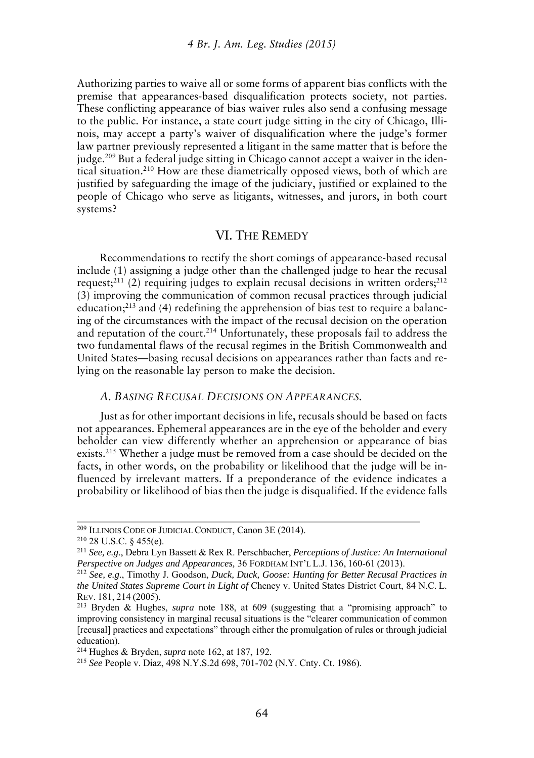Authorizing parties to waive all or some forms of apparent bias conflicts with the premise that appearances-based disqualification protects society, not parties. These conflicting appearance of bias waiver rules also send a confusing message to the public. For instance, a state court judge sitting in the city of Chicago, Illinois, may accept a party's waiver of disqualification where the judge's former law partner previously represented a litigant in the same matter that is before the judge.<sup>209</sup> But a federal judge sitting in Chicago cannot accept a waiver in the identical situation.210 How are these diametrically opposed views, both of which are justified by safeguarding the image of the judiciary, justified or explained to the people of Chicago who serve as litigants, witnesses, and jurors, in both court systems?

## VI. THE REMEDY

Recommendations to rectify the short comings of appearance-based recusal include (1) assigning a judge other than the challenged judge to hear the recusal request;<sup>211</sup> (2) requiring judges to explain recusal decisions in written orders;<sup>212</sup> (3) improving the communication of common recusal practices through judicial education;213 and (4) redefining the apprehension of bias test to require a balancing of the circumstances with the impact of the recusal decision on the operation and reputation of the court.214 Unfortunately, these proposals fail to address the two fundamental flaws of the recusal regimes in the British Commonwealth and United States—basing recusal decisions on appearances rather than facts and relying on the reasonable lay person to make the decision.

## *A. BASING RECUSAL DECISIONS ON APPEARANCES.*

Just as for other important decisions in life, recusals should be based on facts not appearances. Ephemeral appearances are in the eye of the beholder and every beholder can view differently whether an apprehension or appearance of bias exists.<sup>215</sup> Whether a judge must be removed from a case should be decided on the facts, in other words, on the probability or likelihood that the judge will be influenced by irrelevant matters. If a preponderance of the evidence indicates a probability or likelihood of bias then the judge is disqualified. If the evidence falls

<sup>209</sup> ILLINOIS CODE OF JUDICIAL CONDUCT, Canon 3E (2014). 210 28 U.S.C. § 455(e). 211 *See, e.g*., Debra Lyn Bassett & Rex R. Perschbacher, *Perceptions of Justice: An International Perspective on Judges and Appearances,* 36 FORDHAM INT'L L.J. 136, 160-61 (2013). 212 *See, e.g*., Timothy J. Goodson, *Duck, Duck, Goose: Hunting for Better Recusal Practices in* 

*the United States Supreme Court in Light of* Cheney v. United States District Court, 84 N.C. L. REV. 181, <sup>214</sup> (2005). 213 Bryden & Hughes, *supra* note 188, at 609 (suggesting that a "promising approach" to

improving consistency in marginal recusal situations is the "clearer communication of common [recusal] practices and expectations" through either the promulgation of rules or through judicial education).<br><sup>214</sup> Hughes & Bryden, *supra* note 162, at 187, 192.

<sup>&</sup>lt;sup>215</sup> See People v. Diaz, 498 N.Y.S.2d 698, 701-702 (N.Y. Cnty. Ct. 1986).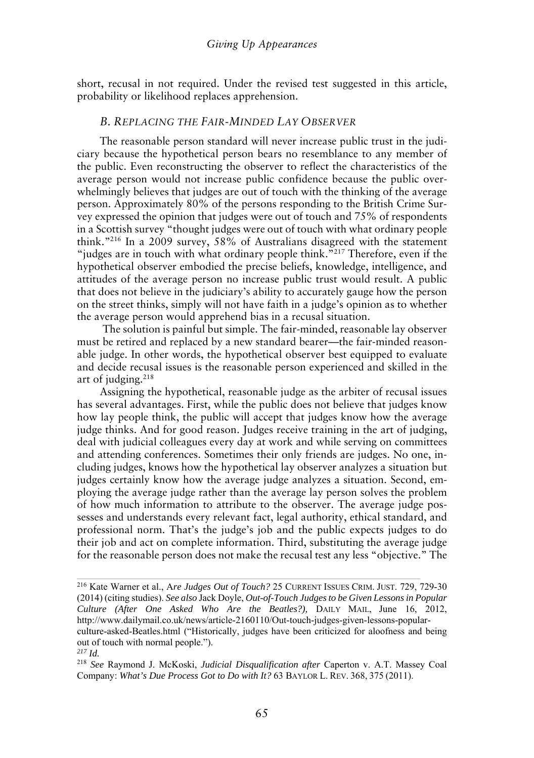short, recusal in not required. Under the revised test suggested in this article, probability or likelihood replaces apprehension.

### *B. REPLACING THE FAIR-MINDED LAY OBSERVER*

The reasonable person standard will never increase public trust in the judiciary because the hypothetical person bears no resemblance to any member of the public. Even reconstructing the observer to reflect the characteristics of the average person would not increase public confidence because the public overwhelmingly believes that judges are out of touch with the thinking of the average person. Approximately 80% of the persons responding to the British Crime Survey expressed the opinion that judges were out of touch and 75% of respondents in a Scottish survey "thought judges were out of touch with what ordinary people think."216 In a 2009 survey, 58% of Australians disagreed with the statement "judges are in touch with what ordinary people think."<sup>217</sup> Therefore, even if the hypothetical observer embodied the precise beliefs, knowledge, intelligence, and attitudes of the average person no increase public trust would result. A public that does not believe in the judiciary's ability to accurately gauge how the person on the street thinks, simply will not have faith in a judge's opinion as to whether the average person would apprehend bias in a recusal situation.

 The solution is painful but simple. The fair-minded, reasonable lay observer must be retired and replaced by a new standard bearer—the fair-minded reasonable judge. In other words, the hypothetical observer best equipped to evaluate and decide recusal issues is the reasonable person experienced and skilled in the art of judging.<sup>218</sup>

Assigning the hypothetical, reasonable judge as the arbiter of recusal issues has several advantages. First, while the public does not believe that judges know how lay people think, the public will accept that judges know how the average judge thinks. And for good reason. Judges receive training in the art of judging, deal with judicial colleagues every day at work and while serving on committees and attending conferences. Sometimes their only friends are judges. No one, including judges, knows how the hypothetical lay observer analyzes a situation but judges certainly know how the average judge analyzes a situation. Second, employing the average judge rather than the average lay person solves the problem of how much information to attribute to the observer. The average judge possesses and understands every relevant fact, legal authority, ethical standard, and professional norm. That's the judge's job and the public expects judges to do their job and act on complete information. Third, substituting the average judge for the reasonable person does not make the recusal test any less "objective." The

<sup>216</sup> Kate Warner et al., A*re Judges Out of Touch?* 25 CURRENT ISSUES CRIM. JUST. 729, 729-30 (2014) (citing studies). *See also* Jack Doyle, *Out-of-Touch Judges to be Given Lessons in Popular Culture (After One Asked Who Are the Beatles?),* DAILY MAIL, June 16, 2012, http://www.dailymail.co.uk/news/article-2160110/Out-touch-judges-given-lessons-popularculture-asked-Beatles.html ("Historically, judges have been criticized for aloofness and being out of touch with normal people.").<br> $^{217}$  *Id.* 

*<sup>217</sup> Id.* 218 *See* Raymond J. McKoski, *Judicial Disqualification after* Caperton v. A.T. Massey Coal Company: *What's Due Process Got to Do with It?* 63 BAYLOR L. REV. 368, 375 (2011).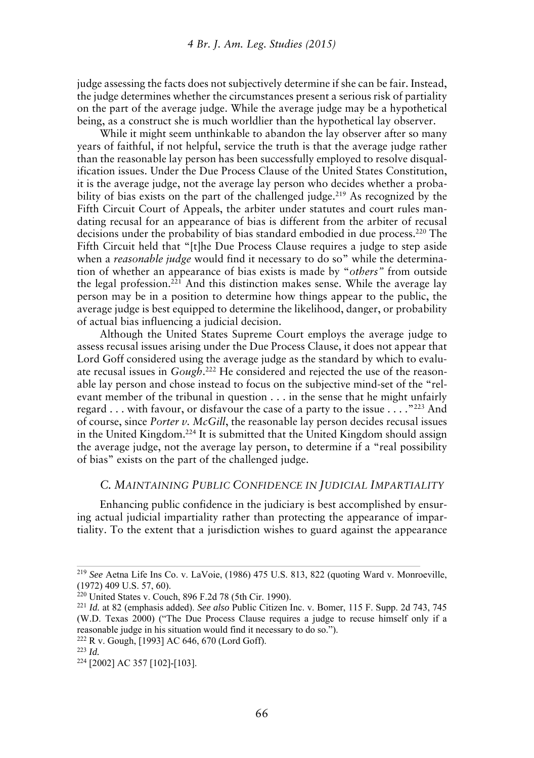judge assessing the facts does not subjectively determine if she can be fair. Instead, the judge determines whether the circumstances present a serious risk of partiality on the part of the average judge. While the average judge may be a hypothetical being, as a construct she is much worldlier than the hypothetical lay observer.

While it might seem unthinkable to abandon the lay observer after so many years of faithful, if not helpful, service the truth is that the average judge rather than the reasonable lay person has been successfully employed to resolve disqualification issues. Under the Due Process Clause of the United States Constitution, it is the average judge, not the average lay person who decides whether a probability of bias exists on the part of the challenged judge.<sup>219</sup> As recognized by the Fifth Circuit Court of Appeals, the arbiter under statutes and court rules mandating recusal for an appearance of bias is different from the arbiter of recusal decisions under the probability of bias standard embodied in due process.220 The Fifth Circuit held that "[t]he Due Process Clause requires a judge to step aside when a *reasonable judge* would find it necessary to do so" while the determination of whether an appearance of bias exists is made by "*others"* from outside the legal profession.<sup>221</sup> And this distinction makes sense. While the average lay person may be in a position to determine how things appear to the public, the average judge is best equipped to determine the likelihood, danger, or probability of actual bias influencing a judicial decision.

Although the United States Supreme Court employs the average judge to assess recusal issues arising under the Due Process Clause, it does not appear that Lord Goff considered using the average judge as the standard by which to evaluate recusal issues in *Gough*. 222 He considered and rejected the use of the reasonable lay person and chose instead to focus on the subjective mind-set of the "relevant member of the tribunal in question  $\dots$  in the sense that he might unfairly regard . . . with favour, or disfavour the case of a party to the issue . . . ."223 And of course, since *Porter v. McGill*, the reasonable lay person decides recusal issues in the United Kingdom.224 It is submitted that the United Kingdom should assign the average judge, not the average lay person, to determine if a "real possibility of bias" exists on the part of the challenged judge.

## *C. MAINTAINING PUBLIC CONFIDENCE IN JUDICIAL IMPARTIALITY*

Enhancing public confidence in the judiciary is best accomplished by ensuring actual judicial impartiality rather than protecting the appearance of impartiality. To the extent that a jurisdiction wishes to guard against the appearance

<sup>219</sup> *See* Aetna Life Ins Co. v. LaVoie, (1986) 475 U.S. 813, 822 (quoting Ward v. Monroeville, (1972) 409 U.S. 57, 60).

<sup>&</sup>lt;sup>221</sup> Id. at 82 (emphasis added). *See also* Public Citizen Inc. v. Bomer, 115 F. Supp. 2d 743, 745 (W.D. Texas 2000) ("The Due Process Clause requires a judge to recuse himself only if a reasonable judge in his situation would find it necessary to do so."). 222 R v. Gough, [1993] AC 646, 670 (Lord Goff). 223 *Id.*

<sup>224 [2002]</sup> AC 357 [102]-[103].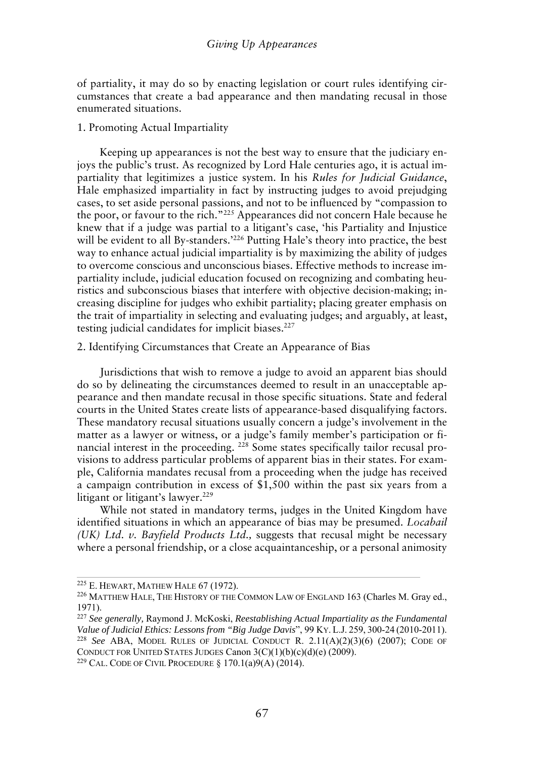of partiality, it may do so by enacting legislation or court rules identifying circumstances that create a bad appearance and then mandating recusal in those enumerated situations.

#### 1. Promoting Actual Impartiality

Keeping up appearances is not the best way to ensure that the judiciary enjoys the public's trust. As recognized by Lord Hale centuries ago, it is actual impartiality that legitimizes a justice system. In his *Rules for Judicial Guidance*, Hale emphasized impartiality in fact by instructing judges to avoid prejudging cases, to set aside personal passions, and not to be influenced by "compassion to the poor, or favour to the rich."225 Appearances did not concern Hale because he knew that if a judge was partial to a litigant's case, 'his Partiality and Injustice will be evident to all By-standers.<sup>226</sup> Putting Hale's theory into practice, the best way to enhance actual judicial impartiality is by maximizing the ability of judges to overcome conscious and unconscious biases. Effective methods to increase impartiality include, judicial education focused on recognizing and combating heuristics and subconscious biases that interfere with objective decision-making; increasing discipline for judges who exhibit partiality; placing greater emphasis on the trait of impartiality in selecting and evaluating judges; and arguably, at least, testing judicial candidates for implicit biases.<sup>227</sup>

## 2. Identifying Circumstances that Create an Appearance of Bias

Jurisdictions that wish to remove a judge to avoid an apparent bias should do so by delineating the circumstances deemed to result in an unacceptable appearance and then mandate recusal in those specific situations. State and federal courts in the United States create lists of appearance-based disqualifying factors. These mandatory recusal situations usually concern a judge's involvement in the matter as a lawyer or witness, or a judge's family member's participation or financial interest in the proceeding. 228 Some states specifically tailor recusal provisions to address particular problems of apparent bias in their states. For example, California mandates recusal from a proceeding when the judge has received a campaign contribution in excess of \$1,500 within the past six years from a litigant or litigant's lawyer. $229$ 

While not stated in mandatory terms, judges in the United Kingdom have identified situations in which an appearance of bias may be presumed. *Locabail (UK) Ltd. v. Bayfield Products Ltd.,* suggests that recusal might be necessary where a personal friendship, or a close acquaintanceship, or a personal animosity

<sup>&</sup>lt;sup>225</sup> E. HEWART, MATHEW HALE 67 (1972).<br><sup>226</sup> MATTHEW HALE, THE HISTORY OF THE COMMON LAW OF ENGLAND 163 (Charles M. Gray ed., 1971).

<sup>227</sup> *See generally,* Raymond J. McKoski, *Reestablishing Actual Impartiality as the Fundamental Value of Judicial Ethics: Lessons from "Big Judge Davis"*, 99 KY. L.J. 259, 300-24 (2010-2011). <sup>228</sup> *See* ABA, MODEL RULES OF JUDICIAL CONDUCT R. 2.11(A)(2)(3)(6) (2007); CODE OF CONDUCT FOR UNITED STATES JUDGES Canon  $3(C)(1)(b)(c)(d)(e)$  (2009).<br><sup>229</sup> CAL. CODE OF CIVIL PROCEDURE § 170.1(a)9(A) (2014).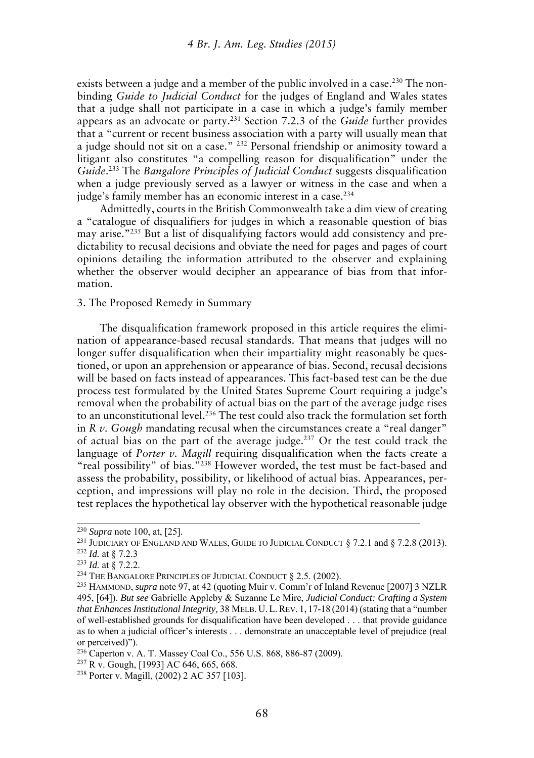exists between a judge and a member of the public involved in a case.<sup>230</sup> The nonbinding *Guide to Judicial Conduct* for the judges of England and Wales states that a judge shall not participate in a case in which a judge's family member appears as an advocate or party.231 Section 7.2.3 of the *Guide* further provides that a "current or recent business association with a party will usually mean that a judge should not sit on a case." 232 Personal friendship or animosity toward a litigant also constitutes "a compelling reason for disqualification" under the *Guide*. 233 The *Bangalore Principles of Judicial Conduct* suggests disqualification when a judge previously served as a lawyer or witness in the case and when a judge's family member has an economic interest in a case.<sup>234</sup>

Admittedly, courts in the British Commonwealth take a dim view of creating a "catalogue of disqualifiers for judges in which a reasonable question of bias may arise."235 But a list of disqualifying factors would add consistency and predictability to recusal decisions and obviate the need for pages and pages of court opinions detailing the information attributed to the observer and explaining whether the observer would decipher an appearance of bias from that information.

### 3. The Proposed Remedy in Summary

The disqualification framework proposed in this article requires the elimination of appearance-based recusal standards. That means that judges will no longer suffer disqualification when their impartiality might reasonably be questioned, or upon an apprehension or appearance of bias. Second, recusal decisions will be based on facts instead of appearances. This fact-based test can be the due process test formulated by the United States Supreme Court requiring a judge's removal when the probability of actual bias on the part of the average judge rises to an unconstitutional level.236 The test could also track the formulation set forth in *R v. Gough* mandating recusal when the circumstances create a "real danger" of actual bias on the part of the average judge.<sup>237</sup> Or the test could track the language of *Porter v. Magill* requiring disqualification when the facts create a "real possibility" of bias."<sup>238</sup> However worded, the test must be fact-based and assess the probability, possibility, or likelihood of actual bias. Appearances, perception, and impressions will play no role in the decision. Third, the proposed test replaces the hypothetical lay observer with the hypothetical reasonable judge

<sup>&</sup>lt;sup>230</sup> Supra note 100, at, [25].<br>
<sup>231</sup> JUDICIARY OF ENGLAND AND WALES, GUIDE TO JUDICIAL CONDUCT § 7.2.1 and § 7.2.8 (2013).<br>
<sup>232</sup> *Id.* at § 7.2.3<br>
<sup>233</sup> *Id.* at § 7.2.2.<br>
<sup>234</sup> THE BANGALORE PRINCIPLES OF JUDICIAL CON

<sup>495, [64]).</sup> *But see* Gabrielle Appleby & Suzanne Le Mire, *Judicial Conduct: Crafting a System that Enhances Institutional Integrity,* 38 MELB. U. L.REV. 1, 17-18 (2014) (stating that a "number of well-established grounds for disqualification have been developed . . . that provide guidance as to when a judicial officer's interests . . . demonstrate an unacceptable level of prejudice (real or perceived)").

<sup>&</sup>lt;sup>236</sup> Caperton v. A. T. Massey Coal Co., 556 U.S. 868, 886-87 (2009).<br><sup>237</sup> R v. Gough, [1993] AC 646, 665, 668.<br><sup>238</sup> Porter v. Magill, (2002) 2 AC 357 [103].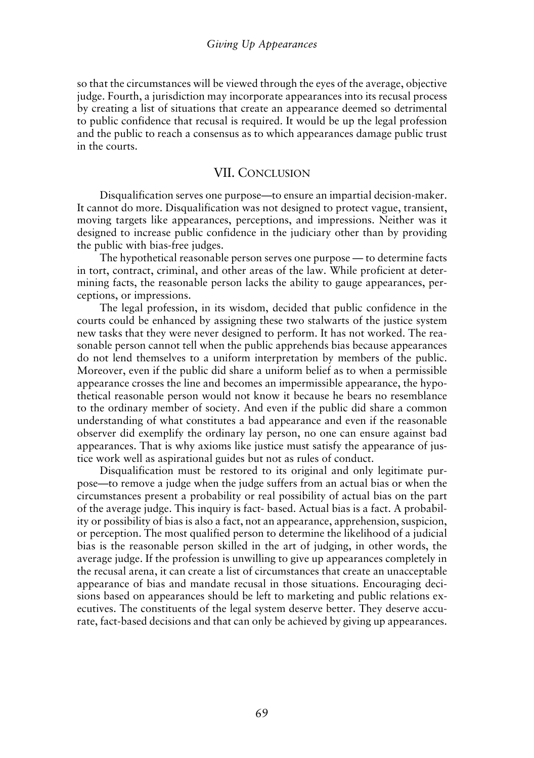so that the circumstances will be viewed through the eyes of the average, objective judge. Fourth, a jurisdiction may incorporate appearances into its recusal process by creating a list of situations that create an appearance deemed so detrimental to public confidence that recusal is required. It would be up the legal profession and the public to reach a consensus as to which appearances damage public trust in the courts.

#### VII. CONCLUSION

Disqualification serves one purpose—to ensure an impartial decision-maker. It cannot do more. Disqualification was not designed to protect vague, transient, moving targets like appearances, perceptions, and impressions. Neither was it designed to increase public confidence in the judiciary other than by providing the public with bias-free judges.

The hypothetical reasonable person serves one purpose — to determine facts in tort, contract, criminal, and other areas of the law. While proficient at determining facts, the reasonable person lacks the ability to gauge appearances, perceptions, or impressions.

The legal profession, in its wisdom, decided that public confidence in the courts could be enhanced by assigning these two stalwarts of the justice system new tasks that they were never designed to perform. It has not worked. The reasonable person cannot tell when the public apprehends bias because appearances do not lend themselves to a uniform interpretation by members of the public. Moreover, even if the public did share a uniform belief as to when a permissible appearance crosses the line and becomes an impermissible appearance, the hypothetical reasonable person would not know it because he bears no resemblance to the ordinary member of society. And even if the public did share a common understanding of what constitutes a bad appearance and even if the reasonable observer did exemplify the ordinary lay person, no one can ensure against bad appearances. That is why axioms like justice must satisfy the appearance of justice work well as aspirational guides but not as rules of conduct.

Disqualification must be restored to its original and only legitimate purpose—to remove a judge when the judge suffers from an actual bias or when the circumstances present a probability or real possibility of actual bias on the part of the average judge. This inquiry is fact- based. Actual bias is a fact. A probability or possibility of bias is also a fact, not an appearance, apprehension, suspicion, or perception. The most qualified person to determine the likelihood of a judicial bias is the reasonable person skilled in the art of judging, in other words, the average judge. If the profession is unwilling to give up appearances completely in the recusal arena, it can create a list of circumstances that create an unacceptable appearance of bias and mandate recusal in those situations. Encouraging decisions based on appearances should be left to marketing and public relations executives. The constituents of the legal system deserve better. They deserve accurate, fact-based decisions and that can only be achieved by giving up appearances.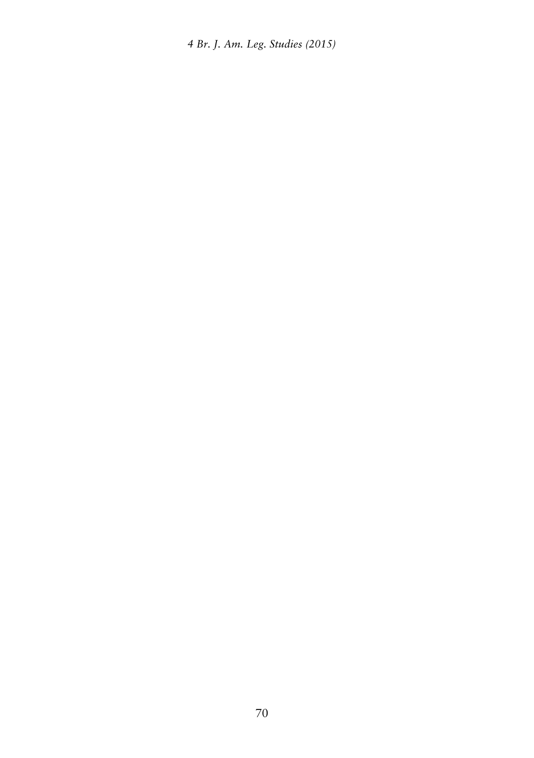*4 Br. J. Am. Leg. Studies (2015)*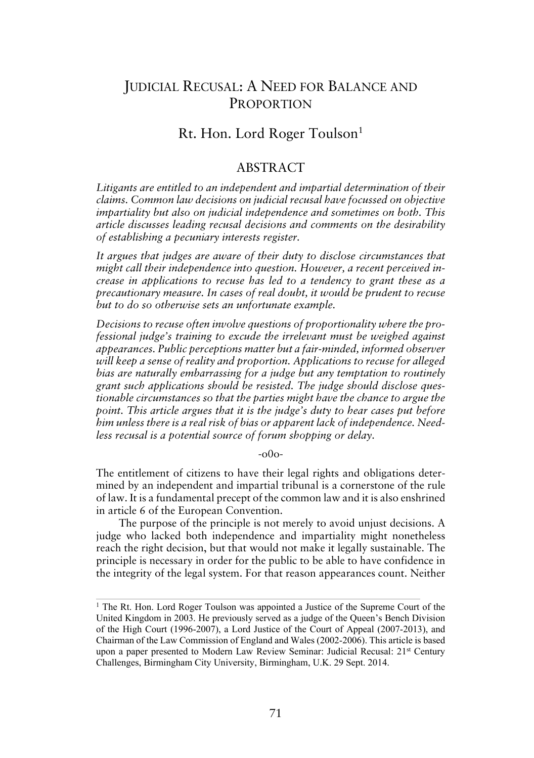# JUDICIAL RECUSAL: A NEED FOR BALANCE AND **PROPORTION**

## Rt. Hon. Lord Roger Toulson<sup>1</sup>

#### ABSTRACT

*Litigants are entitled to an independent and impartial determination of their claims. Common law decisions on judicial recusal have focussed on objective impartiality but also on judicial independence and sometimes on both. This article discusses leading recusal decisions and comments on the desirability of establishing a pecuniary interests register.* 

*It argues that judges are aware of their duty to disclose circumstances that might call their independence into question. However, a recent perceived increase in applications to recuse has led to a tendency to grant these as a precautionary measure. In cases of real doubt, it would be prudent to recuse but to do so otherwise sets an unfortunate example.* 

*Decisions to recuse often involve questions of proportionality where the professional judge's training to excude the irrelevant must be weighed against appearances. Public perceptions matter but a fair-minded, informed observer will keep a sense of reality and proportion. Applications to recuse for alleged bias are naturally embarrassing for a judge but any temptation to routinely grant such applications should be resisted. The judge should disclose questionable circumstances so that the parties might have the chance to argue the point. This article argues that it is the judge's duty to hear cases put before him unless there is a real risk of bias or apparent lack of independence. Needless recusal is a potential source of forum shopping or delay.* 

-o0o-

The entitlement of citizens to have their legal rights and obligations determined by an independent and impartial tribunal is a cornerstone of the rule of law. It is a fundamental precept of the common law and it is also enshrined in article 6 of the European Convention.

The purpose of the principle is not merely to avoid unjust decisions. A judge who lacked both independence and impartiality might nonetheless reach the right decision, but that would not make it legally sustainable. The principle is necessary in order for the public to be able to have confidence in the integrity of the legal system. For that reason appearances count. Neither

<sup>&</sup>lt;sup>1</sup> The Rt. Hon. Lord Roger Toulson was appointed a Justice of the Supreme Court of the United Kingdom in 2003. He previously served as a judge of the Queen's Bench Division of the High Court (1996-2007), a Lord Justice of the Court of Appeal (2007-2013), and Chairman of the Law Commission of England and Wales (2002-2006). This article is based upon a paper presented to Modern Law Review Seminar: Judicial Recusal: 21st Century Challenges, Birmingham City University, Birmingham, U.K. 29 Sept. 2014.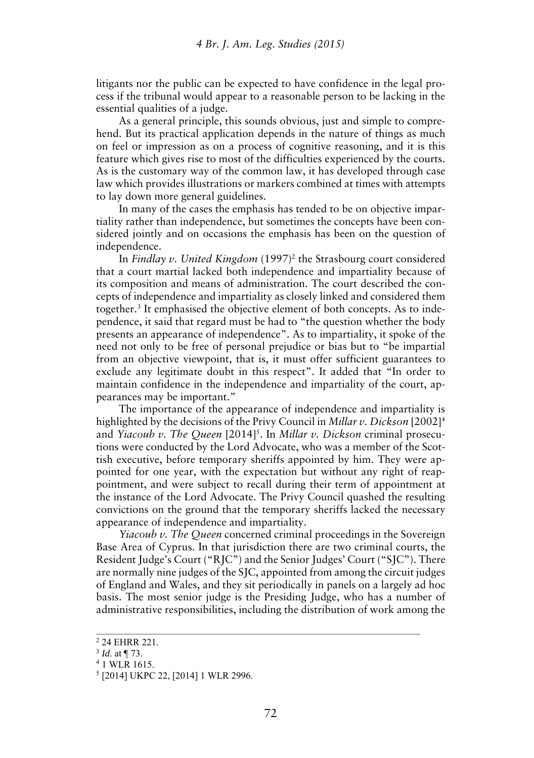litigants nor the public can be expected to have confidence in the legal process if the tribunal would appear to a reasonable person to be lacking in the essential qualities of a judge.

As a general principle, this sounds obvious, just and simple to comprehend. But its practical application depends in the nature of things as much on feel or impression as on a process of cognitive reasoning, and it is this feature which gives rise to most of the difficulties experienced by the courts. As is the customary way of the common law, it has developed through case law which provides illustrations or markers combined at times with attempts to lay down more general guidelines.

In many of the cases the emphasis has tended to be on objective impartiality rather than independence, but sometimes the concepts have been considered jointly and on occasions the emphasis has been on the question of independence.

In Findlay v. United Kingdom (1997)<sup>2</sup> the Strasbourg court considered that a court martial lacked both independence and impartiality because of its composition and means of administration. The court described the concepts of independence and impartiality as closely linked and considered them together.<sup>3</sup> It emphasised the objective element of both concepts. As to independence, it said that regard must be had to "the question whether the body presents an appearance of independence". As to impartiality, it spoke of the need not only to be free of personal prejudice or bias but to "be impartial from an objective viewpoint, that is, it must offer sufficient guarantees to exclude any legitimate doubt in this respect". It added that "In order to maintain confidence in the independence and impartiality of the court, appearances may be important."

The importance of the appearance of independence and impartiality is highlighted by the decisions of the Privy Council in *Millar v. Dickson* [2002]4 and *Yiacoub v. The Queen* [2014]<sup>5</sup>. In *Millar v. Dickson* criminal prosecutions were conducted by the Lord Advocate, who was a member of the Scottish executive, before temporary sheriffs appointed by him. They were appointed for one year, with the expectation but without any right of reappointment, and were subject to recall during their term of appointment at the instance of the Lord Advocate. The Privy Council quashed the resulting convictions on the ground that the temporary sheriffs lacked the necessary appearance of independence and impartiality.

*Yiacoub v. The Queen* concerned criminal proceedings in the Sovereign Base Area of Cyprus. In that jurisdiction there are two criminal courts, the Resident Judge's Court ("RJC") and the Senior Judges' Court ("SJC"). There are normally nine judges of the SJC, appointed from among the circuit judges of England and Wales, and they sit periodically in panels on a largely ad hoc basis. The most senior judge is the Presiding Judge, who has a number of administrative responsibilities, including the distribution of work among the

 $^{2}$  24 EHRR 221.<br> $^{3}$  *Id.* at ¶ 73.

<sup>&</sup>lt;sup>4</sup> 1 WLR 1615.

<sup>5 [2014]</sup> UKPC 22, [2014] 1 WLR 2996.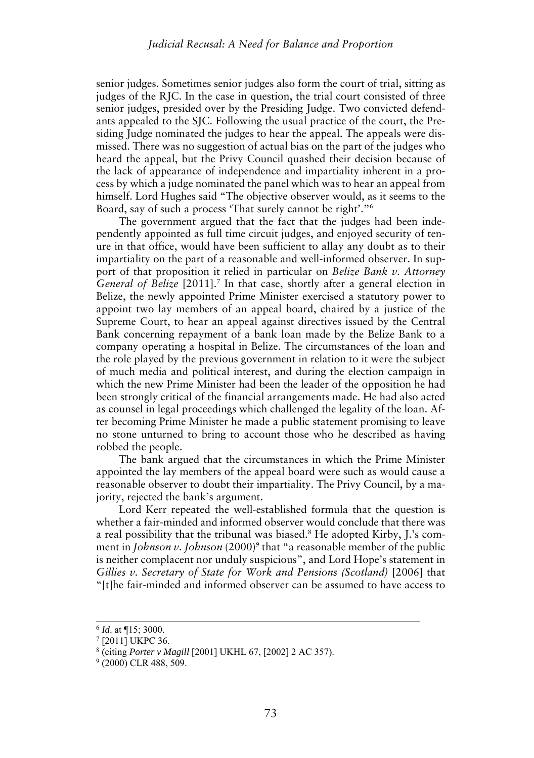senior judges. Sometimes senior judges also form the court of trial, sitting as judges of the RJC. In the case in question, the trial court consisted of three senior judges, presided over by the Presiding Judge. Two convicted defendants appealed to the SJC. Following the usual practice of the court, the Presiding Judge nominated the judges to hear the appeal. The appeals were dismissed. There was no suggestion of actual bias on the part of the judges who heard the appeal, but the Privy Council quashed their decision because of the lack of appearance of independence and impartiality inherent in a process by which a judge nominated the panel which was to hear an appeal from himself. Lord Hughes said "The objective observer would, as it seems to the Board, say of such a process 'That surely cannot be right'."6

The government argued that the fact that the judges had been independently appointed as full time circuit judges, and enjoyed security of tenure in that office, would have been sufficient to allay any doubt as to their impartiality on the part of a reasonable and well-informed observer. In support of that proposition it relied in particular on *Belize Bank v. Attorney*  General of Belize [2011].<sup>7</sup> In that case, shortly after a general election in Belize, the newly appointed Prime Minister exercised a statutory power to appoint two lay members of an appeal board, chaired by a justice of the Supreme Court, to hear an appeal against directives issued by the Central Bank concerning repayment of a bank loan made by the Belize Bank to a company operating a hospital in Belize. The circumstances of the loan and the role played by the previous government in relation to it were the subject of much media and political interest, and during the election campaign in which the new Prime Minister had been the leader of the opposition he had been strongly critical of the financial arrangements made. He had also acted as counsel in legal proceedings which challenged the legality of the loan. After becoming Prime Minister he made a public statement promising to leave no stone unturned to bring to account those who he described as having robbed the people.

The bank argued that the circumstances in which the Prime Minister appointed the lay members of the appeal board were such as would cause a reasonable observer to doubt their impartiality. The Privy Council, by a majority, rejected the bank's argument.

Lord Kerr repeated the well-established formula that the question is whether a fair-minded and informed observer would conclude that there was a real possibility that the tribunal was biased.8 He adopted Kirby, J.'s comment in *Johnson v. Johnson* (2000)<sup>9</sup> that "a reasonable member of the public is neither complacent nor unduly suspicious", and Lord Hope's statement in *Gillies v. Secretary of State for Work and Pensions (Scotland)* [2006] that "[t]he fair-minded and informed observer can be assumed to have access to

<sup>&</sup>lt;sup>6</sup> *Id.* at ¶15; 3000.<br><sup>7</sup> [2011] UKPC 36.

<sup>8 (</sup>citing *Porter v Magill* [2001] UKHL 67, [2002] 2 AC 357). 9 (2000) CLR 488, 509.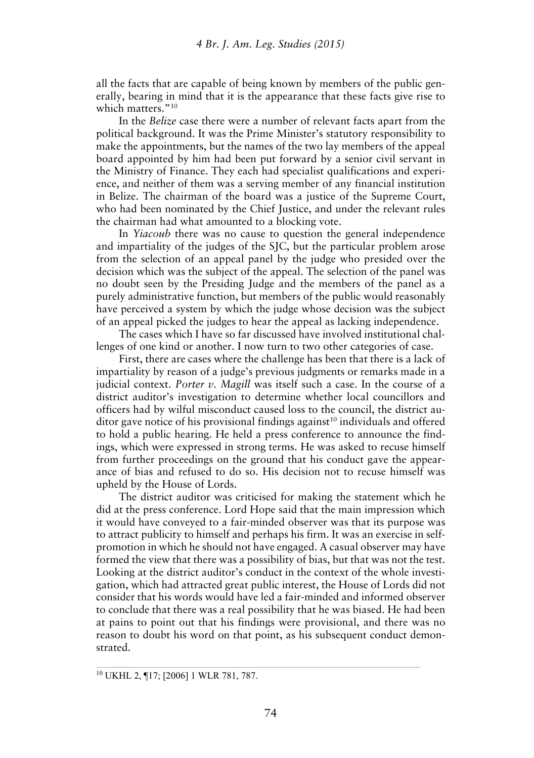all the facts that are capable of being known by members of the public generally, bearing in mind that it is the appearance that these facts give rise to which matters."<sup>10</sup>

In the *Belize* case there were a number of relevant facts apart from the political background. It was the Prime Minister's statutory responsibility to make the appointments, but the names of the two lay members of the appeal board appointed by him had been put forward by a senior civil servant in the Ministry of Finance. They each had specialist qualifications and experience, and neither of them was a serving member of any financial institution in Belize. The chairman of the board was a justice of the Supreme Court, who had been nominated by the Chief Justice, and under the relevant rules the chairman had what amounted to a blocking vote.

In *Yiacoub* there was no cause to question the general independence and impartiality of the judges of the SJC, but the particular problem arose from the selection of an appeal panel by the judge who presided over the decision which was the subject of the appeal. The selection of the panel was no doubt seen by the Presiding Judge and the members of the panel as a purely administrative function, but members of the public would reasonably have perceived a system by which the judge whose decision was the subject of an appeal picked the judges to hear the appeal as lacking independence.

The cases which I have so far discussed have involved institutional challenges of one kind or another. I now turn to two other categories of case.

First, there are cases where the challenge has been that there is a lack of impartiality by reason of a judge's previous judgments or remarks made in a judicial context. *Porter v. Magill* was itself such a case. In the course of a district auditor's investigation to determine whether local councillors and officers had by wilful misconduct caused loss to the council, the district auditor gave notice of his provisional findings against<sup>10</sup> individuals and offered to hold a public hearing. He held a press conference to announce the findings, which were expressed in strong terms. He was asked to recuse himself from further proceedings on the ground that his conduct gave the appearance of bias and refused to do so. His decision not to recuse himself was upheld by the House of Lords.

The district auditor was criticised for making the statement which he did at the press conference. Lord Hope said that the main impression which it would have conveyed to a fair-minded observer was that its purpose was to attract publicity to himself and perhaps his firm. It was an exercise in selfpromotion in which he should not have engaged. A casual observer may have formed the view that there was a possibility of bias, but that was not the test. Looking at the district auditor's conduct in the context of the whole investigation, which had attracted great public interest, the House of Lords did not consider that his words would have led a fair-minded and informed observer to conclude that there was a real possibility that he was biased. He had been at pains to point out that his findings were provisional, and there was no reason to doubt his word on that point, as his subsequent conduct demonstrated.

<sup>10</sup> UKHL 2, ¶17; [2006] 1 WLR 781, 787.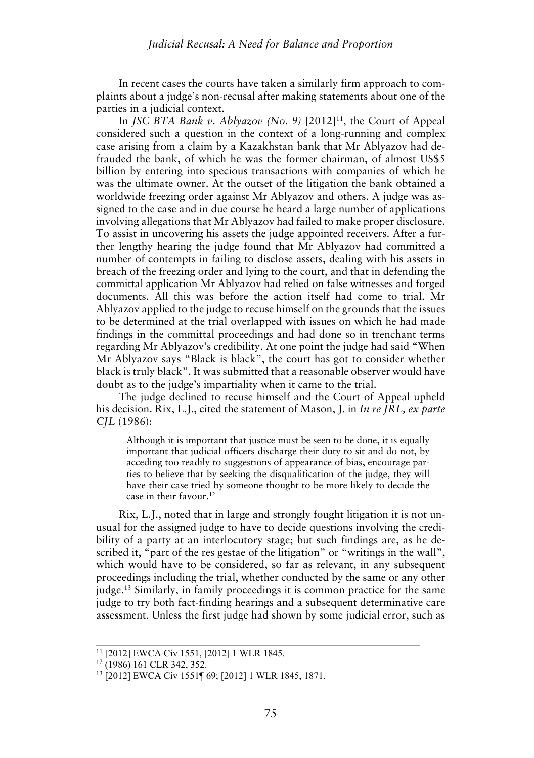In recent cases the courts have taken a similarly firm approach to complaints about a judge's non-recusal after making statements about one of the parties in a judicial context.

In *JSC BTA Bank v. Ablyazov (No. 9)* [2012]11, the Court of Appeal considered such a question in the context of a long-running and complex case arising from a claim by a Kazakhstan bank that Mr Ablyazov had defrauded the bank, of which he was the former chairman, of almost US\$5 billion by entering into specious transactions with companies of which he was the ultimate owner. At the outset of the litigation the bank obtained a worldwide freezing order against Mr Ablyazov and others. A judge was assigned to the case and in due course he heard a large number of applications involving allegations that Mr Ablyazov had failed to make proper disclosure. To assist in uncovering his assets the judge appointed receivers. After a further lengthy hearing the judge found that Mr Ablyazov had committed a number of contempts in failing to disclose assets, dealing with his assets in breach of the freezing order and lying to the court, and that in defending the committal application Mr Ablyazov had relied on false witnesses and forged documents. All this was before the action itself had come to trial. Mr Ablyazov applied to the judge to recuse himself on the grounds that the issues to be determined at the trial overlapped with issues on which he had made findings in the committal proceedings and had done so in trenchant terms regarding Mr Ablyazov's credibility. At one point the judge had said "When Mr Ablyazov says "Black is black", the court has got to consider whether black is truly black". It was submitted that a reasonable observer would have doubt as to the judge's impartiality when it came to the trial.

The judge declined to recuse himself and the Court of Appeal upheld his decision. Rix, L.J., cited the statement of Mason, J. in *In re JRL, ex parte CJL* (1986):

Although it is important that justice must be seen to be done, it is equally important that judicial officers discharge their duty to sit and do not, by acceding too readily to suggestions of appearance of bias, encourage parties to believe that by seeking the disqualification of the judge, they will have their case tried by someone thought to be more likely to decide the case in their favour.<sup>12</sup>

Rix, L.J., noted that in large and strongly fought litigation it is not unusual for the assigned judge to have to decide questions involving the credibility of a party at an interlocutory stage; but such findings are, as he described it, "part of the res gestae of the litigation" or "writings in the wall", which would have to be considered, so far as relevant, in any subsequent proceedings including the trial, whether conducted by the same or any other judge.13 Similarly, in family proceedings it is common practice for the same judge to try both fact-finding hearings and a subsequent determinative care assessment. Unless the first judge had shown by some judicial error, such as

<sup>11 [2012]</sup> EWCA Civ 1551, [2012] 1 WLR 1845.

<sup>12 (1986) 161</sup> CLR 342, 352.

<sup>13 [2012]</sup> EWCA Civ 1551¶ 69; [2012] 1 WLR 1845, 1871.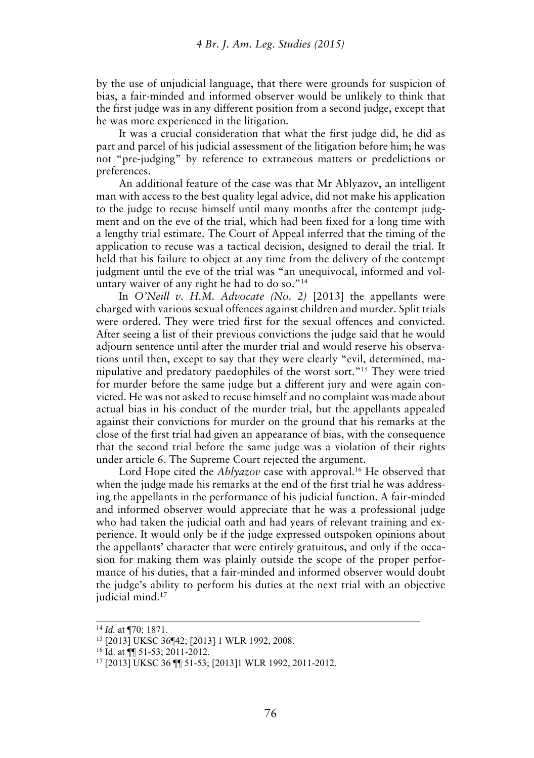by the use of unjudicial language, that there were grounds for suspicion of bias, a fair-minded and informed observer would be unlikely to think that the first judge was in any different position from a second judge, except that he was more experienced in the litigation.

It was a crucial consideration that what the first judge did, he did as part and parcel of his judicial assessment of the litigation before him; he was not "pre-judging" by reference to extraneous matters or predelictions or preferences.

An additional feature of the case was that Mr Ablyazov, an intelligent man with access to the best quality legal advice, did not make his application to the judge to recuse himself until many months after the contempt judgment and on the eve of the trial, which had been fixed for a long time with a lengthy trial estimate. The Court of Appeal inferred that the timing of the application to recuse was a tactical decision, designed to derail the trial. It held that his failure to object at any time from the delivery of the contempt judgment until the eve of the trial was "an unequivocal, informed and voluntary waiver of any right he had to do so."14

In *O'Neill v. H.M. Advocate (No. 2)* [2013] the appellants were charged with various sexual offences against children and murder. Split trials were ordered. They were tried first for the sexual offences and convicted. After seeing a list of their previous convictions the judge said that he would adjourn sentence until after the murder trial and would reserve his observations until then, except to say that they were clearly "evil, determined, manipulative and predatory paedophiles of the worst sort."15 They were tried for murder before the same judge but a different jury and were again convicted. He was not asked to recuse himself and no complaint was made about actual bias in his conduct of the murder trial, but the appellants appealed against their convictions for murder on the ground that his remarks at the close of the first trial had given an appearance of bias, with the consequence that the second trial before the same judge was a violation of their rights under article 6. The Supreme Court rejected the argument.

Lord Hope cited the *Ablyazov* case with approval.<sup>16</sup> He observed that when the judge made his remarks at the end of the first trial he was addressing the appellants in the performance of his judicial function. A fair-minded and informed observer would appreciate that he was a professional judge who had taken the judicial oath and had years of relevant training and experience. It would only be if the judge expressed outspoken opinions about the appellants' character that were entirely gratuitous, and only if the occasion for making them was plainly outside the scope of the proper performance of his duties, that a fair-minded and informed observer would doubt the judge's ability to perform his duties at the next trial with an objective judicial mind.<sup>17</sup>

<sup>&</sup>lt;sup>14</sup> *Id.* at ¶70; 1871.<br><sup>15</sup> [2013] UKSC 36¶42; [2013] 1 WLR 1992, 2008.

<sup>16</sup> Id. at ¶¶ 51-53; 2011-2012.

<sup>17 [2013]</sup> UKSC 36 ¶¶ 51-53; [2013]1 WLR 1992, 2011-2012.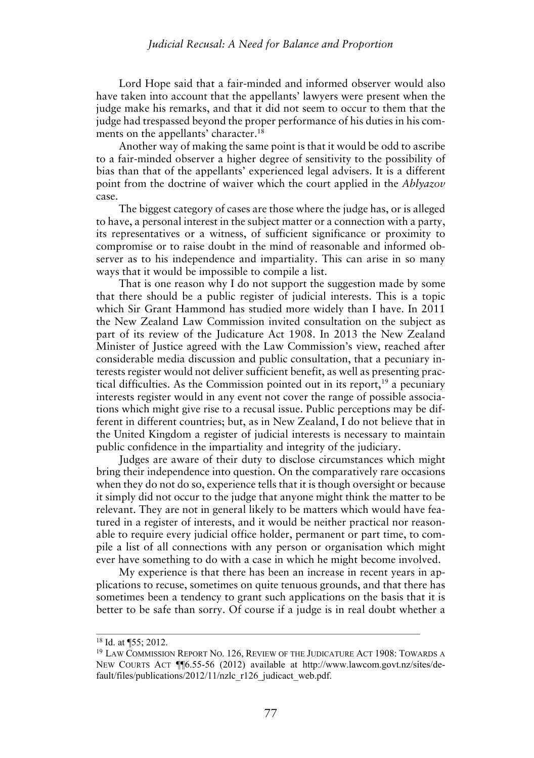Lord Hope said that a fair-minded and informed observer would also have taken into account that the appellants' lawyers were present when the judge make his remarks, and that it did not seem to occur to them that the judge had trespassed beyond the proper performance of his duties in his comments on the appellants' character.<sup>18</sup>

Another way of making the same point is that it would be odd to ascribe to a fair-minded observer a higher degree of sensitivity to the possibility of bias than that of the appellants' experienced legal advisers. It is a different point from the doctrine of waiver which the court applied in the *Ablyazov* case.

The biggest category of cases are those where the judge has, or is alleged to have, a personal interest in the subject matter or a connection with a party, its representatives or a witness, of sufficient significance or proximity to compromise or to raise doubt in the mind of reasonable and informed observer as to his independence and impartiality. This can arise in so many ways that it would be impossible to compile a list.

That is one reason why I do not support the suggestion made by some that there should be a public register of judicial interests. This is a topic which Sir Grant Hammond has studied more widely than I have. In 2011 the New Zealand Law Commission invited consultation on the subject as part of its review of the Judicature Act 1908. In 2013 the New Zealand Minister of Justice agreed with the Law Commission's view, reached after considerable media discussion and public consultation, that a pecuniary interests register would not deliver sufficient benefit, as well as presenting practical difficulties. As the Commission pointed out in its report,<sup>19</sup> a pecuniary interests register would in any event not cover the range of possible associations which might give rise to a recusal issue. Public perceptions may be different in different countries; but, as in New Zealand, I do not believe that in the United Kingdom a register of judicial interests is necessary to maintain public confidence in the impartiality and integrity of the judiciary.

Judges are aware of their duty to disclose circumstances which might bring their independence into question. On the comparatively rare occasions when they do not do so, experience tells that it is though oversight or because it simply did not occur to the judge that anyone might think the matter to be relevant. They are not in general likely to be matters which would have featured in a register of interests, and it would be neither practical nor reasonable to require every judicial office holder, permanent or part time, to compile a list of all connections with any person or organisation which might ever have something to do with a case in which he might become involved.

My experience is that there has been an increase in recent years in applications to recuse, sometimes on quite tenuous grounds, and that there has sometimes been a tendency to grant such applications on the basis that it is better to be safe than sorry. Of course if a judge is in real doubt whether a

<sup>18</sup> Id. at ¶55; 2012.

<sup>19</sup> LAW COMMISSION REPORT NO. 126, REVIEW OF THE JUDICATURE ACT 1908: TOWARDS A NEW COURTS ACT ¶¶6.55-56 (2012) available at http://www.lawcom.govt.nz/sites/default/files/publications/2012/11/nzlc\_r126\_judicact\_web.pdf.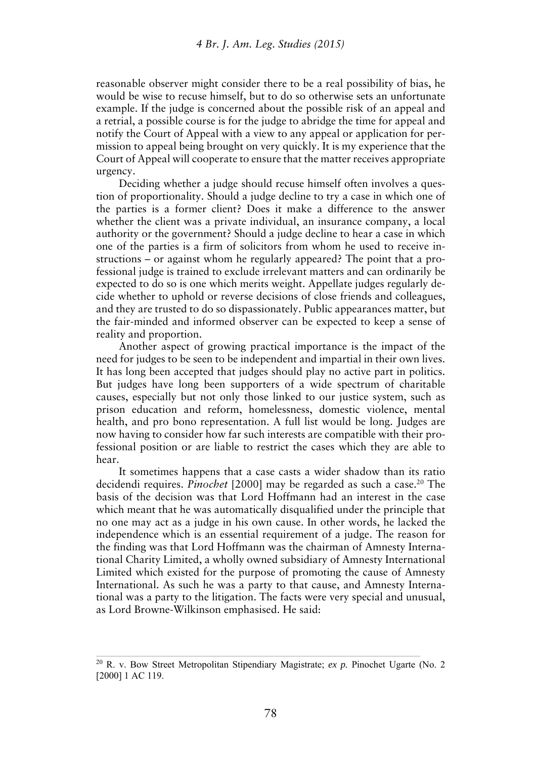reasonable observer might consider there to be a real possibility of bias, he would be wise to recuse himself, but to do so otherwise sets an unfortunate example. If the judge is concerned about the possible risk of an appeal and a retrial, a possible course is for the judge to abridge the time for appeal and notify the Court of Appeal with a view to any appeal or application for permission to appeal being brought on very quickly. It is my experience that the Court of Appeal will cooperate to ensure that the matter receives appropriate urgency.

Deciding whether a judge should recuse himself often involves a question of proportionality. Should a judge decline to try a case in which one of the parties is a former client? Does it make a difference to the answer whether the client was a private individual, an insurance company, a local authority or the government? Should a judge decline to hear a case in which one of the parties is a firm of solicitors from whom he used to receive instructions – or against whom he regularly appeared? The point that a professional judge is trained to exclude irrelevant matters and can ordinarily be expected to do so is one which merits weight. Appellate judges regularly decide whether to uphold or reverse decisions of close friends and colleagues, and they are trusted to do so dispassionately. Public appearances matter, but the fair-minded and informed observer can be expected to keep a sense of reality and proportion.

Another aspect of growing practical importance is the impact of the need for judges to be seen to be independent and impartial in their own lives. It has long been accepted that judges should play no active part in politics. But judges have long been supporters of a wide spectrum of charitable causes, especially but not only those linked to our justice system, such as prison education and reform, homelessness, domestic violence, mental health, and pro bono representation. A full list would be long. Judges are now having to consider how far such interests are compatible with their professional position or are liable to restrict the cases which they are able to hear.

It sometimes happens that a case casts a wider shadow than its ratio decidendi requires. *Pinochet* [2000] may be regarded as such a case.<sup>20</sup> The basis of the decision was that Lord Hoffmann had an interest in the case which meant that he was automatically disqualified under the principle that no one may act as a judge in his own cause. In other words, he lacked the independence which is an essential requirement of a judge. The reason for the finding was that Lord Hoffmann was the chairman of Amnesty International Charity Limited, a wholly owned subsidiary of Amnesty International Limited which existed for the purpose of promoting the cause of Amnesty International. As such he was a party to that cause, and Amnesty International was a party to the litigation. The facts were very special and unusual, as Lord Browne-Wilkinson emphasised. He said:

<sup>20</sup> R. v. Bow Street Metropolitan Stipendiary Magistrate; *ex p.* Pinochet Ugarte (No. 2 [2000] 1 AC 119.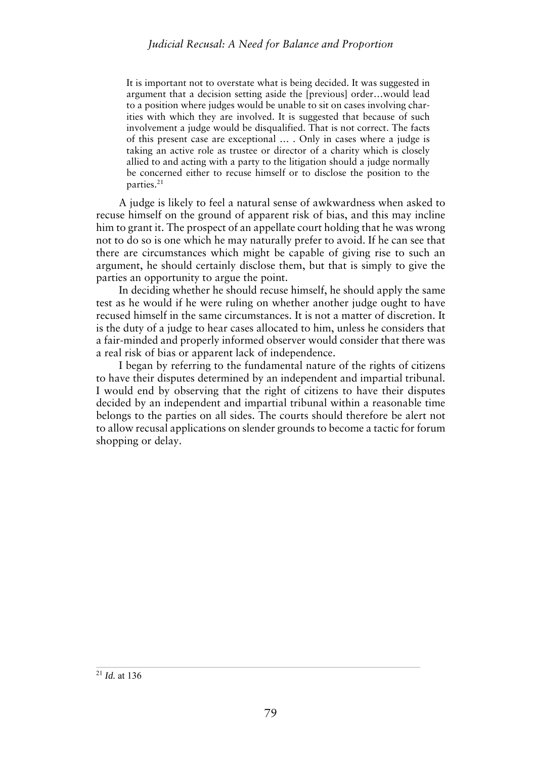It is important not to overstate what is being decided. It was suggested in argument that a decision setting aside the [previous] order…would lead to a position where judges would be unable to sit on cases involving charities with which they are involved. It is suggested that because of such involvement a judge would be disqualified. That is not correct. The facts of this present case are exceptional … . Only in cases where a judge is taking an active role as trustee or director of a charity which is closely allied to and acting with a party to the litigation should a judge normally be concerned either to recuse himself or to disclose the position to the parties.21

A judge is likely to feel a natural sense of awkwardness when asked to recuse himself on the ground of apparent risk of bias, and this may incline him to grant it. The prospect of an appellate court holding that he was wrong not to do so is one which he may naturally prefer to avoid. If he can see that there are circumstances which might be capable of giving rise to such an argument, he should certainly disclose them, but that is simply to give the parties an opportunity to argue the point.

In deciding whether he should recuse himself, he should apply the same test as he would if he were ruling on whether another judge ought to have recused himself in the same circumstances. It is not a matter of discretion. It is the duty of a judge to hear cases allocated to him, unless he considers that a fair-minded and properly informed observer would consider that there was a real risk of bias or apparent lack of independence.

I began by referring to the fundamental nature of the rights of citizens to have their disputes determined by an independent and impartial tribunal. I would end by observing that the right of citizens to have their disputes decided by an independent and impartial tribunal within a reasonable time belongs to the parties on all sides. The courts should therefore be alert not to allow recusal applications on slender grounds to become a tactic for forum shopping or delay.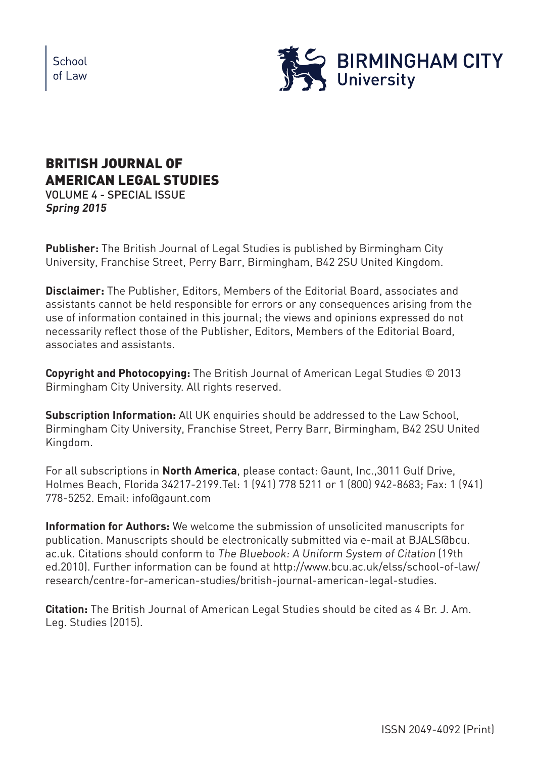



### BRITISH JOURNAL OF AMERICAN LEGAL STUDIES VOLUME 4 - SPECIAL ISSUE **Spring 2015**

**Publisher:** The British Journal of Legal Studies is published by Birmingham City University, Franchise Street, Perry Barr, Birmingham, B42 2SU United Kingdom.

**Disclaimer:** The Publisher, Editors, Members of the Editorial Board, associates and assistants cannot be held responsible for errors or any consequences arising from the use of information contained in this journal; the views and opinions expressed do not necessarily reflect those of the Publisher, Editors, Members of the Editorial Board, associates and assistants.

**Copyright and Photocopying:** The British Journal of American Legal Studies © 2013 Birmingham City University. All rights reserved.

**Subscription Information:** All UK enquiries should be addressed to the Law School, Birmingham City University, Franchise Street, Perry Barr, Birmingham, B42 2SU United Kingdom.

For all subscriptions in **North America**, please contact: Gaunt, Inc.,3011 Gulf Drive, Holmes Beach, Florida 34217-2199.Tel: 1 (941) 778 5211 or 1 (800) 942-8683; Fax: 1 (941) 778-5252. Email: info@gaunt.com

**Information for Authors:** We welcome the submission of unsolicited manuscripts for publication. Manuscripts should be electronically submitted via e-mail at BJALS@bcu. ac.uk. Citations should conform to The Bluebook: A Uniform System of Citation (19th ed.2010). Further information can be found at http://www.bcu.ac.uk/elss/school-of-law/ research/centre-for-american-studies/british-journal-american-legal-studies.

**Citation:** The British Journal of American Legal Studies should be cited as 4 Br. J. Am. Leg. Studies (2015).